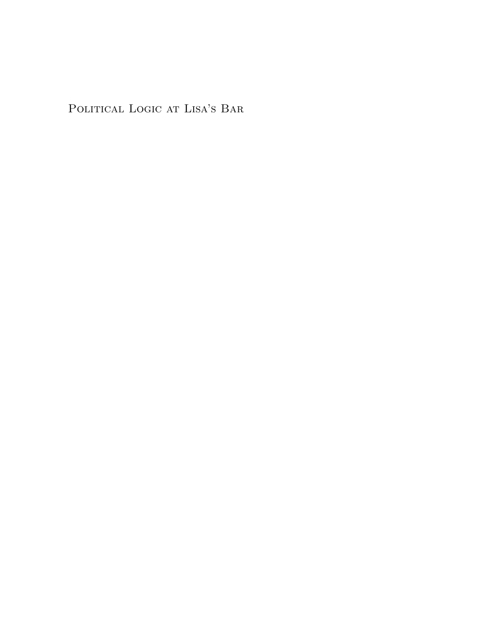POLITICAL LOGIC AT LISA'S BAR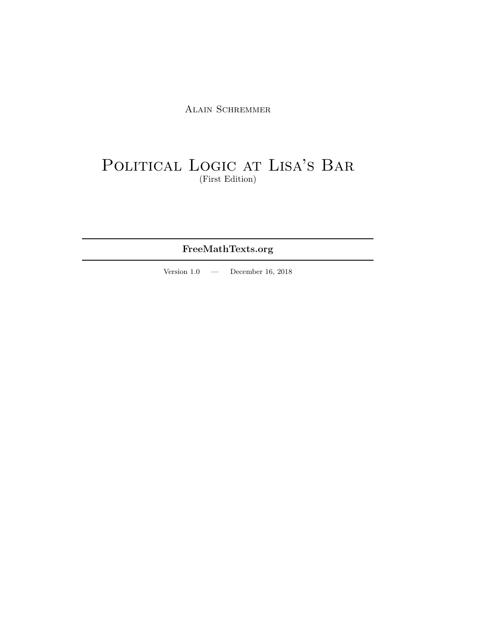Alain Schremmer

### POLITICAL LOGIC AT LISA'S BAR (First Edition)

FreeMathTexts.org

Version 1.0 — December 16, 2018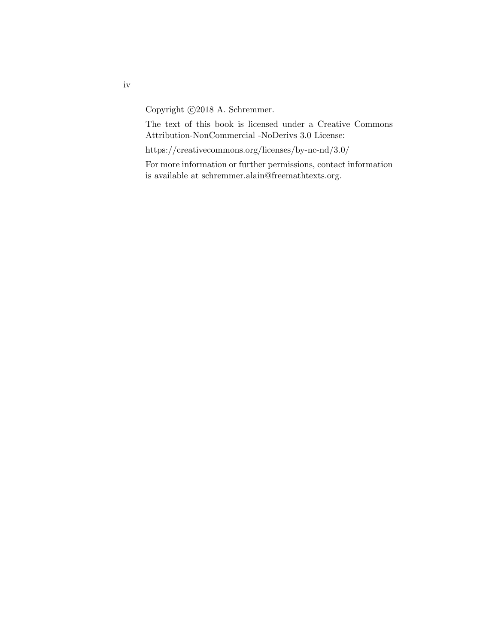Copyright  $\odot$ 2018 A. Schremmer.

The text of this book is licensed under a Creative Commons Attribution-NonCommercial -NoDerivs 3.0 License:

https://creativecommons.org/licenses/by-nc-nd/3.0/

For more information or further permissions, contact information is available at schremmer.alain@freemathtexts.org.

iv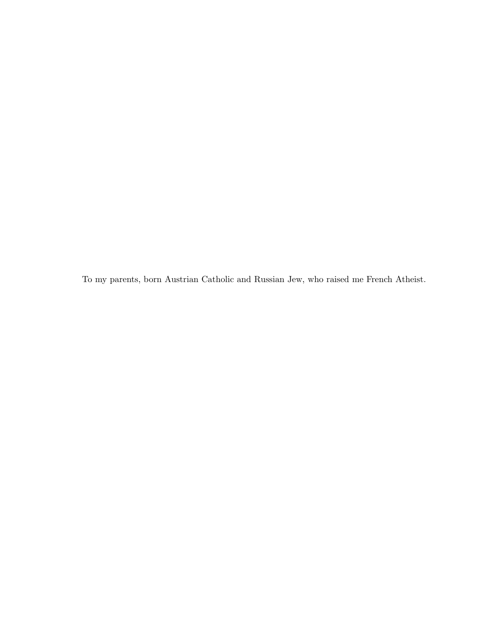To my parents, born Austrian Catholic and Russian Jew, who raised me French Atheist.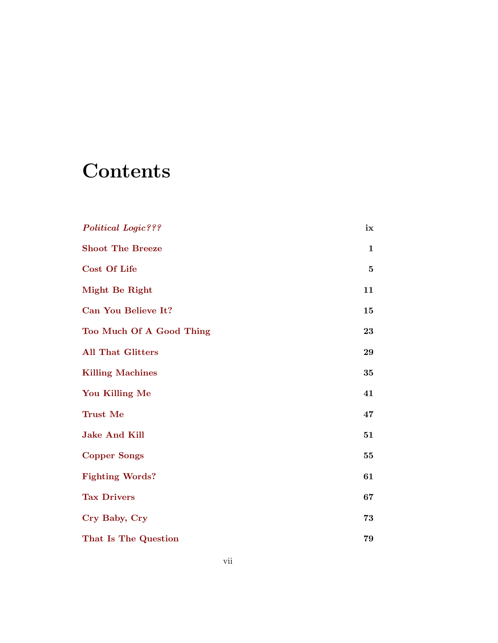# **Contents**

| <b>Political Logic???</b> | ix           |
|---------------------------|--------------|
| <b>Shoot The Breeze</b>   | $\mathbf{1}$ |
| <b>Cost Of Life</b>       | $\bf{5}$     |
| Might Be Right            | 11           |
| Can You Believe It?       | 15           |
| Too Much Of A Good Thing  | 23           |
| <b>All That Glitters</b>  | 29           |
| <b>Killing Machines</b>   | 35           |
| You Killing Me            | 41           |
| <b>Trust Me</b>           | 47           |
| <b>Jake And Kill</b>      | 51           |
| <b>Copper Songs</b>       | 55           |
| <b>Fighting Words?</b>    | 61           |
| <b>Tax Drivers</b>        | 67           |
| Cry Baby, Cry             | 73           |
| That Is The Question      | 79           |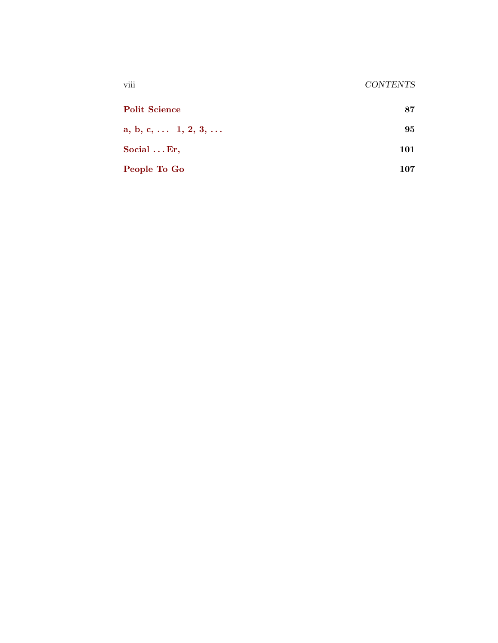| viii                              | <b>CONTENTS</b> |
|-----------------------------------|-----------------|
| <b>Polit Science</b>              | 87              |
| a, b, c, $\dots$ 1, 2, 3, $\dots$ | 95              |
| Social  Er,                       | 101             |
| People To Go                      | 107             |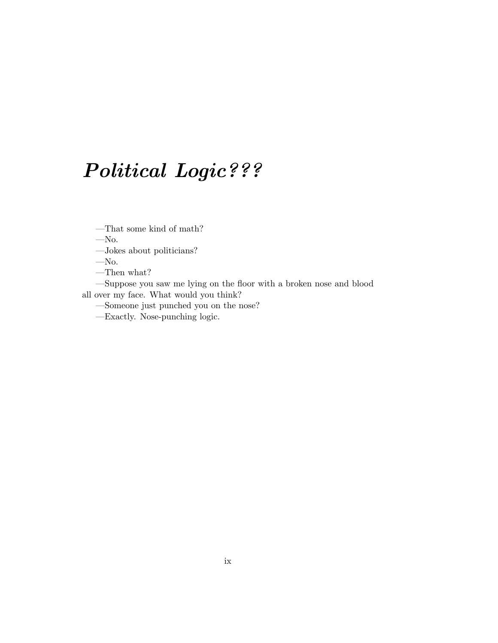# <span id="page-8-0"></span>Political Logic???

—That some kind of math?

 $-N<sub>0</sub>$ .

—Jokes about politicians?

 $-\mathrm{No}.$ 

 $-\!$  Then what?

—Suppose you saw me lying on the floor with a broken nose and blood all over my face. What would you think?

—Someone just punched you on the nose?

—Exactly. Nose-punching logic.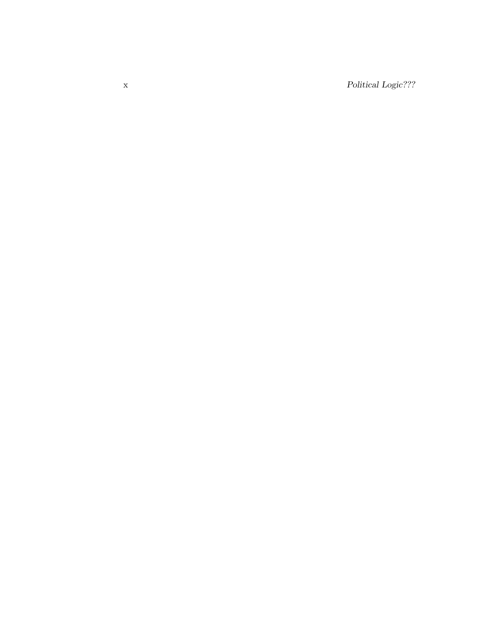x Political Logic???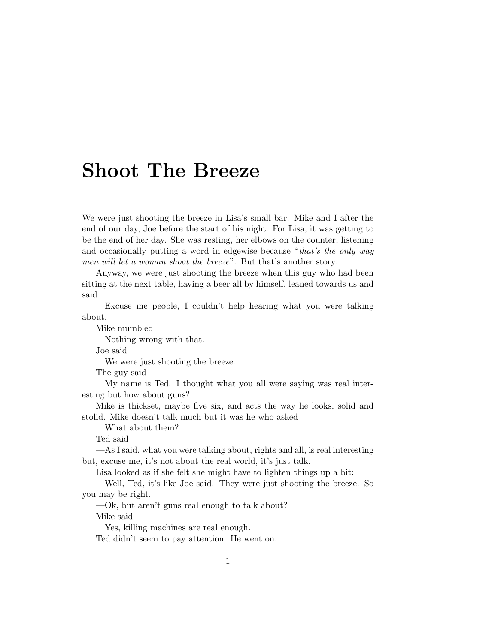### <span id="page-10-0"></span>Shoot The Breeze

We were just shooting the breeze in Lisa's small bar. Mike and I after the end of our day, Joe before the start of his night. For Lisa, it was getting to be the end of her day. She was resting, her elbows on the counter, listening and occasionally putting a word in edgewise because "that's the only way men will let a woman shoot the breeze". But that's another story.

Anyway, we were just shooting the breeze when this guy who had been sitting at the next table, having a beer all by himself, leaned towards us and said

—Excuse me people, I couldn't help hearing what you were talking about.

Mike mumbled

—Nothing wrong with that.

Joe said

—We were just shooting the breeze.

The guy said

—My name is Ted. I thought what you all were saying was real interesting but how about guns?

Mike is thickset, maybe five six, and acts the way he looks, solid and stolid. Mike doesn't talk much but it was he who asked

—What about them?

Ted said

—As I said, what you were talking about, rights and all, is real interesting but, excuse me, it's not about the real world, it's just talk.

Lisa looked as if she felt she might have to lighten things up a bit:

—Well, Ted, it's like Joe said. They were just shooting the breeze. So you may be right.

—Ok, but aren't guns real enough to talk about?

Mike said

—Yes, killing machines are real enough.

Ted didn't seem to pay attention. He went on.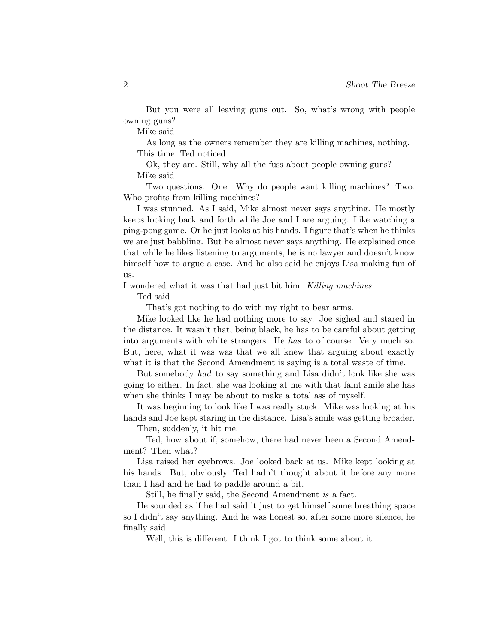—But you were all leaving guns out. So, what's wrong with people owning guns?

Mike said

—As long as the owners remember they are killing machines, nothing. This time, Ted noticed.

—Ok, they are. Still, why all the fuss about people owning guns? Mike said

—Two questions. One. Why do people want killing machines? Two. Who profits from killing machines?

I was stunned. As I said, Mike almost never says anything. He mostly keeps looking back and forth while Joe and I are arguing. Like watching a ping-pong game. Or he just looks at his hands. I figure that's when he thinks we are just babbling. But he almost never says anything. He explained once that while he likes listening to arguments, he is no lawyer and doesn't know himself how to argue a case. And he also said he enjoys Lisa making fun of us.

I wondered what it was that had just bit him. Killing machines.

Ted said

—That's got nothing to do with my right to bear arms.

Mike looked like he had nothing more to say. Joe sighed and stared in the distance. It wasn't that, being black, he has to be careful about getting into arguments with white strangers. He has to of course. Very much so. But, here, what it was was that we all knew that arguing about exactly what it is that the Second Amendment is saying is a total waste of time.

But somebody had to say something and Lisa didn't look like she was going to either. In fact, she was looking at me with that faint smile she has when she thinks I may be about to make a total ass of myself.

It was beginning to look like I was really stuck. Mike was looking at his hands and Joe kept staring in the distance. Lisa's smile was getting broader.

Then, suddenly, it hit me:

—Ted, how about if, somehow, there had never been a Second Amendment? Then what?

Lisa raised her eyebrows. Joe looked back at us. Mike kept looking at his hands. But, obviously, Ted hadn't thought about it before any more than I had and he had to paddle around a bit.

—Still, he finally said, the Second Amendment is a fact.

He sounded as if he had said it just to get himself some breathing space so I didn't say anything. And he was honest so, after some more silence, he finally said

—Well, this is different. I think I got to think some about it.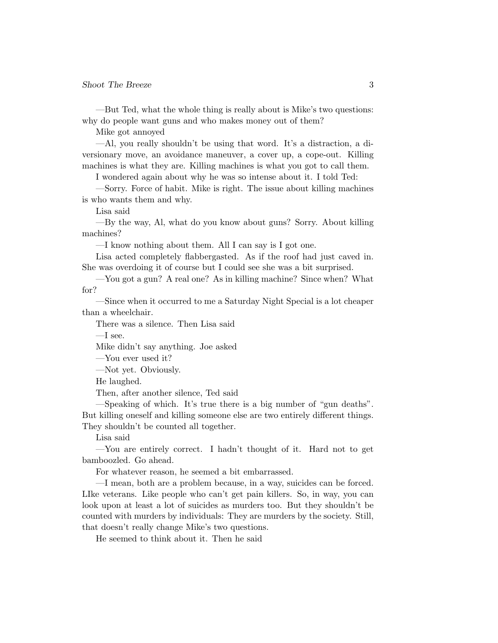—But Ted, what the whole thing is really about is Mike's two questions: why do people want guns and who makes money out of them?

Mike got annoyed

—Al, you really shouldn't be using that word. It's a distraction, a diversionary move, an avoidance maneuver, a cover up, a cope-out. Killing machines is what they are. Killing machines is what you got to call them.

I wondered again about why he was so intense about it. I told Ted:

—Sorry. Force of habit. Mike is right. The issue about killing machines is who wants them and why.

Lisa said

—By the way, Al, what do you know about guns? Sorry. About killing machines?

—I know nothing about them. All I can say is I got one.

Lisa acted completely flabbergasted. As if the roof had just caved in. She was overdoing it of course but I could see she was a bit surprised.

—You got a gun? A real one? As in killing machine? Since when? What for?

—Since when it occurred to me a Saturday Night Special is a lot cheaper than a wheelchair.

There was a silence. Then Lisa said

—I see.

Mike didn't say anything. Joe asked

—You ever used it?

—Not yet. Obviously.

He laughed.

Then, after another silence, Ted said

—Speaking of which. It's true there is a big number of "gun deaths". But killing oneself and killing someone else are two entirely different things. They shouldn't be counted all together.

Lisa said

—You are entirely correct. I hadn't thought of it. Hard not to get bamboozled. Go ahead.

For whatever reason, he seemed a bit embarrassed.

—I mean, both are a problem because, in a way, suicides can be forced. LIke veterans. Like people who can't get pain killers. So, in way, you can look upon at least a lot of suicides as murders too. But they shouldn't be counted with murders by individuals: They are murders by the society. Still, that doesn't really change Mike's two questions.

He seemed to think about it. Then he said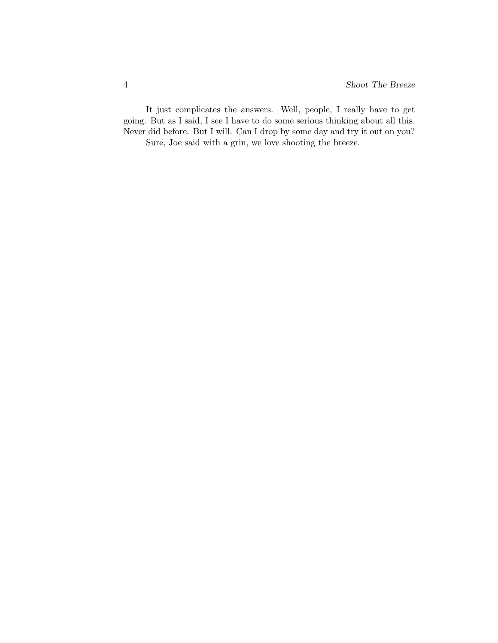—It just complicates the answers. Well, people, I really have to get going. But as I said, I see I have to do some serious thinking about all this. Never did before. But I will. Can I drop by some day and try it out on you? —Sure, Joe said with a grin, we love shooting the breeze.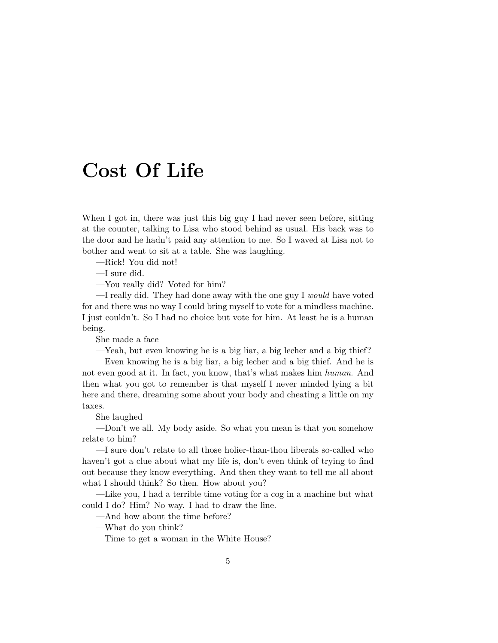### <span id="page-14-0"></span>Cost Of Life

When I got in, there was just this big guy I had never seen before, sitting at the counter, talking to Lisa who stood behind as usual. His back was to the door and he hadn't paid any attention to me. So I waved at Lisa not to bother and went to sit at a table. She was laughing.

—Rick! You did not!

—I sure did.

—You really did? Voted for him?

 $-$ I really did. They had done away with the one guy I *would* have voted for and there was no way I could bring myself to vote for a mindless machine. I just couldn't. So I had no choice but vote for him. At least he is a human being.

She made a face

—Yeah, but even knowing he is a big liar, a big lecher and a big thief?

—Even knowing he is a big liar, a big lecher and a big thief. And he is not even good at it. In fact, you know, that's what makes him human. And then what you got to remember is that myself I never minded lying a bit here and there, dreaming some about your body and cheating a little on my taxes.

She laughed

—Don't we all. My body aside. So what you mean is that you somehow relate to him?

—I sure don't relate to all those holier-than-thou liberals so-called who haven't got a clue about what my life is, don't even think of trying to find out because they know everything. And then they want to tell me all about what I should think? So then. How about you?

—Like you, I had a terrible time voting for a cog in a machine but what could I do? Him? No way. I had to draw the line.

—And how about the time before?

—What do you think?

—Time to get a woman in the White House?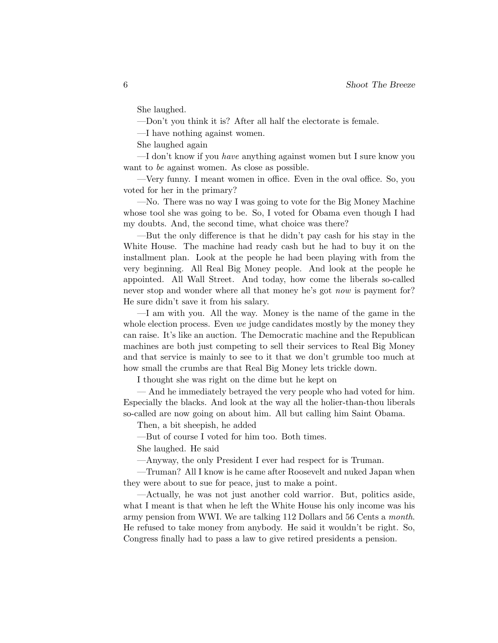She laughed.

—Don't you think it is? After all half the electorate is female.

—I have nothing against women.

She laughed again

—I don't know if you *have* anything against women but I sure know you want to be against women. As close as possible.

—Very funny. I meant women in office. Even in the oval office. So, you voted for her in the primary?

—No. There was no way I was going to vote for the Big Money Machine whose tool she was going to be. So, I voted for Obama even though I had my doubts. And, the second time, what choice was there?

—But the only difference is that he didn't pay cash for his stay in the White House. The machine had ready cash but he had to buy it on the installment plan. Look at the people he had been playing with from the very beginning. All Real Big Money people. And look at the people he appointed. All Wall Street. And today, how come the liberals so-called never stop and wonder where all that money he's got *now* is payment for? He sure didn't save it from his salary.

—I am with you. All the way. Money is the name of the game in the whole election process. Even we judge candidates mostly by the money they can raise. It's like an auction. The Democratic machine and the Republican machines are both just competing to sell their services to Real Big Money and that service is mainly to see to it that we don't grumble too much at how small the crumbs are that Real Big Money lets trickle down.

I thought she was right on the dime but he kept on

— And he immediately betrayed the very people who had voted for him. Especially the blacks. And look at the way all the holier-than-thou liberals so-called are now going on about him. All but calling him Saint Obama.

Then, a bit sheepish, he added

—But of course I voted for him too. Both times.

She laughed. He said

—Anyway, the only President I ever had respect for is Truman.

—Truman? All I know is he came after Roosevelt and nuked Japan when they were about to sue for peace, just to make a point.

—Actually, he was not just another cold warrior. But, politics aside, what I meant is that when he left the White House his only income was his army pension from WWI. We are talking 112 Dollars and 56 Cents a month. He refused to take money from anybody. He said it wouldn't be right. So, Congress finally had to pass a law to give retired presidents a pension.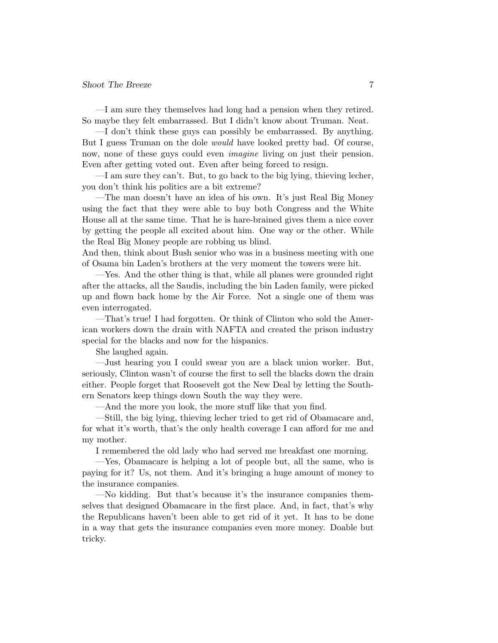#### Shoot The Breeze 7

—I am sure they themselves had long had a pension when they retired. So maybe they felt embarrassed. But I didn't know about Truman. Neat.

—I don't think these guys can possibly be embarrassed. By anything. But I guess Truman on the dole would have looked pretty bad. Of course, now, none of these guys could even *imagine* living on just their pension. Even after getting voted out. Even after being forced to resign.

—I am sure they can't. But, to go back to the big lying, thieving lecher, you don't think his politics are a bit extreme?

—The man doesn't have an idea of his own. It's just Real Big Money using the fact that they were able to buy both Congress and the White House all at the same time. That he is hare-brained gives them a nice cover by getting the people all excited about him. One way or the other. While the Real Big Money people are robbing us blind.

And then, think about Bush senior who was in a business meeting with one of Osama bin Laden's brothers at the very moment the towers were hit.

—Yes. And the other thing is that, while all planes were grounded right after the attacks, all the Saudis, including the bin Laden family, were picked up and flown back home by the Air Force. Not a single one of them was even interrogated.

—That's true! I had forgotten. Or think of Clinton who sold the American workers down the drain with NAFTA and created the prison industry special for the blacks and now for the hispanics.

She laughed again.

—Just hearing you I could swear you are a black union worker. But, seriously, Clinton wasn't of course the first to sell the blacks down the drain either. People forget that Roosevelt got the New Deal by letting the Southern Senators keep things down South the way they were.

—And the more you look, the more stuff like that you find.

—Still, the big lying, thieving lecher tried to get rid of Obamacare and, for what it's worth, that's the only health coverage I can afford for me and my mother.

I remembered the old lady who had served me breakfast one morning.

—Yes, Obamacare is helping a lot of people but, all the same, who is paying for it? Us, not them. And it's bringing a huge amount of money to the insurance companies.

—No kidding. But that's because it's the insurance companies themselves that designed Obamacare in the first place. And, in fact, that's why the Republicans haven't been able to get rid of it yet. It has to be done in a way that gets the insurance companies even more money. Doable but tricky.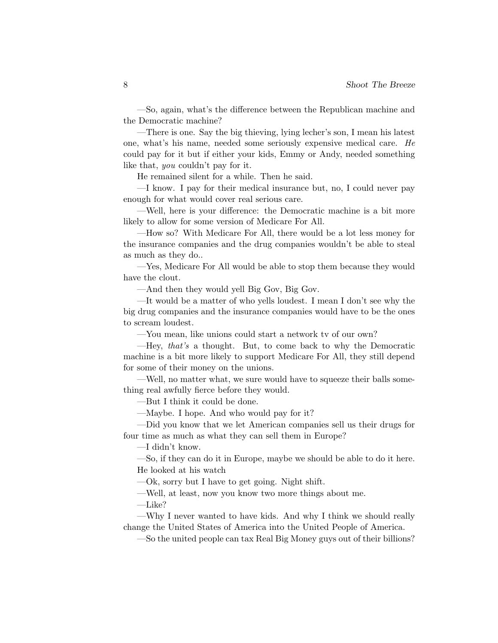—So, again, what's the difference between the Republican machine and the Democratic machine?

—There is one. Say the big thieving, lying lecher's son, I mean his latest one, what's his name, needed some seriously expensive medical care. He could pay for it but if either your kids, Emmy or Andy, needed something like that, you couldn't pay for it.

He remained silent for a while. Then he said.

—I know. I pay for their medical insurance but, no, I could never pay enough for what would cover real serious care.

—Well, here is your difference: the Democratic machine is a bit more likely to allow for some version of Medicare For All.

—How so? With Medicare For All, there would be a lot less money for the insurance companies and the drug companies wouldn't be able to steal as much as they do..

—Yes, Medicare For All would be able to stop them because they would have the clout.

—And then they would yell Big Gov, Big Gov.

—It would be a matter of who yells loudest. I mean I don't see why the big drug companies and the insurance companies would have to be the ones to scream loudest.

—You mean, like unions could start a network tv of our own?

—Hey, that's a thought. But, to come back to why the Democratic machine is a bit more likely to support Medicare For All, they still depend for some of their money on the unions.

—Well, no matter what, we sure would have to squeeze their balls something real awfully fierce before they would.

—But I think it could be done.

—Maybe. I hope. And who would pay for it?

—Did you know that we let American companies sell us their drugs for four time as much as what they can sell them in Europe?

—I didn't know.

—So, if they can do it in Europe, maybe we should be able to do it here. He looked at his watch

—Ok, sorry but I have to get going. Night shift.

—Well, at least, now you know two more things about me.

—Like?

—Why I never wanted to have kids. And why I think we should really change the United States of America into the United People of America.

—So the united people can tax Real Big Money guys out of their billions?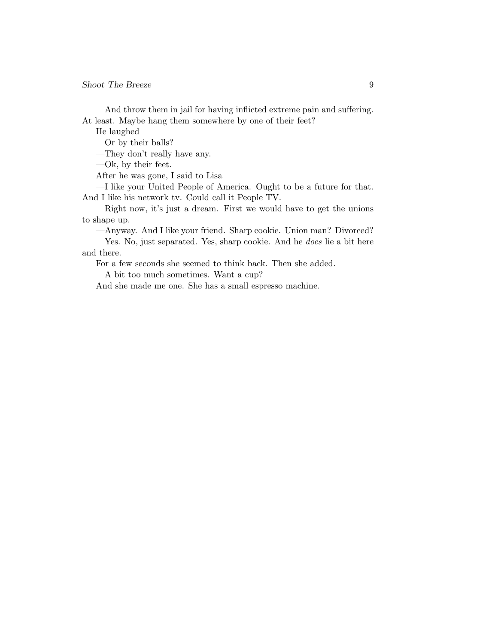—And throw them in jail for having inflicted extreme pain and suffering. At least. Maybe hang them somewhere by one of their feet?

He laughed

—Or by their balls?

—They don't really have any.

—Ok, by their feet.

After he was gone, I said to Lisa

—I like your United People of America. Ought to be a future for that. And I like his network tv. Could call it People TV.

—Right now, it's just a dream. First we would have to get the unions to shape up.

—Anyway. And I like your friend. Sharp cookie. Union man? Divorced?

—Yes. No, just separated. Yes, sharp cookie. And he does lie a bit here and there.

For a few seconds she seemed to think back. Then she added.

—A bit too much sometimes. Want a cup?

And she made me one. She has a small espresso machine.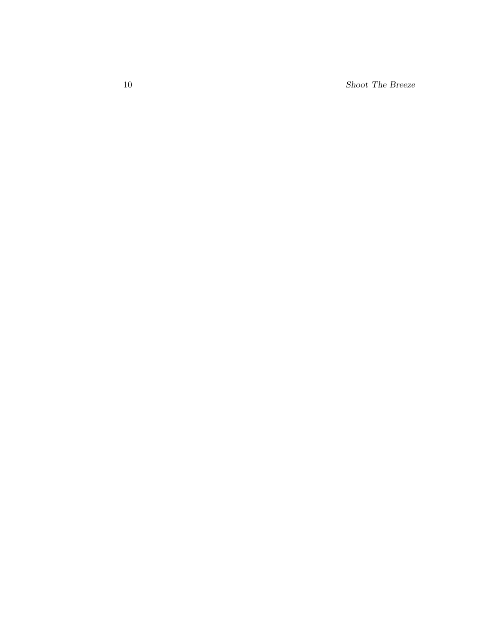Shoot The Breeze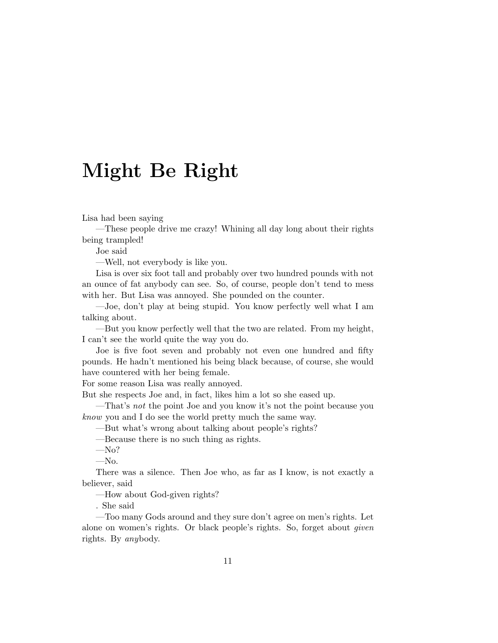### <span id="page-20-0"></span>Might Be Right

Lisa had been saying

—These people drive me crazy! Whining all day long about their rights being trampled!

Joe said

—Well, not everybody is like you.

Lisa is over six foot tall and probably over two hundred pounds with not an ounce of fat anybody can see. So, of course, people don't tend to mess with her. But Lisa was annoyed. She pounded on the counter.

—Joe, don't play at being stupid. You know perfectly well what I am talking about.

—But you know perfectly well that the two are related. From my height, I can't see the world quite the way you do.

Joe is five foot seven and probably not even one hundred and fifty pounds. He hadn't mentioned his being black because, of course, she would have countered with her being female.

For some reason Lisa was really annoyed.

But she respects Joe and, in fact, likes him a lot so she eased up.

—That's not the point Joe and you know it's not the point because you know you and I do see the world pretty much the same way.

—But what's wrong about talking about people's rights?

—Because there is no such thing as rights.

 $-N<sub>0</sub>$ ?

 $-N<sub>0</sub>$ .

There was a silence. Then Joe who, as far as I know, is not exactly a believer, said

—How about God-given rights?

. She said

—Too many Gods around and they sure don't agree on men's rights. Let alone on women's rights. Or black people's rights. So, forget about given rights. By anybody.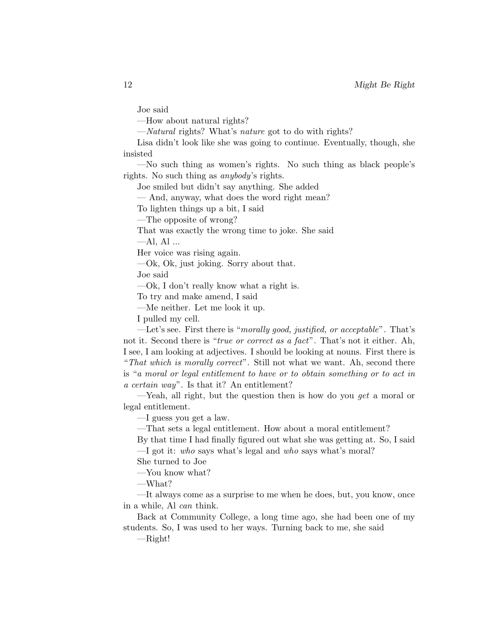Joe said

—How about natural rights?

—Natural rights? What's nature got to do with rights?

Lisa didn't look like she was going to continue. Eventually, though, she insisted

—No such thing as women's rights. No such thing as black people's rights. No such thing as anybody's rights.

Joe smiled but didn't say anything. She added

— And, anyway, what does the word right mean?

To lighten things up a bit, I said

—The opposite of wrong?

That was exactly the wrong time to joke. She said

 $-$ Al, Al  $\ldots$ 

Her voice was rising again.

—Ok, Ok, just joking. Sorry about that.

Joe said

—Ok, I don't really know what a right is.

To try and make amend, I said

—Me neither. Let me look it up.

I pulled my cell.

—Let's see. First there is "morally good, justified, or acceptable". That's not it. Second there is "*true or correct as a fact*". That's not it either. Ah, I see, I am looking at adjectives. I should be looking at nouns. First there is "That which is morally correct". Still not what we want. Ah, second there is "a moral or legal entitlement to have or to obtain something or to act in a certain way". Is that it? An entitlement?

—Yeah, all right, but the question then is how do you *get* a moral or legal entitlement.

—I guess you get a law.

—That sets a legal entitlement. How about a moral entitlement?

By that time I had finally figured out what she was getting at. So, I said —I got it: who says what's legal and who says what's moral?

She turned to Joe

—You know what?

—What?

—It always come as a surprise to me when he does, but, you know, once in a while, Al can think.

Back at Community College, a long time ago, she had been one of my students. So, I was used to her ways. Turning back to me, she said

—Right!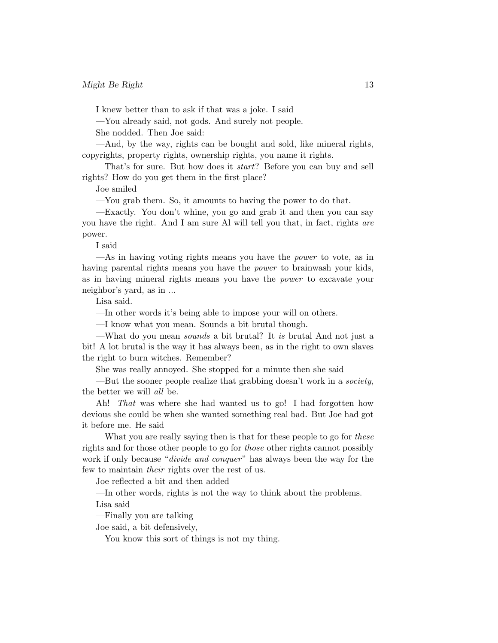I knew better than to ask if that was a joke. I said

—You already said, not gods. And surely not people.

She nodded. Then Joe said:

—And, by the way, rights can be bought and sold, like mineral rights, copyrights, property rights, ownership rights, you name it rights.

—That's for sure. But how does it start? Before you can buy and sell rights? How do you get them in the first place?

Joe smiled

—You grab them. So, it amounts to having the power to do that.

—Exactly. You don't whine, you go and grab it and then you can say you have the right. And I am sure Al will tell you that, in fact, rights are power.

I said

—As in having voting rights means you have the power to vote, as in having parental rights means you have the power to brainwash your kids, as in having mineral rights means you have the power to excavate your neighbor's yard, as in ...

Lisa said.

—In other words it's being able to impose your will on others.

—I know what you mean. Sounds a bit brutal though.

—What do you mean sounds a bit brutal? It is brutal And not just a bit! A lot brutal is the way it has always been, as in the right to own slaves the right to burn witches. Remember?

She was really annoyed. She stopped for a minute then she said

—But the sooner people realize that grabbing doesn't work in a *society*, the better we will all be.

Ah! That was where she had wanted us to go! I had forgotten how devious she could be when she wanted something real bad. But Joe had got it before me. He said

—What you are really saying then is that for these people to go for these rights and for those other people to go for those other rights cannot possibly work if only because "*divide and conquer*" has always been the way for the few to maintain their rights over the rest of us.

Joe reflected a bit and then added

—In other words, rights is not the way to think about the problems. Lisa said

—Finally you are talking

Joe said, a bit defensively,

—You know this sort of things is not my thing.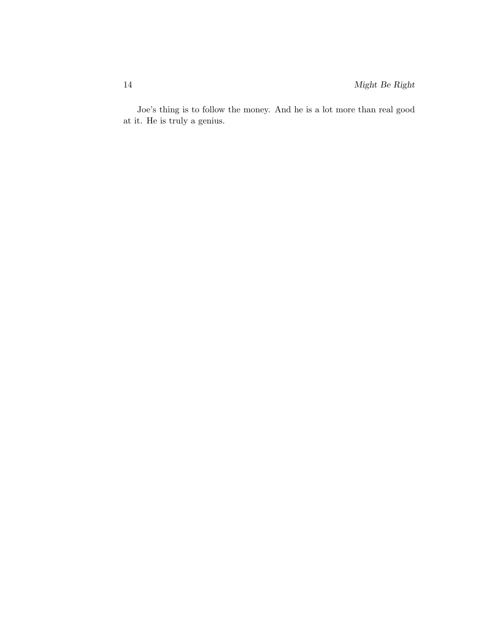Joe's thing is to follow the money. And he is a lot more than real good at it. He is truly a genius.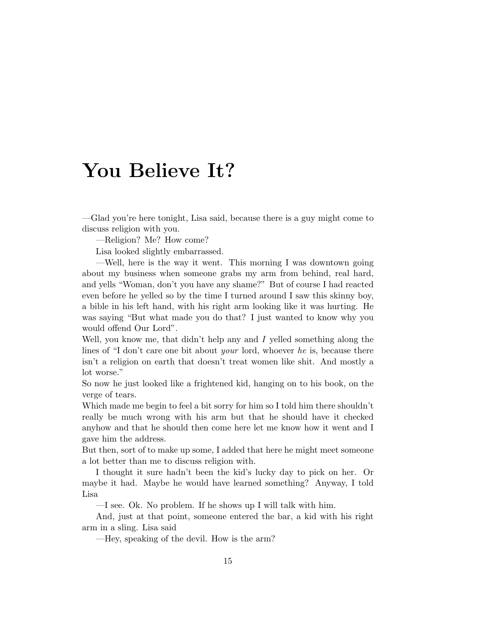### <span id="page-24-0"></span>You Believe It?

—Glad you're here tonight, Lisa said, because there is a guy might come to discuss religion with you.

—Religion? Me? How come?

Lisa looked slightly embarrassed.

—Well, here is the way it went. This morning I was downtown going about my business when someone grabs my arm from behind, real hard, and yells "Woman, don't you have any shame?" But of course I had reacted even before he yelled so by the time I turned around I saw this skinny boy, a bible in his left hand, with his right arm looking like it was hurting. He was saying "But what made you do that? I just wanted to know why you would offend Our Lord".

Well, you know me, that didn't help any and I yelled something along the lines of "I don't care one bit about *your* lord, whoever he is, because there isn't a religion on earth that doesn't treat women like shit. And mostly a lot worse."

So now he just looked like a frightened kid, hanging on to his book, on the verge of tears.

Which made me begin to feel a bit sorry for him so I told him there shouldn't really be much wrong with his arm but that he should have it checked anyhow and that he should then come here let me know how it went and I gave him the address.

But then, sort of to make up some, I added that here he might meet someone a lot better than me to discuss religion with.

I thought it sure hadn't been the kid's lucky day to pick on her. Or maybe it had. Maybe he would have learned something? Anyway, I told Lisa

—I see. Ok. No problem. If he shows up I will talk with him.

And, just at that point, someone entered the bar, a kid with his right arm in a sling. Lisa said

—Hey, speaking of the devil. How is the arm?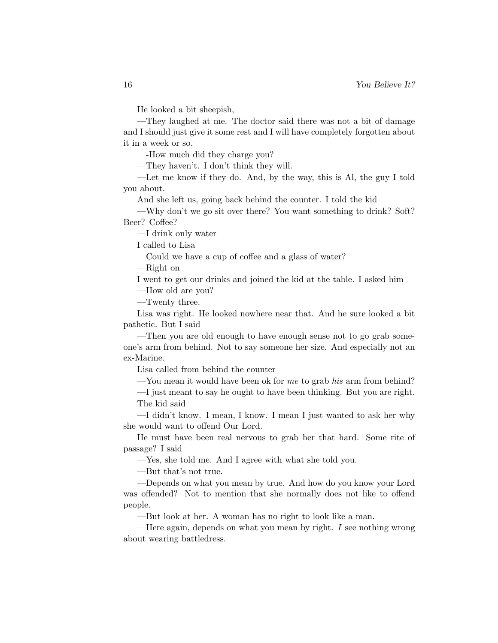He looked a bit sheepish,

—They laughed at me. The doctor said there was not a bit of damage and I should just give it some rest and I will have completely forgotten about it in a week or so.

—-How much did they charge you?

—They haven't. I don't think they will.

—Let me know if they do. And, by the way, this is Al, the guy I told you about.

And she left us, going back behind the counter. I told the kid

—Why don't we go sit over there? You want something to drink? Soft? Beer? Coffee?

—I drink only water

I called to Lisa

—Could we have a cup of coffee and a glass of water?

—Right on

I went to get our drinks and joined the kid at the table. I asked him —How old are you?

—Twenty three.

Lisa was right. He looked nowhere near that. And he sure looked a bit pathetic. But I said

—Then you are old enough to have enough sense not to go grab someone's arm from behind. Not to say someone her size. And especially not an ex-Marine.

Lisa called from behind the counter

—You mean it would have been ok for me to grab his arm from behind?

—I just meant to say he ought to have been thinking. But you are right. The kid said

—I didn't know. I mean, I know. I mean I just wanted to ask her why she would want to offend Our Lord.

He must have been real nervous to grab her that hard. Some rite of passage? I said

—Yes, she told me. And I agree with what she told you.

—But that's not true.

—Depends on what you mean by true. And how do you know your Lord was offended? Not to mention that she normally does not like to offend people.

—But look at her. A woman has no right to look like a man.

—Here again, depends on what you mean by right. I see nothing wrong about wearing battledress.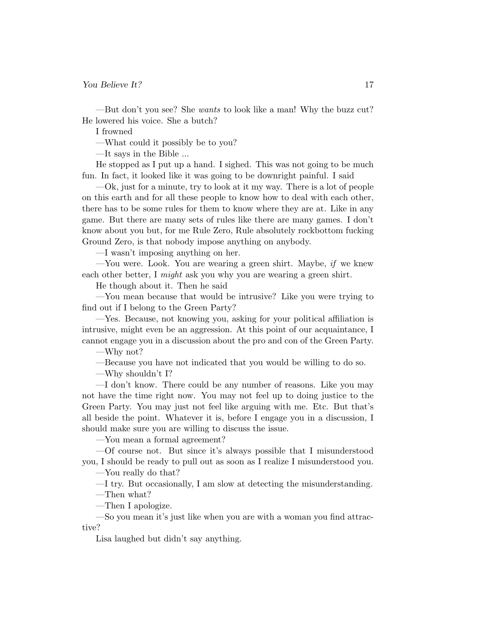—But don't you see? She wants to look like a man! Why the buzz cut? He lowered his voice. She a butch?

I frowned

—What could it possibly be to you?

—It says in the Bible ...

He stopped as I put up a hand. I sighed. This was not going to be much fun. In fact, it looked like it was going to be downright painful. I said

—Ok, just for a minute, try to look at it my way. There is a lot of people on this earth and for all these people to know how to deal with each other, there has to be some rules for them to know where they are at. Like in any game. But there are many sets of rules like there are many games. I don't know about you but, for me Rule Zero, Rule absolutely rockbottom fucking Ground Zero, is that nobody impose anything on anybody.

—I wasn't imposing anything on her.

—You were. Look. You are wearing a green shirt. Maybe, if we knew each other better, I *might* ask you why you are wearing a green shirt.

He though about it. Then he said

—You mean because that would be intrusive? Like you were trying to find out if I belong to the Green Party?

—Yes. Because, not knowing you, asking for your political affiliation is intrusive, might even be an aggression. At this point of our acquaintance, I cannot engage you in a discussion about the pro and con of the Green Party.

—Why not?

—Because you have not indicated that you would be willing to do so.

—Why shouldn't I?

—I don't know. There could be any number of reasons. Like you may not have the time right now. You may not feel up to doing justice to the Green Party. You may just not feel like arguing with me. Etc. But that's all beside the point. Whatever it is, before I engage you in a discussion, I should make sure you are willing to discuss the issue.

—You mean a formal agreement?

—Of course not. But since it's always possible that I misunderstood you, I should be ready to pull out as soon as I realize I misunderstood you.

—You really do that?

—I try. But occasionally, I am slow at detecting the misunderstanding.

—Then what?

—Then I apologize.

—So you mean it's just like when you are with a woman you find attractive?

Lisa laughed but didn't say anything.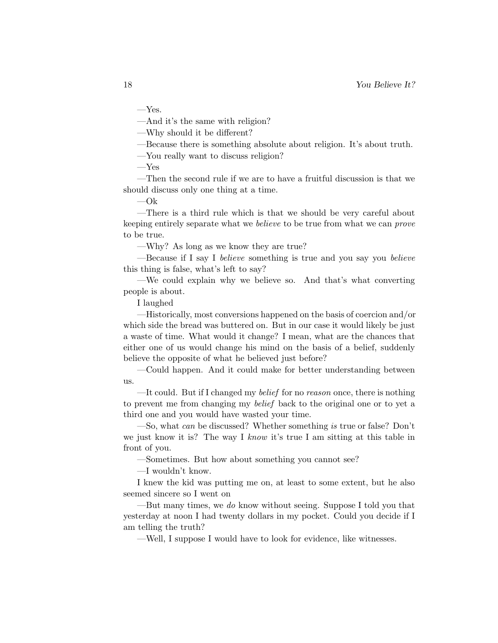—Yes.

—And it's the same with religion?

—Why should it be different?

—Because there is something absolute about religion. It's about truth.

—You really want to discuss religion?

—Yes

—Then the second rule if we are to have a fruitful discussion is that we should discuss only one thing at a time.

 $-\Omega$ 

—There is a third rule which is that we should be very careful about keeping entirely separate what we believe to be true from what we can prove to be true.

—Why? As long as we know they are true?

—Because if I say I believe something is true and you say you believe this thing is false, what's left to say?

—We could explain why we believe so. And that's what converting people is about.

I laughed

—Historically, most conversions happened on the basis of coercion and/or which side the bread was buttered on. But in our case it would likely be just a waste of time. What would it change? I mean, what are the chances that either one of us would change his mind on the basis of a belief, suddenly believe the opposite of what he believed just before?

—Could happen. And it could make for better understanding between us.

—It could. But if I changed my belief for no reason once, there is nothing to prevent me from changing my belief back to the original one or to yet a third one and you would have wasted your time.

—So, what can be discussed? Whether something is true or false? Don't we just know it is? The way I know it's true I am sitting at this table in front of you.

—Sometimes. But how about something you cannot see?

—I wouldn't know.

I knew the kid was putting me on, at least to some extent, but he also seemed sincere so I went on

—But many times, we do know without seeing. Suppose I told you that yesterday at noon I had twenty dollars in my pocket. Could you decide if I am telling the truth?

—Well, I suppose I would have to look for evidence, like witnesses.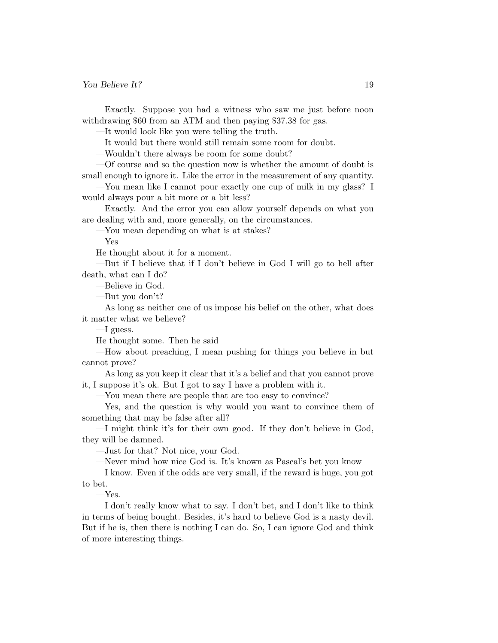—Exactly. Suppose you had a witness who saw me just before noon withdrawing \$60 from an ATM and then paying \$37.38 for gas.

—It would look like you were telling the truth.

—It would but there would still remain some room for doubt.

—Wouldn't there always be room for some doubt?

—Of course and so the question now is whether the amount of doubt is small enough to ignore it. Like the error in the measurement of any quantity.

—You mean like I cannot pour exactly one cup of milk in my glass? I would always pour a bit more or a bit less?

—Exactly. And the error you can allow yourself depends on what you are dealing with and, more generally, on the circumstances.

—You mean depending on what is at stakes?

—Yes

He thought about it for a moment.

—But if I believe that if I don't believe in God I will go to hell after death, what can I do?

—Believe in God.

—But you don't?

—As long as neither one of us impose his belief on the other, what does it matter what we believe?

—I guess.

He thought some. Then he said

—How about preaching, I mean pushing for things you believe in but cannot prove?

—As long as you keep it clear that it's a belief and that you cannot prove it, I suppose it's ok. But I got to say I have a problem with it.

—You mean there are people that are too easy to convince?

—Yes, and the question is why would you want to convince them of something that may be false after all?

—I might think it's for their own good. If they don't believe in God, they will be damned.

—Just for that? Not nice, your God.

—Never mind how nice God is. It's known as Pascal's bet you know

—I know. Even if the odds are very small, if the reward is huge, you got to bet.

—Yes.

—I don't really know what to say. I don't bet, and I don't like to think in terms of being bought. Besides, it's hard to believe God is a nasty devil. But if he is, then there is nothing I can do. So, I can ignore God and think of more interesting things.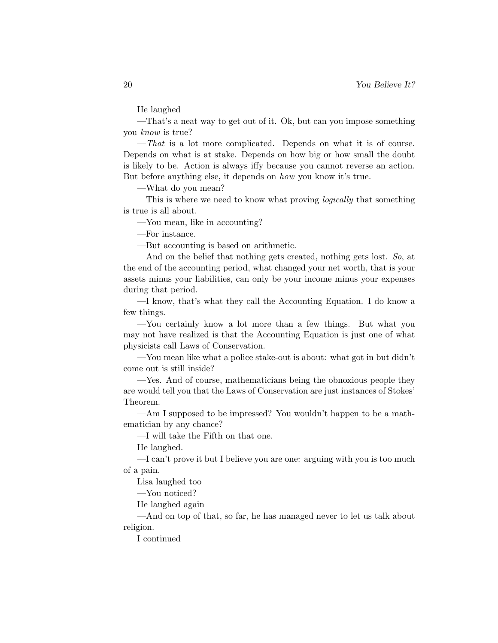He laughed

—That's a neat way to get out of it. Ok, but can you impose something you know is true?

 $-That$  is a lot more complicated. Depends on what it is of course. Depends on what is at stake. Depends on how big or how small the doubt is likely to be. Action is always iffy because you cannot reverse an action. But before anything else, it depends on how you know it's true.

—What do you mean?

—This is where we need to know what proving logically that something is true is all about.

—You mean, like in accounting?

—For instance.

—But accounting is based on arithmetic.

—And on the belief that nothing gets created, nothing gets lost. So, at the end of the accounting period, what changed your net worth, that is your assets minus your liabilities, can only be your income minus your expenses during that period.

—I know, that's what they call the Accounting Equation. I do know a few things.

—You certainly know a lot more than a few things. But what you may not have realized is that the Accounting Equation is just one of what physicists call Laws of Conservation.

—You mean like what a police stake-out is about: what got in but didn't come out is still inside?

—Yes. And of course, mathematicians being the obnoxious people they are would tell you that the Laws of Conservation are just instances of Stokes' Theorem.

—Am I supposed to be impressed? You wouldn't happen to be a mathematician by any chance?

—I will take the Fifth on that one.

He laughed.

—I can't prove it but I believe you are one: arguing with you is too much of a pain.

Lisa laughed too

—You noticed?

He laughed again

—And on top of that, so far, he has managed never to let us talk about religion.

I continued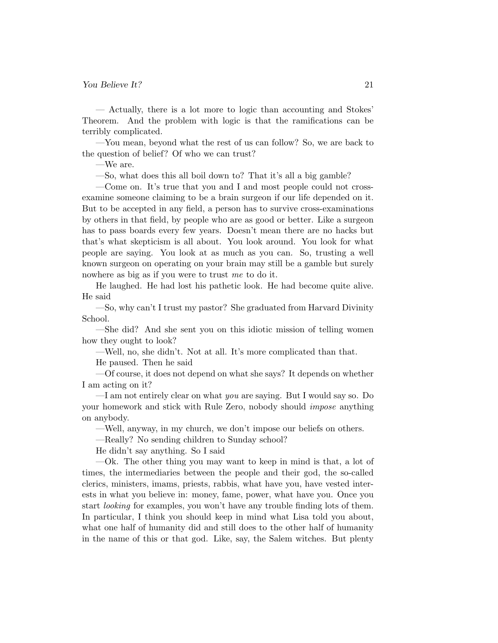#### You Believe It? 21

— Actually, there is a lot more to logic than accounting and Stokes' Theorem. And the problem with logic is that the ramifications can be terribly complicated.

—You mean, beyond what the rest of us can follow? So, we are back to the question of belief? Of who we can trust?

—We are.

—So, what does this all boil down to? That it's all a big gamble?

—Come on. It's true that you and I and most people could not crossexamine someone claiming to be a brain surgeon if our life depended on it. But to be accepted in any field, a person has to survive cross-examinations by others in that field, by people who are as good or better. Like a surgeon has to pass boards every few years. Doesn't mean there are no hacks but that's what skepticism is all about. You look around. You look for what people are saying. You look at as much as you can. So, trusting a well known surgeon on operating on your brain may still be a gamble but surely nowhere as big as if you were to trust me to do it.

He laughed. He had lost his pathetic look. He had become quite alive. He said

—So, why can't I trust my pastor? She graduated from Harvard Divinity School.

—She did? And she sent you on this idiotic mission of telling women how they ought to look?

—Well, no, she didn't. Not at all. It's more complicated than that.

He paused. Then he said

—Of course, it does not depend on what she says? It depends on whether I am acting on it?

 $-1$  am not entirely clear on what you are saying. But I would say so. Do your homework and stick with Rule Zero, nobody should impose anything on anybody.

—Well, anyway, in my church, we don't impose our beliefs on others.

—Really? No sending children to Sunday school?

He didn't say anything. So I said

—Ok. The other thing you may want to keep in mind is that, a lot of times, the intermediaries between the people and their god, the so-called clerics, ministers, imams, priests, rabbis, what have you, have vested interests in what you believe in: money, fame, power, what have you. Once you start looking for examples, you won't have any trouble finding lots of them. In particular, I think you should keep in mind what Lisa told you about, what one half of humanity did and still does to the other half of humanity in the name of this or that god. Like, say, the Salem witches. But plenty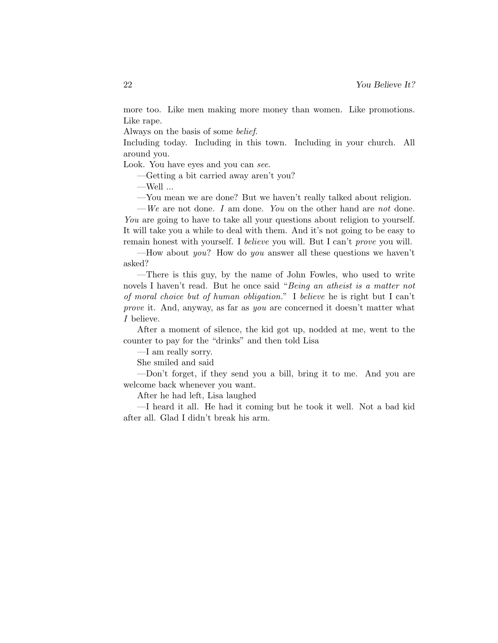more too. Like men making more money than women. Like promotions. Like rape.

Always on the basis of some belief.

Including today. Including in this town. Including in your church. All around you.

Look. You have eyes and you can see.

—Getting a bit carried away aren't you?

 $-\mathrm{Well}$   $\ldots$ 

—You mean we are done? But we haven't really talked about religion.

—We are not done. I am done. You on the other hand are not done. You are going to have to take all your questions about religion to yourself. It will take you a while to deal with them. And it's not going to be easy to remain honest with yourself. I believe you will. But I can't prove you will.

—How about *you*? How do *you* answer all these questions we haven't asked?

—There is this guy, by the name of John Fowles, who used to write novels I haven't read. But he once said "Being an atheist is a matter not of moral choice but of human obligation." I believe he is right but I can't prove it. And, anyway, as far as you are concerned it doesn't matter what I believe.

After a moment of silence, the kid got up, nodded at me, went to the counter to pay for the "drinks" and then told Lisa

—I am really sorry.

She smiled and said

—Don't forget, if they send you a bill, bring it to me. And you are welcome back whenever you want.

After he had left, Lisa laughed

—I heard it all. He had it coming but he took it well. Not a bad kid after all. Glad I didn't break his arm.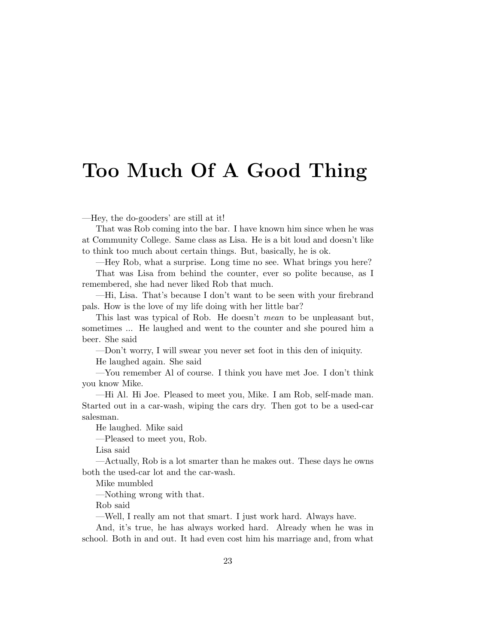## <span id="page-32-0"></span>Too Much Of A Good Thing

—Hey, the do-gooders' are still at it!

That was Rob coming into the bar. I have known him since when he was at Community College. Same class as Lisa. He is a bit loud and doesn't like to think too much about certain things. But, basically, he is ok.

—Hey Rob, what a surprise. Long time no see. What brings you here? That was Lisa from behind the counter, ever so polite because, as I remembered, she had never liked Rob that much.

—Hi, Lisa. That's because I don't want to be seen with your firebrand pals. How is the love of my life doing with her little bar?

This last was typical of Rob. He doesn't mean to be unpleasant but, sometimes ... He laughed and went to the counter and she poured him a beer. She said

—Don't worry, I will swear you never set foot in this den of iniquity.

He laughed again. She said

—You remember Al of course. I think you have met Joe. I don't think you know Mike.

—Hi Al. Hi Joe. Pleased to meet you, Mike. I am Rob, self-made man. Started out in a car-wash, wiping the cars dry. Then got to be a used-car salesman.

He laughed. Mike said

—Pleased to meet you, Rob.

Lisa said

—Actually, Rob is a lot smarter than he makes out. These days he owns both the used-car lot and the car-wash.

Mike mumbled

—Nothing wrong with that.

Rob said

—Well, I really am not that smart. I just work hard. Always have.

And, it's true, he has always worked hard. Already when he was in school. Both in and out. It had even cost him his marriage and, from what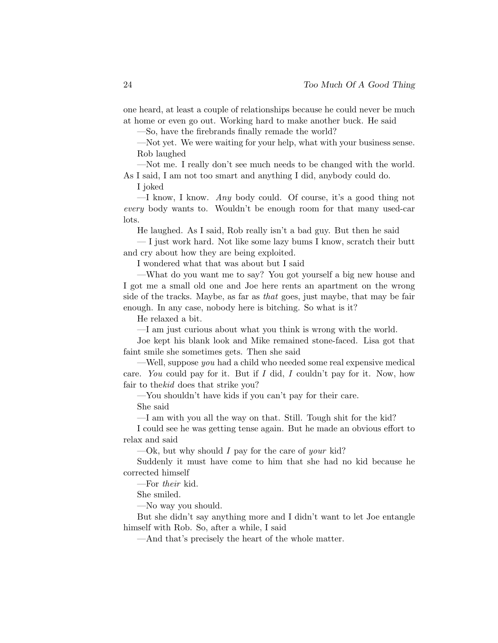one heard, at least a couple of relationships because he could never be much at home or even go out. Working hard to make another buck. He said

—So, have the firebrands finally remade the world?

—Not yet. We were waiting for your help, what with your business sense. Rob laughed

—Not me. I really don't see much needs to be changed with the world. As I said, I am not too smart and anything I did, anybody could do.

I joked

—I know, I know. Any body could. Of course, it's a good thing not every body wants to. Wouldn't be enough room for that many used-car lots.

He laughed. As I said, Rob really isn't a bad guy. But then he said

 $-1$  just work hard. Not like some lazy bums I know, scratch their butt and cry about how they are being exploited.

I wondered what that was about but I said

—What do you want me to say? You got yourself a big new house and I got me a small old one and Joe here rents an apartment on the wrong side of the tracks. Maybe, as far as that goes, just maybe, that may be fair enough. In any case, nobody here is bitching. So what is it?

He relaxed a bit.

—I am just curious about what you think is wrong with the world.

Joe kept his blank look and Mike remained stone-faced. Lisa got that faint smile she sometimes gets. Then she said

—Well, suppose you had a child who needed some real expensive medical care. You could pay for it. But if I did, I couldn't pay for it. Now, how fair to thekid does that strike you?

—You shouldn't have kids if you can't pay for their care.

She said

—I am with you all the way on that. Still. Tough shit for the kid?

I could see he was getting tense again. But he made an obvious effort to relax and said

 $-\text{Ok}$ , but why should I pay for the care of your kid?

Suddenly it must have come to him that she had no kid because he corrected himself

—For their kid.

She smiled.

—No way you should.

But she didn't say anything more and I didn't want to let Joe entangle himself with Rob. So, after a while, I said

—And that's precisely the heart of the whole matter.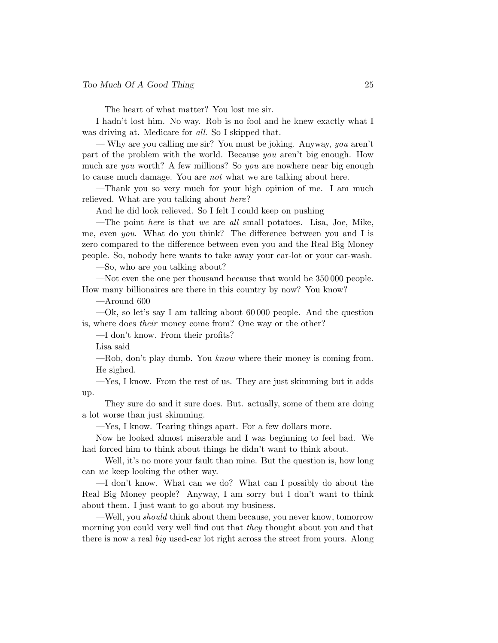—The heart of what matter? You lost me sir.

I hadn't lost him. No way. Rob is no fool and he knew exactly what I was driving at. Medicare for *all*. So I skipped that.

— Why are you calling me sir? You must be joking. Anyway, you aren't part of the problem with the world. Because you aren't big enough. How much are you worth? A few millions? So you are nowhere near big enough to cause much damage. You are not what we are talking about here.

—Thank you so very much for your high opinion of me. I am much relieved. What are you talking about here?

And he did look relieved. So I felt I could keep on pushing

—The point *here* is that we are all small potatoes. Lisa, Joe, Mike, me, even you. What do you think? The difference between you and I is zero compared to the difference between even you and the Real Big Money people. So, nobody here wants to take away your car-lot or your car-wash.

—So, who are you talking about?

—Not even the one per thousand because that would be 350 000 people. How many billionaires are there in this country by now? You know?

—Around 600

—Ok, so let's say I am talking about 60 000 people. And the question is, where does their money come from? One way or the other?

—I don't know. From their profits?

Lisa said

—Rob, don't play dumb. You know where their money is coming from. He sighed.

—Yes, I know. From the rest of us. They are just skimming but it adds up.

—They sure do and it sure does. But. actually, some of them are doing a lot worse than just skimming.

—Yes, I know. Tearing things apart. For a few dollars more.

Now he looked almost miserable and I was beginning to feel bad. We had forced him to think about things he didn't want to think about.

—Well, it's no more your fault than mine. But the question is, how long can we keep looking the other way.

—I don't know. What can we do? What can I possibly do about the Real Big Money people? Anyway, I am sorry but I don't want to think about them. I just want to go about my business.

—Well, you *should* think about them because, you never know, tomorrow morning you could very well find out that they thought about you and that there is now a real big used-car lot right across the street from yours. Along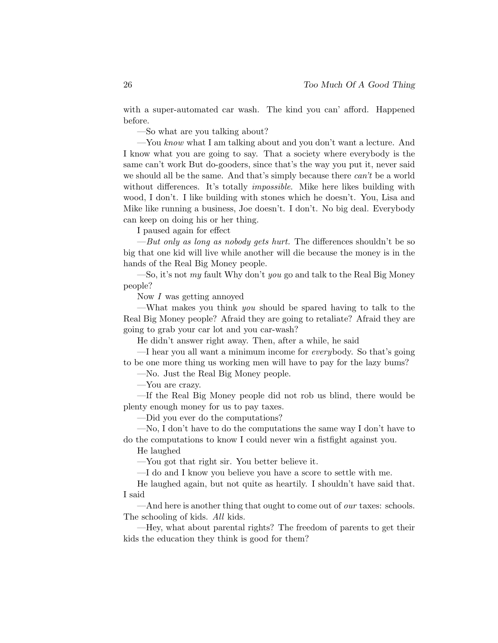with a super-automated car wash. The kind you can' afford. Happened before.

—So what are you talking about?

—You know what I am talking about and you don't want a lecture. And I know what you are going to say. That a society where everybody is the same can't work But do-gooders, since that's the way you put it, never said we should all be the same. And that's simply because there can't be a world without differences. It's totally *impossible*. Mike here likes building with wood, I don't. I like building with stones which he doesn't. You, Lisa and Mike like running a business, Joe doesn't. I don't. No big deal. Everybody can keep on doing his or her thing.

I paused again for effect

—But only as long as nobody gets hurt. The differences shouldn't be so big that one kid will live while another will die because the money is in the hands of the Real Big Money people.

—So, it's not *my* fault Why don't *you* go and talk to the Real Big Money people?

Now I was getting annoyed

—What makes you think you should be spared having to talk to the Real Big Money people? Afraid they are going to retaliate? Afraid they are going to grab your car lot and you car-wash?

He didn't answer right away. Then, after a while, he said

—I hear you all want a minimum income for everybody. So that's going to be one more thing us working men will have to pay for the lazy bums?

—No. Just the Real Big Money people.

—You are crazy.

—If the Real Big Money people did not rob us blind, there would be plenty enough money for us to pay taxes.

—Did you ever do the computations?

—No, I don't have to do the computations the same way I don't have to do the computations to know I could never win a fistfight against you.

He laughed

—You got that right sir. You better believe it.

—I do and I know you believe you have a score to settle with me.

He laughed again, but not quite as heartily. I shouldn't have said that. I said

 $-And$  here is another thing that ought to come out of *our* taxes: schools. The schooling of kids. All kids.

—Hey, what about parental rights? The freedom of parents to get their kids the education they think is good for them?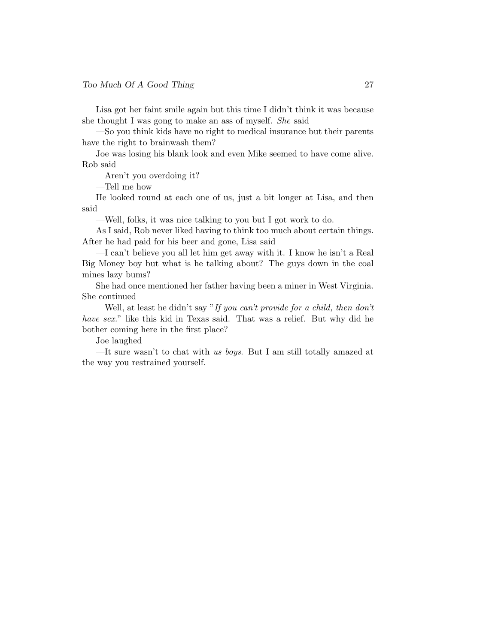Lisa got her faint smile again but this time I didn't think it was because she thought I was gong to make an ass of myself. She said

—So you think kids have no right to medical insurance but their parents have the right to brainwash them?

Joe was losing his blank look and even Mike seemed to have come alive. Rob said

—Aren't you overdoing it?

—Tell me how

He looked round at each one of us, just a bit longer at Lisa, and then said

—Well, folks, it was nice talking to you but I got work to do.

As I said, Rob never liked having to think too much about certain things. After he had paid for his beer and gone, Lisa said

—I can't believe you all let him get away with it. I know he isn't a Real Big Money boy but what is he talking about? The guys down in the coal mines lazy bums?

She had once mentioned her father having been a miner in West Virginia. She continued

—Well, at least he didn't say "If you can't provide for a child, then don't have sex." like this kid in Texas said. That was a relief. But why did he bother coming here in the first place?

Joe laughed

—It sure wasn't to chat with us boys. But I am still totally amazed at the way you restrained yourself.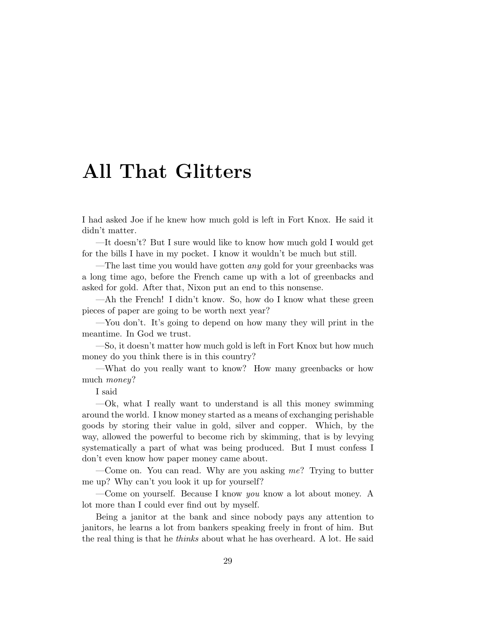## All That Glitters

I had asked Joe if he knew how much gold is left in Fort Knox. He said it didn't matter.

—It doesn't? But I sure would like to know how much gold I would get for the bills I have in my pocket. I know it wouldn't be much but still.

—The last time you would have gotten *any* gold for your greenbacks was a long time ago, before the French came up with a lot of greenbacks and asked for gold. After that, Nixon put an end to this nonsense.

—Ah the French! I didn't know. So, how do I know what these green pieces of paper are going to be worth next year?

—You don't. It's going to depend on how many they will print in the meantime. In God we trust.

—So, it doesn't matter how much gold is left in Fort Knox but how much money do you think there is in this country?

—What do you really want to know? How many greenbacks or how much money?

I said

—Ok, what I really want to understand is all this money swimming around the world. I know money started as a means of exchanging perishable goods by storing their value in gold, silver and copper. Which, by the way, allowed the powerful to become rich by skimming, that is by levying systematically a part of what was being produced. But I must confess I don't even know how paper money came about.

—Come on. You can read. Why are you asking  $me$ ? Trying to butter me up? Why can't you look it up for yourself?

—Come on yourself. Because I know you know a lot about money. A lot more than I could ever find out by myself.

Being a janitor at the bank and since nobody pays any attention to janitors, he learns a lot from bankers speaking freely in front of him. But the real thing is that he thinks about what he has overheard. A lot. He said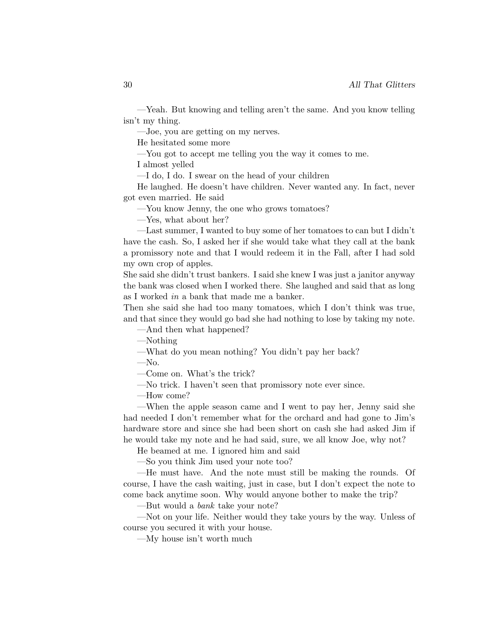—Yeah. But knowing and telling aren't the same. And you know telling isn't my thing.

—Joe, you are getting on my nerves.

He hesitated some more

—You got to accept me telling you the way it comes to me.

I almost yelled

—I do, I do. I swear on the head of your children

He laughed. He doesn't have children. Never wanted any. In fact, never got even married. He said

—You know Jenny, the one who grows tomatoes?

—Yes, what about her?

—Last summer, I wanted to buy some of her tomatoes to can but I didn't have the cash. So, I asked her if she would take what they call at the bank a promissory note and that I would redeem it in the Fall, after I had sold my own crop of apples.

She said she didn't trust bankers. I said she knew I was just a janitor anyway the bank was closed when I worked there. She laughed and said that as long as I worked in a bank that made me a banker.

Then she said she had too many tomatoes, which I don't think was true, and that since they would go bad she had nothing to lose by taking my note.

—And then what happened?

—Nothing

—What do you mean nothing? You didn't pay her back?

 $-N<sub>0</sub>$ .

—Come on. What's the trick?

—No trick. I haven't seen that promissory note ever since.

—How come?

—When the apple season came and I went to pay her, Jenny said she had needed I don't remember what for the orchard and had gone to Jim's hardware store and since she had been short on cash she had asked Jim if he would take my note and he had said, sure, we all know Joe, why not?

He beamed at me. I ignored him and said

—So you think Jim used your note too?

—He must have. And the note must still be making the rounds. Of course, I have the cash waiting, just in case, but I don't expect the note to come back anytime soon. Why would anyone bother to make the trip?

—But would a *bank* take your note?

—Not on your life. Neither would they take yours by the way. Unless of course you secured it with your house.

—My house isn't worth much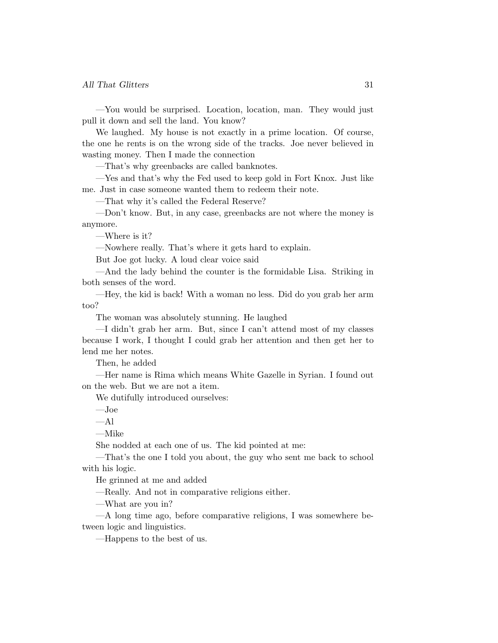—You would be surprised. Location, location, man. They would just pull it down and sell the land. You know?

We laughed. My house is not exactly in a prime location. Of course, the one he rents is on the wrong side of the tracks. Joe never believed in wasting money. Then I made the connection

—That's why greenbacks are called banknotes.

—Yes and that's why the Fed used to keep gold in Fort Knox. Just like me. Just in case someone wanted them to redeem their note.

—That why it's called the Federal Reserve?

—Don't know. But, in any case, greenbacks are not where the money is anymore.

—Where is it?

—Nowhere really. That's where it gets hard to explain.

But Joe got lucky. A loud clear voice said

—And the lady behind the counter is the formidable Lisa. Striking in both senses of the word.

—Hey, the kid is back! With a woman no less. Did do you grab her arm too?

The woman was absolutely stunning. He laughed

—I didn't grab her arm. But, since I can't attend most of my classes because I work, I thought I could grab her attention and then get her to lend me her notes.

Then, he added

—Her name is Rima which means White Gazelle in Syrian. I found out on the web. But we are not a item.

We dutifully introduced ourselves:

—Joe

—Al

—Mike

She nodded at each one of us. The kid pointed at me:

—That's the one I told you about, the guy who sent me back to school with his logic.

He grinned at me and added

—Really. And not in comparative religions either.

—What are you in?

—A long time ago, before comparative religions, I was somewhere between logic and linguistics.

—Happens to the best of us.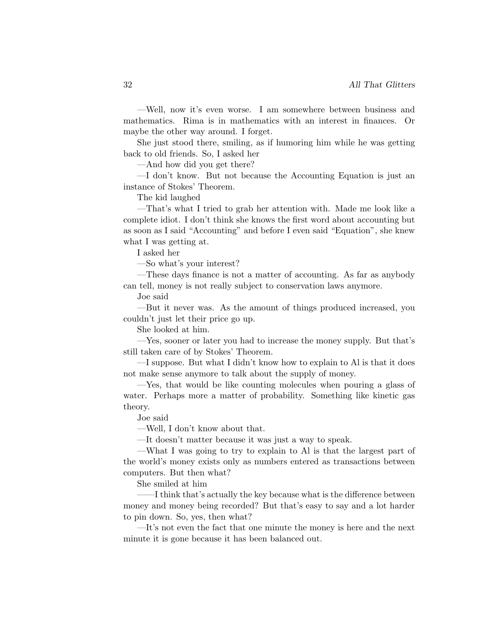—Well, now it's even worse. I am somewhere between business and mathematics. Rima is in mathematics with an interest in finances. Or maybe the other way around. I forget.

She just stood there, smiling, as if humoring him while he was getting back to old friends. So, I asked her

—And how did you get there?

—I don't know. But not because the Accounting Equation is just an instance of Stokes' Theorem.

The kid laughed

—That's what I tried to grab her attention with. Made me look like a complete idiot. I don't think she knows the first word about accounting but as soon as I said "Accounting" and before I even said "Equation", she knew what I was getting at.

I asked her

—So what's your interest?

—These days finance is not a matter of accounting. As far as anybody can tell, money is not really subject to conservation laws anymore.

Joe said

—But it never was. As the amount of things produced increased, you couldn't just let their price go up.

She looked at him.

—Yes, sooner or later you had to increase the money supply. But that's still taken care of by Stokes' Theorem.

—I suppose. But what I didn't know how to explain to Al is that it does not make sense anymore to talk about the supply of money.

—Yes, that would be like counting molecules when pouring a glass of water. Perhaps more a matter of probability. Something like kinetic gas theory.

Joe said

—Well, I don't know about that.

—It doesn't matter because it was just a way to speak.

—What I was going to try to explain to Al is that the largest part of the world's money exists only as numbers entered as transactions between computers. But then what?

She smiled at him

——I think that's actually the key because what is the difference between money and money being recorded? But that's easy to say and a lot harder to pin down. So, yes, then what?

—It's not even the fact that one minute the money is here and the next minute it is gone because it has been balanced out.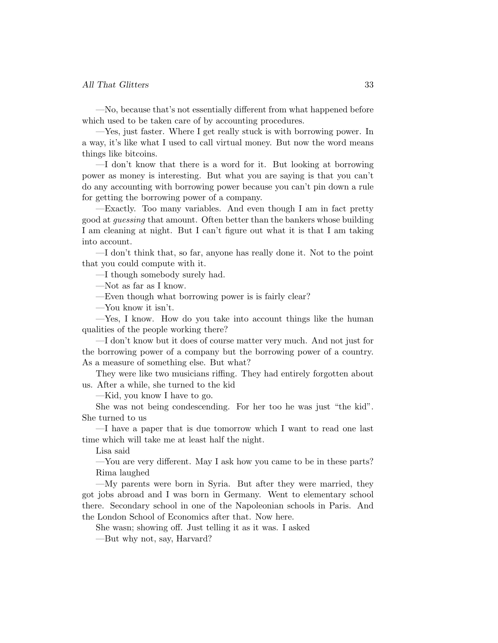—No, because that's not essentially different from what happened before which used to be taken care of by accounting procedures.

—Yes, just faster. Where I get really stuck is with borrowing power. In a way, it's like what I used to call virtual money. But now the word means things like bitcoins.

—I don't know that there is a word for it. But looking at borrowing power as money is interesting. But what you are saying is that you can't do any accounting with borrowing power because you can't pin down a rule for getting the borrowing power of a company.

—Exactly. Too many variables. And even though I am in fact pretty good at guessing that amount. Often better than the bankers whose building I am cleaning at night. But I can't figure out what it is that I am taking into account.

—I don't think that, so far, anyone has really done it. Not to the point that you could compute with it.

—I though somebody surely had.

—Not as far as I know.

—Even though what borrowing power is is fairly clear?

—You know it isn't.

—Yes, I know. How do you take into account things like the human qualities of the people working there?

—I don't know but it does of course matter very much. And not just for the borrowing power of a company but the borrowing power of a country. As a measure of something else. But what?

They were like two musicians riffing. They had entirely forgotten about us. After a while, she turned to the kid

—Kid, you know I have to go.

She was not being condescending. For her too he was just "the kid". She turned to us

—I have a paper that is due tomorrow which I want to read one last time which will take me at least half the night.

Lisa said

—You are very different. May I ask how you came to be in these parts? Rima laughed

—My parents were born in Syria. But after they were married, they got jobs abroad and I was born in Germany. Went to elementary school there. Secondary school in one of the Napoleonian schools in Paris. And the London School of Economics after that. Now here.

She wasn; showing off. Just telling it as it was. I asked

—But why not, say, Harvard?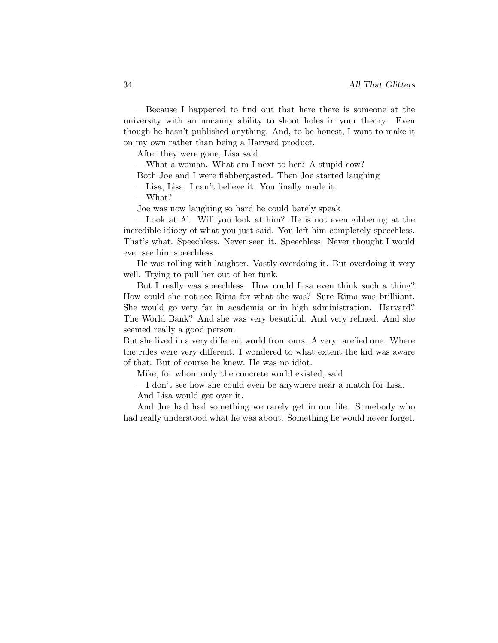—Because I happened to find out that here there is someone at the university with an uncanny ability to shoot holes in your theory. Even though he hasn't published anything. And, to be honest, I want to make it on my own rather than being a Harvard product.

After they were gone, Lisa said

—What a woman. What am I next to her? A stupid cow?

Both Joe and I were flabbergasted. Then Joe started laughing

—Lisa, Lisa. I can't believe it. You finally made it.

—What?

Joe was now laughing so hard he could barely speak

—Look at Al. Will you look at him? He is not even gibbering at the incredible idiocy of what you just said. You left him completely speechless. That's what. Speechless. Never seen it. Speechless. Never thought I would ever see him speechless.

He was rolling with laughter. Vastly overdoing it. But overdoing it very well. Trying to pull her out of her funk.

But I really was speechless. How could Lisa even think such a thing? How could she not see Rima for what she was? Sure Rima was brilliiant. She would go very far in academia or in high administration. Harvard? The World Bank? And she was very beautiful. And very refined. And she seemed really a good person.

But she lived in a very different world from ours. A very rarefied one. Where the rules were very different. I wondered to what extent the kid was aware of that. But of course he knew. He was no idiot.

Mike, for whom only the concrete world existed, said

—I don't see how she could even be anywhere near a match for Lisa. And Lisa would get over it.

And Joe had had something we rarely get in our life. Somebody who had really understood what he was about. Something he would never forget.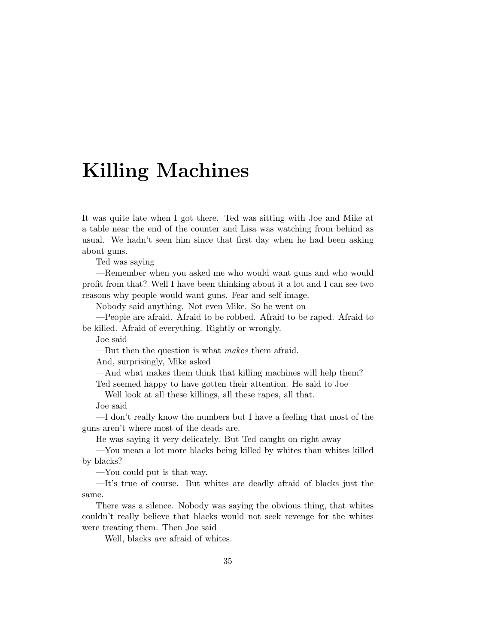# Killing Machines

It was quite late when I got there. Ted was sitting with Joe and Mike at a table near the end of the counter and Lisa was watching from behind as usual. We hadn't seen him since that first day when he had been asking about guns.

Ted was saying

—Remember when you asked me who would want guns and who would profit from that? Well I have been thinking about it a lot and I can see two reasons why people would want guns. Fear and self-image.

Nobody said anything. Not even Mike. So he went on

—People are afraid. Afraid to be robbed. Afraid to be raped. Afraid to be killed. Afraid of everything. Rightly or wrongly.

Joe said

—But then the question is what makes them afraid.

And, surprisingly, Mike asked

—And what makes them think that killing machines will help them? Ted seemed happy to have gotten their attention. He said to Joe

—Well look at all these killings, all these rapes, all that.

Joe said

—I don't really know the numbers but I have a feeling that most of the guns aren't where most of the deads are.

He was saying it very delicately. But Ted caught on right away

—You mean a lot more blacks being killed by whites than whites killed by blacks?

—You could put is that way.

—It's true of course. But whites are deadly afraid of blacks just the same.

There was a silence. Nobody was saying the obvious thing, that whites couldn't really believe that blacks would not seek revenge for the whites were treating them. Then Joe said

—Well, blacks are afraid of whites.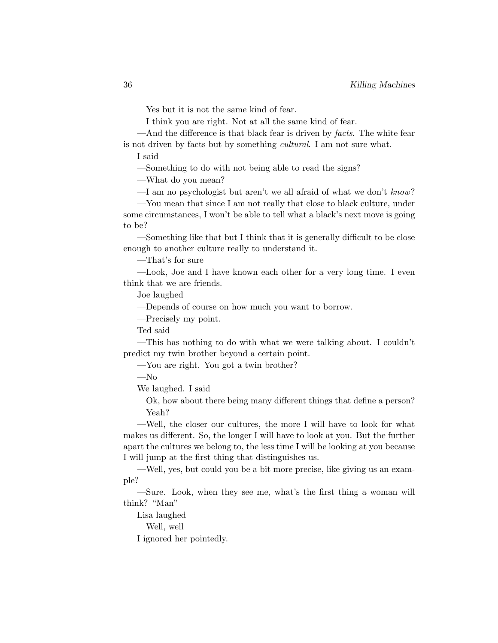—Yes but it is not the same kind of fear.

—I think you are right. Not at all the same kind of fear.

—And the difference is that black fear is driven by facts. The white fear is not driven by facts but by something cultural. I am not sure what.

I said

—Something to do with not being able to read the signs?

—What do you mean?

 $-$ I am no psychologist but aren't we all afraid of what we don't know?

—You mean that since I am not really that close to black culture, under some circumstances, I won't be able to tell what a black's next move is going to be?

—Something like that but I think that it is generally difficult to be close enough to another culture really to understand it.

—That's for sure

—Look, Joe and I have known each other for a very long time. I even think that we are friends.

Joe laughed

—Depends of course on how much you want to borrow.

—Precisely my point.

Ted said

—This has nothing to do with what we were talking about. I couldn't predict my twin brother beyond a certain point.

—You are right. You got a twin brother?

—No

We laughed. I said

—Ok, how about there being many different things that define a person? —Yeah?

—Well, the closer our cultures, the more I will have to look for what makes us different. So, the longer I will have to look at you. But the further apart the cultures we belong to, the less time I will be looking at you because I will jump at the first thing that distinguishes us.

—Well, yes, but could you be a bit more precise, like giving us an example?

—Sure. Look, when they see me, what's the first thing a woman will think? "Man"

Lisa laughed

—Well, well

I ignored her pointedly.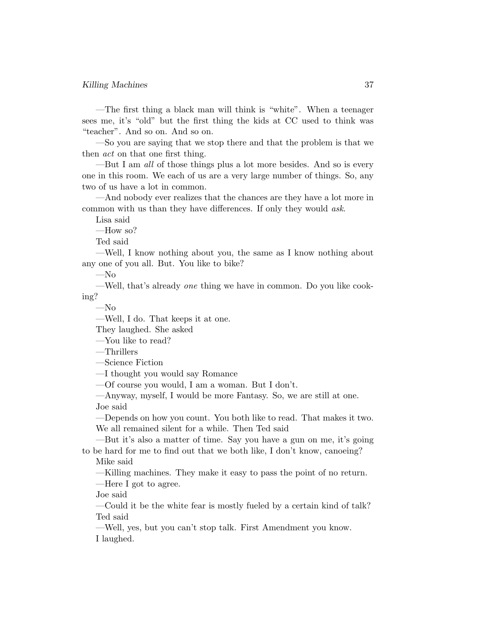—The first thing a black man will think is "white". When a teenager sees me, it's "old" but the first thing the kids at CC used to think was "teacher". And so on. And so on.

—So you are saying that we stop there and that the problem is that we then *act* on that one first thing.

—But I am all of those things plus a lot more besides. And so is every one in this room. We each of us are a very large number of things. So, any two of us have a lot in common.

—And nobody ever realizes that the chances are they have a lot more in common with us than they have differences. If only they would ask.

Lisa said

—How so?

Ted said

—Well, I know nothing about you, the same as I know nothing about any one of you all. But. You like to bike?

—No

—Well, that's already one thing we have in common. Do you like cooking?

—No

—Well, I do. That keeps it at one.

They laughed. She asked

—You like to read?

—Thrillers

—Science Fiction

—I thought you would say Romance

—Of course you would, I am a woman. But I don't.

—Anyway, myself, I would be more Fantasy. So, we are still at one. Joe said

—Depends on how you count. You both like to read. That makes it two. We all remained silent for a while. Then Ted said

—But it's also a matter of time. Say you have a gun on me, it's going to be hard for me to find out that we both like, I don't know, canoeing?

Mike said

—Killing machines. They make it easy to pass the point of no return.

—Here I got to agree.

Joe said

—Could it be the white fear is mostly fueled by a certain kind of talk? Ted said

—Well, yes, but you can't stop talk. First Amendment you know. I laughed.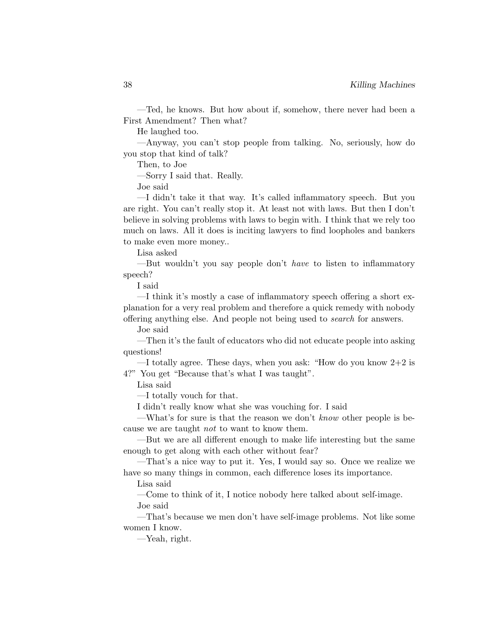—Ted, he knows. But how about if, somehow, there never had been a First Amendment? Then what?

He laughed too.

—Anyway, you can't stop people from talking. No, seriously, how do you stop that kind of talk?

Then, to Joe

—Sorry I said that. Really.

Joe said

—I didn't take it that way. It's called inflammatory speech. But you are right. You can't really stop it. At least not with laws. But then I don't believe in solving problems with laws to begin with. I think that we rely too much on laws. All it does is inciting lawyers to find loopholes and bankers to make even more money..

Lisa asked

—But wouldn't you say people don't have to listen to inflammatory speech?

I said

—I think it's mostly a case of inflammatory speech offering a short explanation for a very real problem and therefore a quick remedy with nobody offering anything else. And people not being used to search for answers.

Joe said

—Then it's the fault of educators who did not educate people into asking questions!

 $-$ I totally agree. These days, when you ask: "How do you know  $2+2$  is 4?" You get "Because that's what I was taught".

Lisa said

—I totally vouch for that.

I didn't really know what she was vouching for. I said

—What's for sure is that the reason we don't know other people is because we are taught not to want to know them.

—But we are all different enough to make life interesting but the same enough to get along with each other without fear?

—That's a nice way to put it. Yes, I would say so. Once we realize we have so many things in common, each difference loses its importance.

Lisa said

—Come to think of it, I notice nobody here talked about self-image. Joe said

—That's because we men don't have self-image problems. Not like some women I know.

—Yeah, right.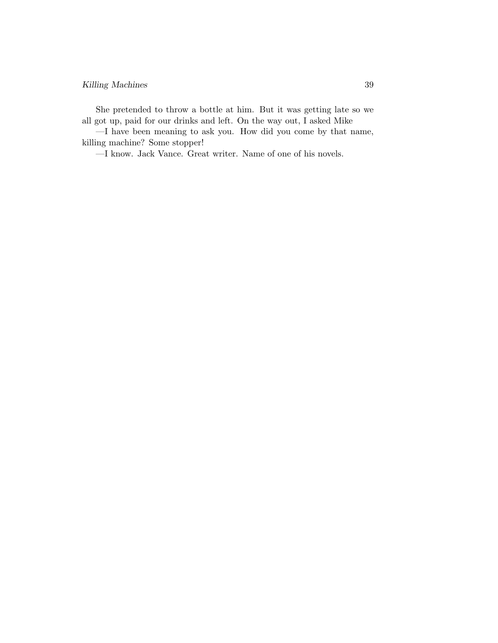She pretended to throw a bottle at him. But it was getting late so we all got up, paid for our drinks and left. On the way out, I asked Mike

—I have been meaning to ask you. How did you come by that name, killing machine? Some stopper!

—I know. Jack Vance. Great writer. Name of one of his novels.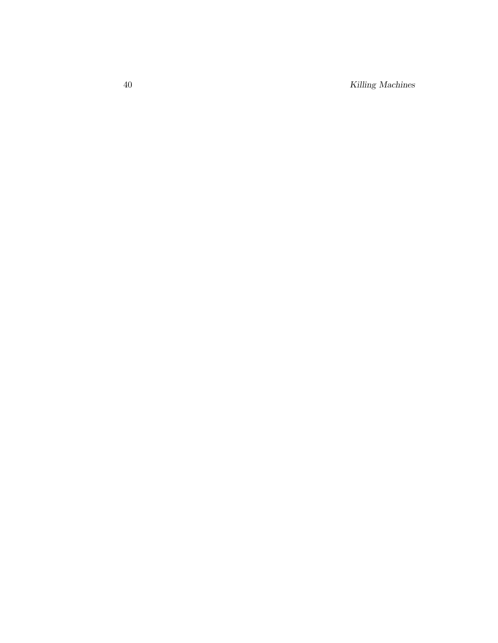Killing Machines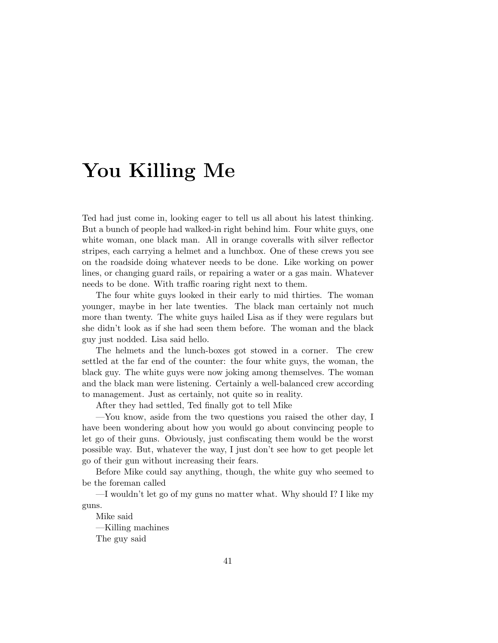# You Killing Me

Ted had just come in, looking eager to tell us all about his latest thinking. But a bunch of people had walked-in right behind him. Four white guys, one white woman, one black man. All in orange coveralls with silver reflector stripes, each carrying a helmet and a lunchbox. One of these crews you see on the roadside doing whatever needs to be done. Like working on power lines, or changing guard rails, or repairing a water or a gas main. Whatever needs to be done. With traffic roaring right next to them.

The four white guys looked in their early to mid thirties. The woman younger, maybe in her late twenties. The black man certainly not much more than twenty. The white guys hailed Lisa as if they were regulars but she didn't look as if she had seen them before. The woman and the black guy just nodded. Lisa said hello.

The helmets and the lunch-boxes got stowed in a corner. The crew settled at the far end of the counter: the four white guys, the woman, the black guy. The white guys were now joking among themselves. The woman and the black man were listening. Certainly a well-balanced crew according to management. Just as certainly, not quite so in reality.

After they had settled, Ted finally got to tell Mike

—You know, aside from the two questions you raised the other day, I have been wondering about how you would go about convincing people to let go of their guns. Obviously, just confiscating them would be the worst possible way. But, whatever the way, I just don't see how to get people let go of their gun without increasing their fears.

Before Mike could say anything, though, the white guy who seemed to be the foreman called

—I wouldn't let go of my guns no matter what. Why should I? I like my guns.

Mike said —Killing machines The guy said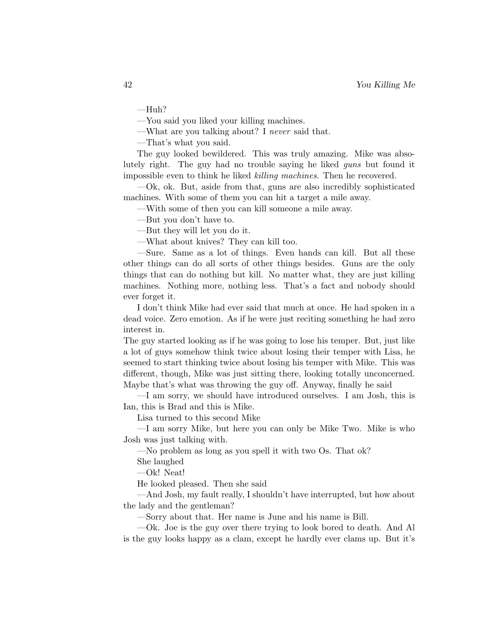—Huh?

—You said you liked your killing machines.

—What are you talking about? I never said that.

—That's what you said.

The guy looked bewildered. This was truly amazing. Mike was absolutely right. The guy had no trouble saying he liked guns but found it impossible even to think he liked killing machines. Then he recovered.

—Ok, ok. But, aside from that, guns are also incredibly sophisticated machines. With some of them you can hit a target a mile away.

—With some of then you can kill someone a mile away.

—But you don't have to.

—But they will let you do it.

—What about knives? They can kill too.

—Sure. Same as a lot of things. Even hands can kill. But all these other things can do all sorts of other things besides. Guns are the only things that can do nothing but kill. No matter what, they are just killing machines. Nothing more, nothing less. That's a fact and nobody should ever forget it.

I don't think Mike had ever said that much at once. He had spoken in a dead voice. Zero emotion. As if he were just reciting something he had zero interest in.

The guy started looking as if he was going to lose his temper. But, just like a lot of guys somehow think twice about losing their temper with Lisa, he seemed to start thinking twice about losing his temper with Mike. This was different, though, Mike was just sitting there, looking totally unconcerned. Maybe that's what was throwing the guy off. Anyway, finally he said

—I am sorry, we should have introduced ourselves. I am Josh, this is Ian, this is Brad and this is Mike.

Lisa turned to this second Mike

—I am sorry Mike, but here you can only be Mike Two. Mike is who Josh was just talking with.

—No problem as long as you spell it with two Os. That ok?

She laughed

—Ok! Neat!

He looked pleased. Then she said

—And Josh, my fault really, I shouldn't have interrupted, but how about the lady and the gentleman?

—Sorry about that. Her name is June and his name is Bill.

—Ok. Joe is the guy over there trying to look bored to death. And Al is the guy looks happy as a clam, except he hardly ever clams up. But it's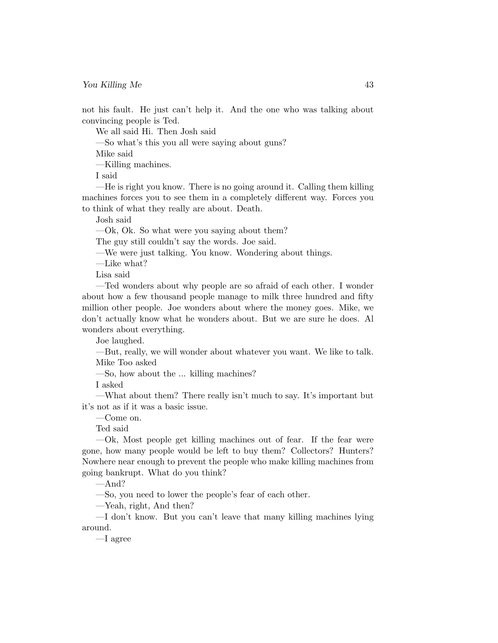not his fault. He just can't help it. And the one who was talking about convincing people is Ted.

We all said Hi. Then Josh said

—So what's this you all were saying about guns?

Mike said

—Killing machines.

I said

—He is right you know. There is no going around it. Calling them killing machines forces you to see them in a completely different way. Forces you to think of what they really are about. Death.

Josh said

—Ok, Ok. So what were you saying about them?

The guy still couldn't say the words. Joe said.

—We were just talking. You know. Wondering about things.

—Like what?

Lisa said

—Ted wonders about why people are so afraid of each other. I wonder about how a few thousand people manage to milk three hundred and fifty million other people. Joe wonders about where the money goes. Mike, we don't actually know what he wonders about. But we are sure he does. Al wonders about everything.

Joe laughed.

—But, really, we will wonder about whatever you want. We like to talk. Mike Too asked

—So, how about the ... killing machines?

I asked

—What about them? There really isn't much to say. It's important but it's not as if it was a basic issue.

—Come on.

Ted said

—Ok, Most people get killing machines out of fear. If the fear were gone, how many people would be left to buy them? Collectors? Hunters? Nowhere near enough to prevent the people who make killing machines from going bankrupt. What do you think?

—And?

—So, you need to lower the people's fear of each other.

—Yeah, right, And then?

—I don't know. But you can't leave that many killing machines lying around.

—I agree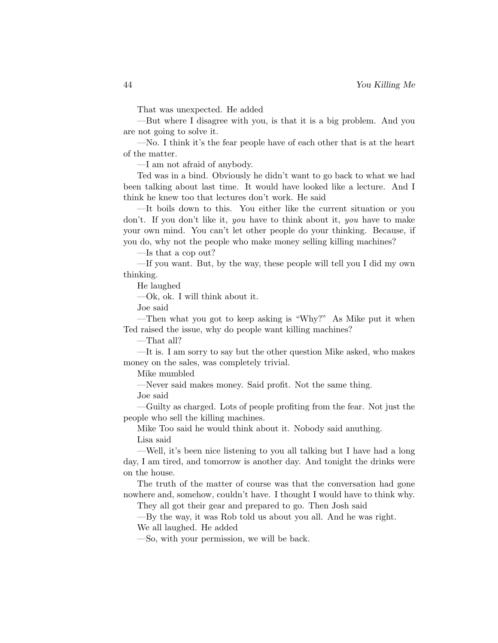That was unexpected. He added

—But where I disagree with you, is that it is a big problem. And you are not going to solve it.

—No. I think it's the fear people have of each other that is at the heart of the matter.

—I am not afraid of anybody.

Ted was in a bind. Obviously he didn't want to go back to what we had been talking about last time. It would have looked like a lecture. And I think he knew too that lectures don't work. He said

—It boils down to this. You either like the current situation or you don't. If you don't like it, you have to think about it, you have to make your own mind. You can't let other people do your thinking. Because, if you do, why not the people who make money selling killing machines?

—Is that a cop out?

—If you want. But, by the way, these people will tell you I did my own thinking.

He laughed

—Ok, ok. I will think about it.

Joe said

—Then what you got to keep asking is "Why?" As Mike put it when Ted raised the issue, why do people want killing machines?

—That all?

—It is. I am sorry to say but the other question Mike asked, who makes money on the sales, was completely trivial.

Mike mumbled

—Never said makes money. Said profit. Not the same thing.

Joe said

—Guilty as charged. Lots of people profiting from the fear. Not just the people who sell the killing machines.

Mike Too said he would think about it. Nobody said anuthing. Lisa said

—Well, it's been nice listening to you all talking but I have had a long day, I am tired, and tomorrow is another day. And tonight the drinks were on the house.

The truth of the matter of course was that the conversation had gone nowhere and, somehow, couldn't have. I thought I would have to think why.

They all got their gear and prepared to go. Then Josh said

—By the way, it was Rob told us about you all. And he was right.

We all laughed. He added

—So, with your permission, we will be back.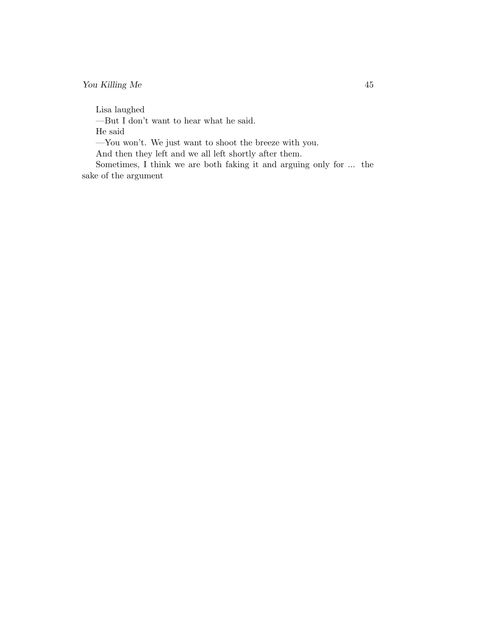### You Killing Me 45

Lisa laughed

—But I don't want to hear what he said.

He said

—You won't. We just want to shoot the breeze with you.

And then they left and we all left shortly after them.

Sometimes, I think we are both faking it and arguing only for ... the sake of the argument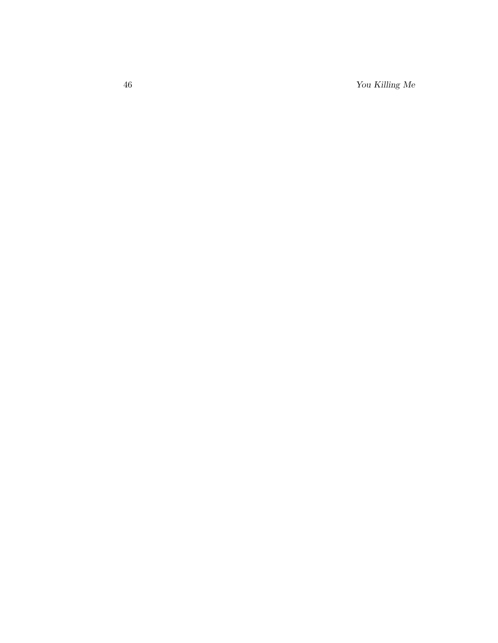You Killing Me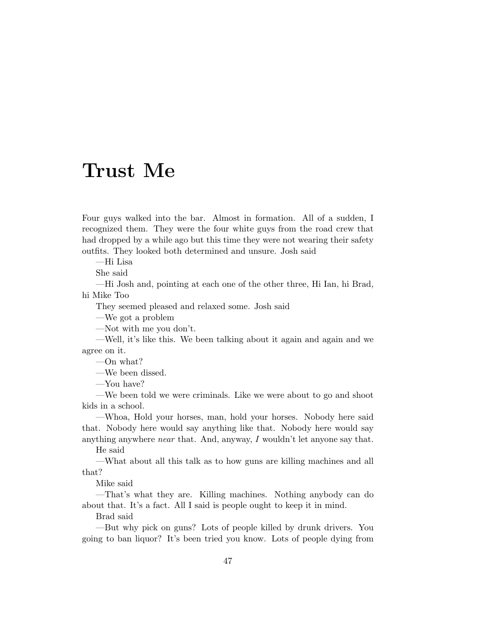### Trust Me

Four guys walked into the bar. Almost in formation. All of a sudden, I recognized them. They were the four white guys from the road crew that had dropped by a while ago but this time they were not wearing their safety outfits. They looked both determined and unsure. Josh said

—Hi Lisa

She said

—Hi Josh and, pointing at each one of the other three, Hi Ian, hi Brad, hi Mike Too

They seemed pleased and relaxed some. Josh said

—We got a problem

—Not with me you don't.

—Well, it's like this. We been talking about it again and again and we agree on it.

—On what?

—We been dissed.

—You have?

—We been told we were criminals. Like we were about to go and shoot kids in a school.

—Whoa, Hold your horses, man, hold your horses. Nobody here said that. Nobody here would say anything like that. Nobody here would say anything anywhere near that. And, anyway, I wouldn't let anyone say that.

He said

—What about all this talk as to how guns are killing machines and all that?

Mike said

—That's what they are. Killing machines. Nothing anybody can do about that. It's a fact. All I said is people ought to keep it in mind.

Brad said

—But why pick on guns? Lots of people killed by drunk drivers. You going to ban liquor? It's been tried you know. Lots of people dying from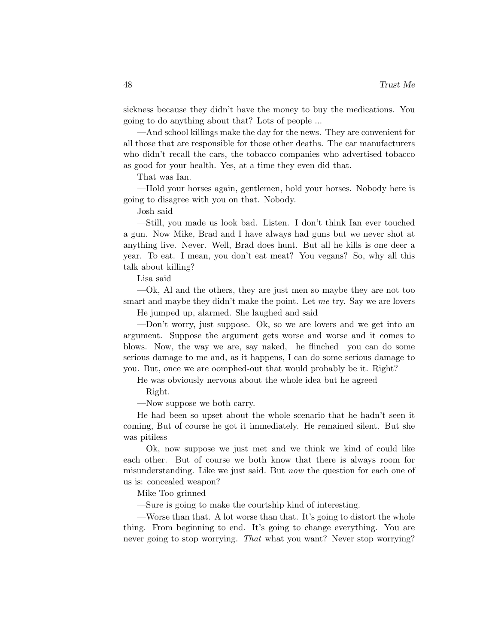sickness because they didn't have the money to buy the medications. You going to do anything about that? Lots of people ...

—And school killings make the day for the news. They are convenient for all those that are responsible for those other deaths. The car manufacturers who didn't recall the cars, the tobacco companies who advertised tobacco as good for your health. Yes, at a time they even did that.

That was Ian.

—Hold your horses again, gentlemen, hold your horses. Nobody here is going to disagree with you on that. Nobody.

Josh said

—Still, you made us look bad. Listen. I don't think Ian ever touched a gun. Now Mike, Brad and I have always had guns but we never shot at anything live. Never. Well, Brad does hunt. But all he kills is one deer a year. To eat. I mean, you don't eat meat? You vegans? So, why all this talk about killing?

Lisa said

—Ok, Al and the others, they are just men so maybe they are not too smart and maybe they didn't make the point. Let  $me$  try. Say we are lovers

He jumped up, alarmed. She laughed and said

—Don't worry, just suppose. Ok, so we are lovers and we get into an argument. Suppose the argument gets worse and worse and it comes to blows. Now, the way we are, say naked,—he flinched—you can do some serious damage to me and, as it happens, I can do some serious damage to you. But, once we are oomphed-out that would probably be it. Right?

He was obviously nervous about the whole idea but he agreed

—Right.

—Now suppose we both carry.

He had been so upset about the whole scenario that he hadn't seen it coming, But of course he got it immediately. He remained silent. But she was pitiless

—Ok, now suppose we just met and we think we kind of could like each other. But of course we both know that there is always room for misunderstanding. Like we just said. But now the question for each one of us is: concealed weapon?

Mike Too grinned

—Sure is going to make the courtship kind of interesting.

—Worse than that. A lot worse than that. It's going to distort the whole thing. From beginning to end. It's going to change everything. You are never going to stop worrying. That what you want? Never stop worrying?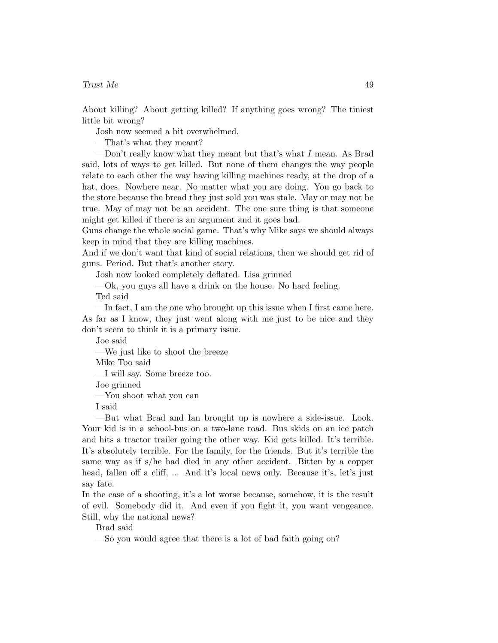#### Trust Me 49

About killing? About getting killed? If anything goes wrong? The tiniest little bit wrong?

Josh now seemed a bit overwhelmed.

—That's what they meant?

—Don't really know what they meant but that's what  $I$  mean. As Brad said, lots of ways to get killed. But none of them changes the way people relate to each other the way having killing machines ready, at the drop of a hat, does. Nowhere near. No matter what you are doing. You go back to the store because the bread they just sold you was stale. May or may not be true. May of may not be an accident. The one sure thing is that someone might get killed if there is an argument and it goes bad.

Guns change the whole social game. That's why Mike says we should always keep in mind that they are killing machines.

And if we don't want that kind of social relations, then we should get rid of guns. Period. But that's another story.

Josh now looked completely deflated. Lisa grinned

—Ok, you guys all have a drink on the house. No hard feeling. Ted said

—In fact, I am the one who brought up this issue when I first came here. As far as I know, they just went along with me just to be nice and they don't seem to think it is a primary issue.

Joe said

—We just like to shoot the breeze

Mike Too said

—I will say. Some breeze too.

Joe grinned

—You shoot what you can

I said

—But what Brad and Ian brought up is nowhere a side-issue. Look. Your kid is in a school-bus on a two-lane road. Bus skids on an ice patch and hits a tractor trailer going the other way. Kid gets killed. It's terrible. It's absolutely terrible. For the family, for the friends. But it's terrible the same way as if s/he had died in any other accident. Bitten by a copper head, fallen off a cliff, ... And it's local news only. Because it's, let's just say fate.

In the case of a shooting, it's a lot worse because, somehow, it is the result of evil. Somebody did it. And even if you fight it, you want vengeance. Still, why the national news?

Brad said

—So you would agree that there is a lot of bad faith going on?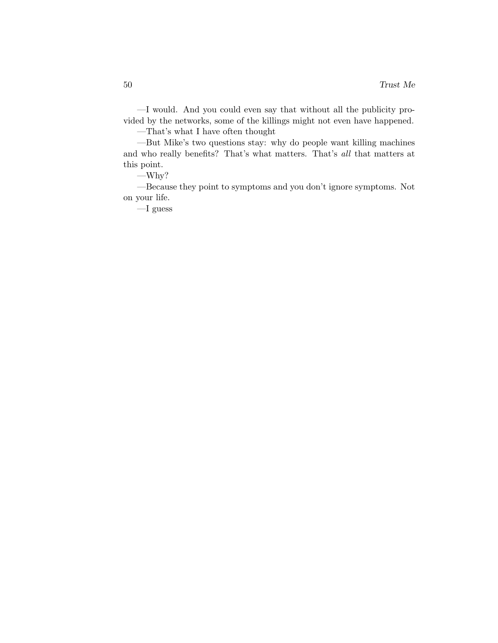—I would. And you could even say that without all the publicity provided by the networks, some of the killings might not even have happened.

—That's what I have often thought

—But Mike's two questions stay: why do people want killing machines and who really benefits? That's what matters. That's all that matters at this point.

—Why?

—Because they point to symptoms and you don't ignore symptoms. Not on your life.

—I guess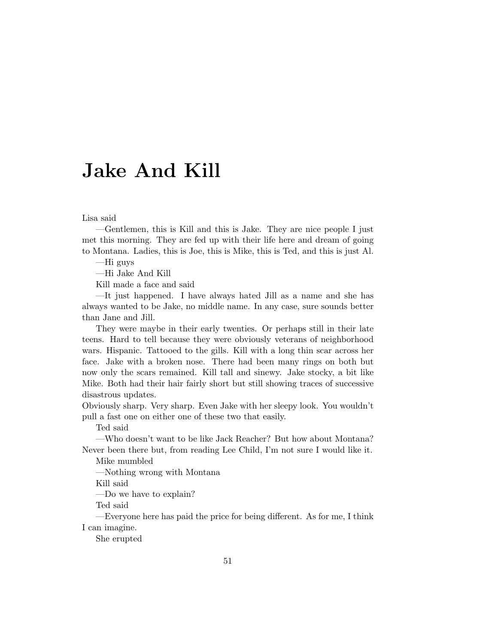## Jake And Kill

#### Lisa said

—Gentlemen, this is Kill and this is Jake. They are nice people I just met this morning. They are fed up with their life here and dream of going to Montana. Ladies, this is Joe, this is Mike, this is Ted, and this is just Al.

—Hi guys

—Hi Jake And Kill

Kill made a face and said

—It just happened. I have always hated Jill as a name and she has always wanted to be Jake, no middle name. In any case, sure sounds better than Jane and Jill.

They were maybe in their early twenties. Or perhaps still in their late teens. Hard to tell because they were obviously veterans of neighborhood wars. Hispanic. Tattooed to the gills. Kill with a long thin scar across her face. Jake with a broken nose. There had been many rings on both but now only the scars remained. Kill tall and sinewy. Jake stocky, a bit like Mike. Both had their hair fairly short but still showing traces of successive disastrous updates.

Obviously sharp. Very sharp. Even Jake with her sleepy look. You wouldn't pull a fast one on either one of these two that easily.

Ted said

—Who doesn't want to be like Jack Reacher? But how about Montana? Never been there but, from reading Lee Child, I'm not sure I would like it.

Mike mumbled

—Nothing wrong with Montana

Kill said

—Do we have to explain?

Ted said

—Everyone here has paid the price for being different. As for me, I think I can imagine.

She erupted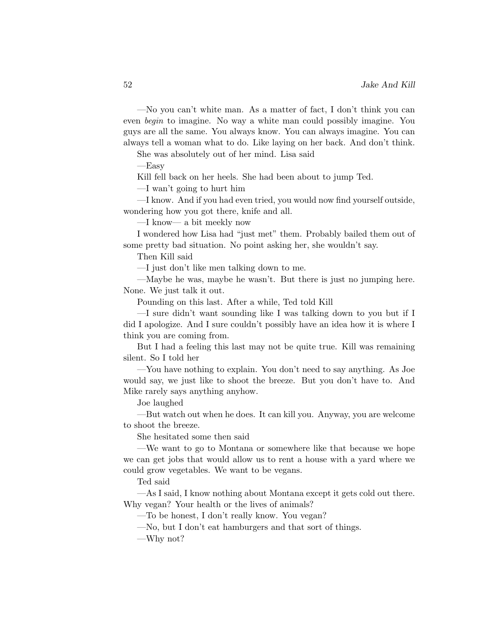—No you can't white man. As a matter of fact, I don't think you can even begin to imagine. No way a white man could possibly imagine. You guys are all the same. You always know. You can always imagine. You can always tell a woman what to do. Like laying on her back. And don't think.

She was absolutely out of her mind. Lisa said

—Easy

Kill fell back on her heels. She had been about to jump Ted.

—I wan't going to hurt him

—I know. And if you had even tried, you would now find yourself outside, wondering how you got there, knife and all.

—I know— a bit meekly now

I wondered how Lisa had "just met" them. Probably bailed them out of some pretty bad situation. No point asking her, she wouldn't say.

Then Kill said

—I just don't like men talking down to me.

—Maybe he was, maybe he wasn't. But there is just no jumping here. None. We just talk it out.

Pounding on this last. After a while, Ted told Kill

—I sure didn't want sounding like I was talking down to you but if I did I apologize. And I sure couldn't possibly have an idea how it is where I think you are coming from.

But I had a feeling this last may not be quite true. Kill was remaining silent. So I told her

—You have nothing to explain. You don't need to say anything. As Joe would say, we just like to shoot the breeze. But you don't have to. And Mike rarely says anything anyhow.

Joe laughed

—But watch out when he does. It can kill you. Anyway, you are welcome to shoot the breeze.

She hesitated some then said

—We want to go to Montana or somewhere like that because we hope we can get jobs that would allow us to rent a house with a yard where we could grow vegetables. We want to be vegans.

Ted said

—As I said, I know nothing about Montana except it gets cold out there. Why vegan? Your health or the lives of animals?

—To be honest, I don't really know. You vegan?

—No, but I don't eat hamburgers and that sort of things.

—Why not?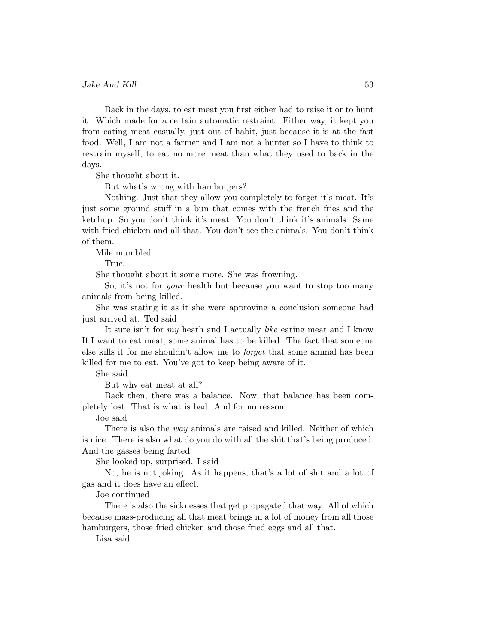—Back in the days, to eat meat you first either had to raise it or to hunt it. Which made for a certain automatic restraint. Either way, it kept you from eating meat casually, just out of habit, just because it is at the fast food. Well, I am not a farmer and I am not a hunter so I have to think to restrain myself, to eat no more meat than what they used to back in the days.

She thought about it.

—But what's wrong with hamburgers?

—Nothing. Just that they allow you completely to forget it's meat. It's just some ground stuff in a bun that comes with the french fries and the ketchup. So you don't think it's meat. You don't think it's animals. Same with fried chicken and all that. You don't see the animals. You don't think of them.

Mile mumbled

—True.

She thought about it some more. She was frowning.

—So, it's not for your health but because you want to stop too many animals from being killed.

She was stating it as it she were approving a conclusion someone had just arrived at. Ted said

—It sure isn't for  $my$  heath and I actually *like* eating meat and I know If I want to eat meat, some animal has to be killed. The fact that someone else kills it for me shouldn't allow me to forget that some animal has been killed for me to eat. You've got to keep being aware of it.

She said

—But why eat meat at all?

—Back then, there was a balance. Now, that balance has been completely lost. That is what is bad. And for no reason.

Joe said

—There is also the way animals are raised and killed. Neither of which is nice. There is also what do you do with all the shit that's being produced. And the gasses being farted.

She looked up, surprised. I said

—No, he is not joking. As it happens, that's a lot of shit and a lot of gas and it does have an effect.

Joe continued

—There is also the sicknesses that get propagated that way. All of which because mass-producing all that meat brings in a lot of money from all those hamburgers, those fried chicken and those fried eggs and all that.

Lisa said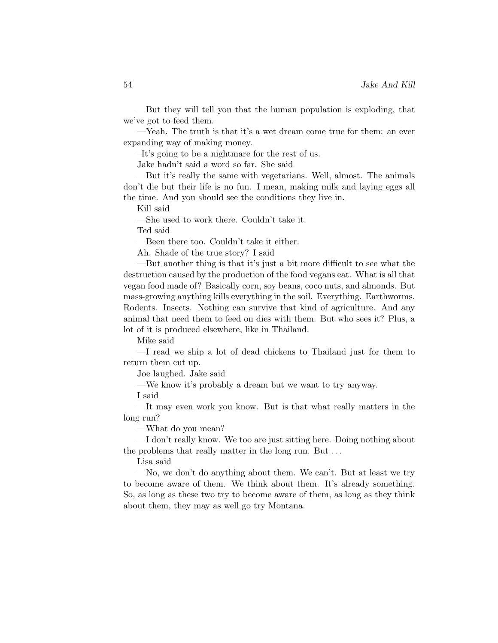—But they will tell you that the human population is exploding, that we've got to feed them.

—Yeah. The truth is that it's a wet dream come true for them: an ever expanding way of making money.

–It's going to be a nightmare for the rest of us.

Jake hadn't said a word so far. She said

—But it's really the same with vegetarians. Well, almost. The animals don't die but their life is no fun. I mean, making milk and laying eggs all the time. And you should see the conditions they live in.

Kill said

—She used to work there. Couldn't take it.

Ted said

—Been there too. Couldn't take it either.

Ah. Shade of the true story? I said

—But another thing is that it's just a bit more difficult to see what the destruction caused by the production of the food vegans eat. What is all that vegan food made of? Basically corn, soy beans, coco nuts, and almonds. But mass-growing anything kills everything in the soil. Everything. Earthworms. Rodents. Insects. Nothing can survive that kind of agriculture. And any animal that need them to feed on dies with them. But who sees it? Plus, a lot of it is produced elsewhere, like in Thailand.

Mike said

—I read we ship a lot of dead chickens to Thailand just for them to return them cut up.

Joe laughed. Jake said

—We know it's probably a dream but we want to try anyway.

I said

—It may even work you know. But is that what really matters in the long run?

—What do you mean?

—I don't really know. We too are just sitting here. Doing nothing about the problems that really matter in the long run. But . . .

Lisa said

—No, we don't do anything about them. We can't. But at least we try to become aware of them. We think about them. It's already something. So, as long as these two try to become aware of them, as long as they think about them, they may as well go try Montana.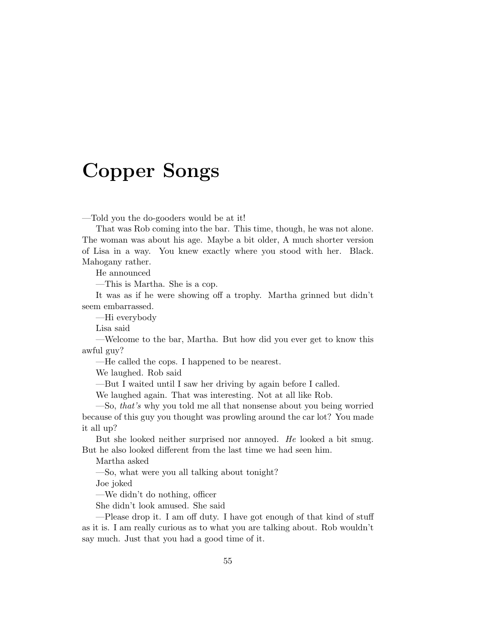## Copper Songs

—Told you the do-gooders would be at it!

That was Rob coming into the bar. This time, though, he was not alone. The woman was about his age. Maybe a bit older, A much shorter version of Lisa in a way. You knew exactly where you stood with her. Black. Mahogany rather.

He announced

—This is Martha. She is a cop.

It was as if he were showing off a trophy. Martha grinned but didn't seem embarrassed.

—Hi everybody

Lisa said

—Welcome to the bar, Martha. But how did you ever get to know this awful guy?

—He called the cops. I happened to be nearest.

We laughed. Rob said

—But I waited until I saw her driving by again before I called.

We laughed again. That was interesting. Not at all like Rob.

—So, that's why you told me all that nonsense about you being worried because of this guy you thought was prowling around the car lot? You made it all up?

But she looked neither surprised nor annoyed. He looked a bit smug. But he also looked different from the last time we had seen him.

Martha asked

—So, what were you all talking about tonight?

Joe joked

—We didn't do nothing, officer

She didn't look amused. She said

—Please drop it. I am off duty. I have got enough of that kind of stuff as it is. I am really curious as to what you are talking about. Rob wouldn't say much. Just that you had a good time of it.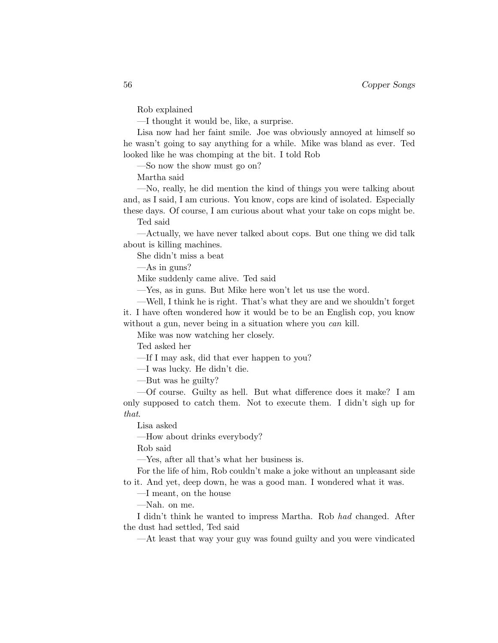Rob explained

—I thought it would be, like, a surprise.

Lisa now had her faint smile. Joe was obviously annoyed at himself so he wasn't going to say anything for a while. Mike was bland as ever. Ted looked like he was chomping at the bit. I told Rob

—So now the show must go on?

Martha said

—No, really, he did mention the kind of things you were talking about and, as I said, I am curious. You know, cops are kind of isolated. Especially these days. Of course, I am curious about what your take on cops might be.

Ted said

—Actually, we have never talked about cops. But one thing we did talk about is killing machines.

She didn't miss a beat

—As in guns?

Mike suddenly came alive. Ted said

—Yes, as in guns. But Mike here won't let us use the word.

—Well, I think he is right. That's what they are and we shouldn't forget

it. I have often wondered how it would be to be an English cop, you know without a gun, never being in a situation where you *can* kill.

Mike was now watching her closely.

Ted asked her

—If I may ask, did that ever happen to you?

—I was lucky. He didn't die.

—But was he guilty?

—Of course. Guilty as hell. But what difference does it make? I am only supposed to catch them. Not to execute them. I didn't sigh up for that.

Lisa asked

—How about drinks everybody?

Rob said

—Yes, after all that's what her business is.

For the life of him, Rob couldn't make a joke without an unpleasant side to it. And yet, deep down, he was a good man. I wondered what it was.

—I meant, on the house

—Nah. on me.

I didn't think he wanted to impress Martha. Rob had changed. After the dust had settled, Ted said

—At least that way your guy was found guilty and you were vindicated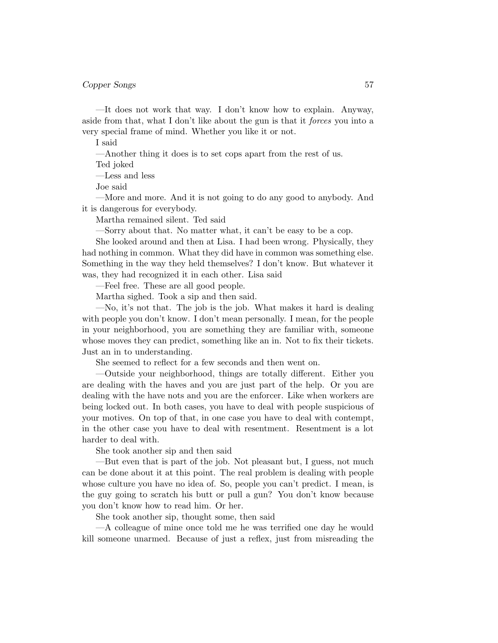#### Copper Songs 57

—It does not work that way. I don't know how to explain. Anyway, aside from that, what I don't like about the gun is that it forces you into a very special frame of mind. Whether you like it or not.

I said

—Another thing it does is to set cops apart from the rest of us.

Ted joked

—Less and less

Joe said

—More and more. And it is not going to do any good to anybody. And it is dangerous for everybody.

Martha remained silent. Ted said

—Sorry about that. No matter what, it can't be easy to be a cop.

She looked around and then at Lisa. I had been wrong. Physically, they had nothing in common. What they did have in common was something else. Something in the way they held themselves? I don't know. But whatever it was, they had recognized it in each other. Lisa said

—Feel free. These are all good people.

Martha sighed. Took a sip and then said.

—No, it's not that. The job is the job. What makes it hard is dealing with people you don't know. I don't mean personally. I mean, for the people in your neighborhood, you are something they are familiar with, someone whose moves they can predict, something like an in. Not to fix their tickets. Just an in to understanding.

She seemed to reflect for a few seconds and then went on.

—Outside your neighborhood, things are totally different. Either you are dealing with the haves and you are just part of the help. Or you are dealing with the have nots and you are the enforcer. Like when workers are being locked out. In both cases, you have to deal with people suspicious of your motives. On top of that, in one case you have to deal with contempt, in the other case you have to deal with resentment. Resentment is a lot harder to deal with.

She took another sip and then said

—But even that is part of the job. Not pleasant but, I guess, not much can be done about it at this point. The real problem is dealing with people whose culture you have no idea of. So, people you can't predict. I mean, is the guy going to scratch his butt or pull a gun? You don't know because you don't know how to read him. Or her.

She took another sip, thought some, then said

—A colleague of mine once told me he was terrified one day he would kill someone unarmed. Because of just a reflex, just from misreading the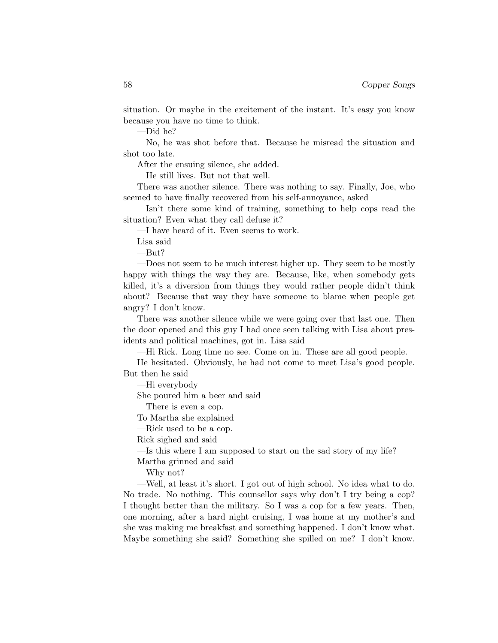situation. Or maybe in the excitement of the instant. It's easy you know because you have no time to think.

—Did he?

—No, he was shot before that. Because he misread the situation and shot too late.

After the ensuing silence, she added.

—He still lives. But not that well.

There was another silence. There was nothing to say. Finally, Joe, who seemed to have finally recovered from his self-annoyance, asked

—Isn't there some kind of training, something to help cops read the situation? Even what they call defuse it?

—I have heard of it. Even seems to work.

Lisa said

—But?

—Does not seem to be much interest higher up. They seem to be mostly happy with things the way they are. Because, like, when somebody gets killed, it's a diversion from things they would rather people didn't think about? Because that way they have someone to blame when people get angry? I don't know.

There was another silence while we were going over that last one. Then the door opened and this guy I had once seen talking with Lisa about presidents and political machines, got in. Lisa said

—Hi Rick. Long time no see. Come on in. These are all good people.

He hesitated. Obviously, he had not come to meet Lisa's good people. But then he said

—Hi everybody

She poured him a beer and said

—There is even a cop.

To Martha she explained

—Rick used to be a cop.

Rick sighed and said

—Is this where I am supposed to start on the sad story of my life?

Martha grinned and said

—Why not?

—Well, at least it's short. I got out of high school. No idea what to do. No trade. No nothing. This counsellor says why don't I try being a cop? I thought better than the military. So I was a cop for a few years. Then, one morning, after a hard night cruising, I was home at my mother's and she was making me breakfast and something happened. I don't know what. Maybe something she said? Something she spilled on me? I don't know.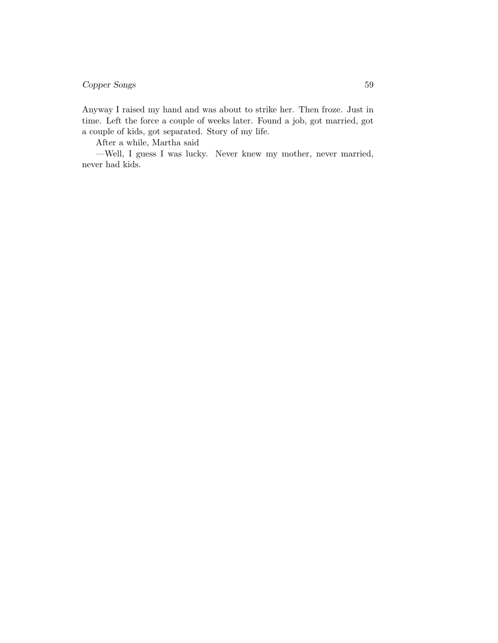#### Copper Songs 59

Anyway I raised my hand and was about to strike her. Then froze. Just in time. Left the force a couple of weeks later. Found a job, got married, got a couple of kids, got separated. Story of my life.

After a while, Martha said

—Well, I guess I was lucky. Never knew my mother, never married, never had kids.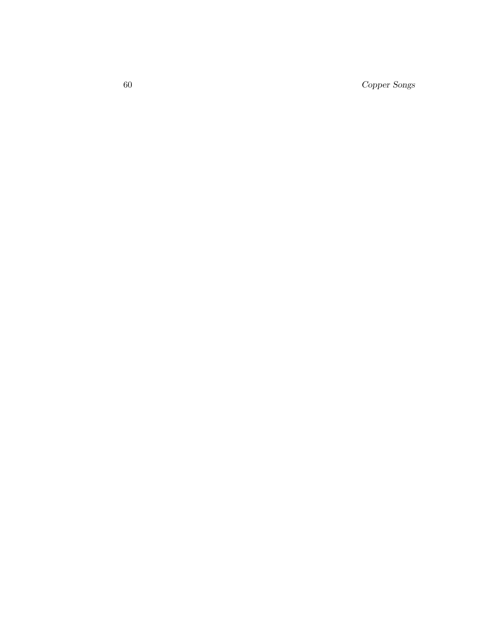Copper Songs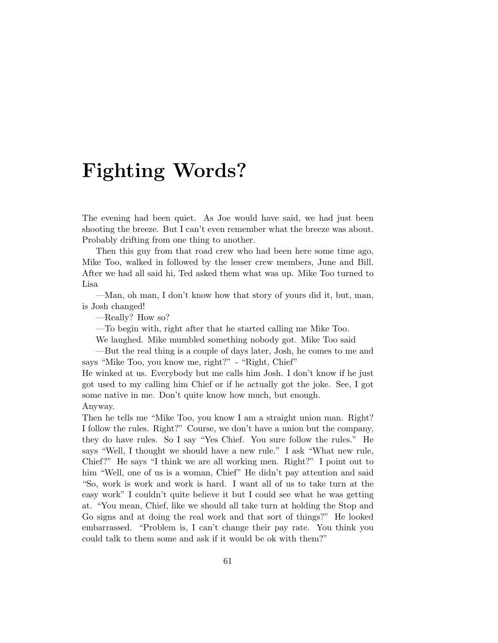# Fighting Words?

The evening had been quiet. As Joe would have said, we had just been shooting the breeze. But I can't even remember what the breeze was about. Probably drifting from one thing to another.

Then this guy from that road crew who had been here some time ago, Mike Too, walked in followed by the lesser crew members, June and Bill. After we had all said hi, Ted asked them what was up. Mike Too turned to Lisa

—Man, oh man, I don't know how that story of yours did it, but, man, is Josh changed!

—Really? How so?

—To begin with, right after that he started calling me Mike Too.

We laughed. Mike mumbled something nobody got. Mike Too said

—But the real thing is a couple of days later, Josh, he comes to me and says "Mike Too, you know me, right?" - "Right, Chief"

He winked at us. Everybody but me calls him Josh. I don't know if he just got used to my calling him Chief or if he actually got the joke. See, I got some native in me. Don't quite know how much, but enough.

Anyway.

Then he tells me "Mike Too, you know I am a straight union man. Right? I follow the rules. Right?" Course, we don't have a union but the company, they do have rules. So I say "Yes Chief. You sure follow the rules." He says "Well, I thought we should have a new rule." I ask "What new rule, Chief?" He says "I think we are all working men. Right?" I point out to him "Well, one of us is a woman, Chief" He didn't pay attention and said "So, work is work and work is hard. I want all of us to take turn at the easy work" I couldn't quite believe it but I could see what he was getting at. "You mean, Chief, like we should all take turn at holding the Stop and Go signs and at doing the real work and that sort of things?" He looked embarrassed. "Problem is, I can't change their pay rate. You think you could talk to them some and ask if it would be ok with them?"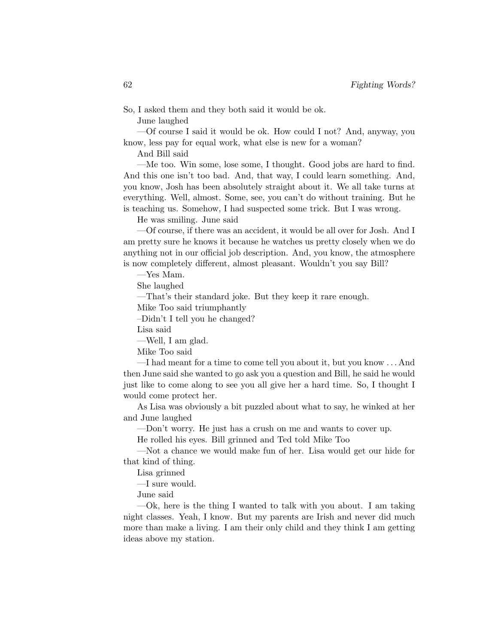So, I asked them and they both said it would be ok.

June laughed

—Of course I said it would be ok. How could I not? And, anyway, you know, less pay for equal work, what else is new for a woman?

And Bill said

—Me too. Win some, lose some, I thought. Good jobs are hard to find. And this one isn't too bad. And, that way, I could learn something. And, you know, Josh has been absolutely straight about it. We all take turns at everything. Well, almost. Some, see, you can't do without training. But he is teaching us. Somehow, I had suspected some trick. But I was wrong.

He was smiling. June said

—Of course, if there was an accident, it would be all over for Josh. And I am pretty sure he knows it because he watches us pretty closely when we do anything not in our official job description. And, you know, the atmosphere is now completely different, almost pleasant. Wouldn't you say Bill?

—Yes Mam.

She laughed

—That's their standard joke. But they keep it rare enough.

Mike Too said triumphantly

–Didn't I tell you he changed?

Lisa said

—Well, I am glad.

Mike Too said

—I had meant for a time to come tell you about it, but you know . . . And then June said she wanted to go ask you a question and Bill, he said he would just like to come along to see you all give her a hard time. So, I thought I would come protect her.

As Lisa was obviously a bit puzzled about what to say, he winked at her and June laughed

—Don't worry. He just has a crush on me and wants to cover up.

He rolled his eyes. Bill grinned and Ted told Mike Too

—Not a chance we would make fun of her. Lisa would get our hide for that kind of thing.

Lisa grinned

—I sure would.

June said

—Ok, here is the thing I wanted to talk with you about. I am taking night classes. Yeah, I know. But my parents are Irish and never did much more than make a living. I am their only child and they think I am getting ideas above my station.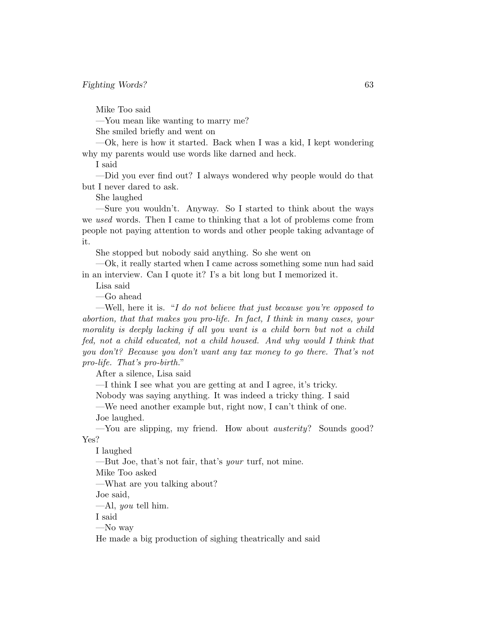Mike Too said

—You mean like wanting to marry me?

She smiled briefly and went on

—Ok, here is how it started. Back when I was a kid, I kept wondering why my parents would use words like darned and heck.

I said

—Did you ever find out? I always wondered why people would do that but I never dared to ask.

She laughed

—Sure you wouldn't. Anyway. So I started to think about the ways we used words. Then I came to thinking that a lot of problems come from people not paying attention to words and other people taking advantage of it.

She stopped but nobody said anything. So she went on

—Ok, it really started when I came across something some nun had said in an interview. Can I quote it? I's a bit long but I memorized it.

Lisa said

—Go ahead

—Well, here it is. "I do not believe that just because you're opposed to abortion, that that makes you pro-life. In fact, I think in many cases, your morality is deeply lacking if all you want is a child born but not a child fed, not a child educated, not a child housed. And why would I think that you don't? Because you don't want any tax money to go there. That's not pro-life. That's pro-birth."

After a silence, Lisa said

—I think I see what you are getting at and I agree, it's tricky.

Nobody was saying anything. It was indeed a tricky thing. I said

—We need another example but, right now, I can't think of one. Joe laughed.

—You are slipping, my friend. How about austerity? Sounds good? Yes?

I laughed

—But Joe, that's not fair, that's your turf, not mine.

Mike Too asked

—What are you talking about?

Joe said,

 $-$ Al, you tell him.

I said

—No way

He made a big production of sighing theatrically and said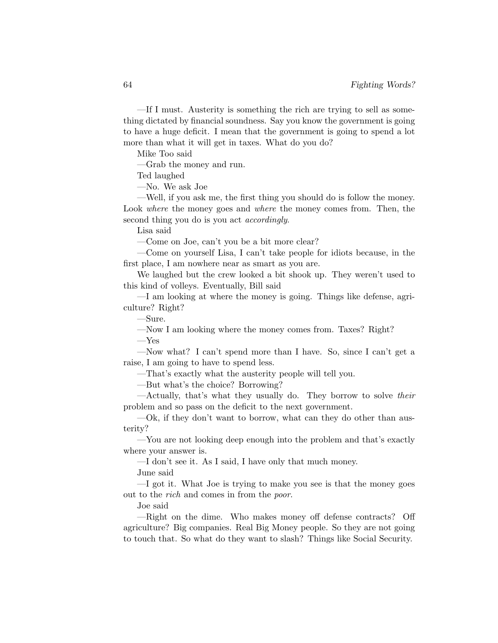—If I must. Austerity is something the rich are trying to sell as something dictated by financial soundness. Say you know the government is going to have a huge deficit. I mean that the government is going to spend a lot more than what it will get in taxes. What do you do?

Mike Too said

—Grab the money and run.

Ted laughed

—No. We ask Joe

—Well, if you ask me, the first thing you should do is follow the money. Look *where* the money goes and *where* the money comes from. Then, the second thing you do is you act *accordingly*.

Lisa said

—Come on Joe, can't you be a bit more clear?

—Come on yourself Lisa, I can't take people for idiots because, in the first place, I am nowhere near as smart as you are.

We laughed but the crew looked a bit shook up. They weren't used to this kind of volleys. Eventually, Bill said

—I am looking at where the money is going. Things like defense, agriculture? Right?

—Sure.

—Now I am looking where the money comes from. Taxes? Right?

—Yes

—Now what? I can't spend more than I have. So, since I can't get a raise, I am going to have to spend less.

—That's exactly what the austerity people will tell you.

—But what's the choice? Borrowing?

—Actually, that's what they usually do. They borrow to solve their problem and so pass on the deficit to the next government.

—Ok, if they don't want to borrow, what can they do other than austerity?

—You are not looking deep enough into the problem and that's exactly where your answer is.

—I don't see it. As I said, I have only that much money.

June said

—I got it. What Joe is trying to make you see is that the money goes out to the rich and comes in from the poor.

Joe said

—Right on the dime. Who makes money off defense contracts? Off agriculture? Big companies. Real Big Money people. So they are not going to touch that. So what do they want to slash? Things like Social Security.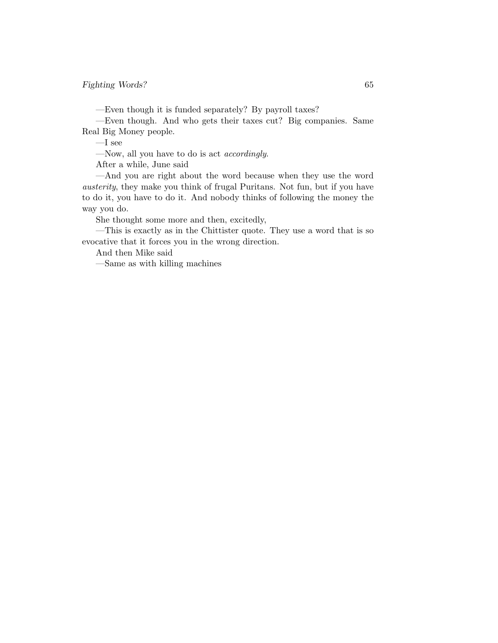#### Fighting Words? 65

—Even though it is funded separately? By payroll taxes?

—Even though. And who gets their taxes cut? Big companies. Same Real Big Money people.

—I see

—Now, all you have to do is act accordingly.

After a while, June said

—And you are right about the word because when they use the word austerity, they make you think of frugal Puritans. Not fun, but if you have to do it, you have to do it. And nobody thinks of following the money the way you do.

She thought some more and then, excitedly,

—This is exactly as in the Chittister quote. They use a word that is so evocative that it forces you in the wrong direction.

And then Mike said

—Same as with killing machines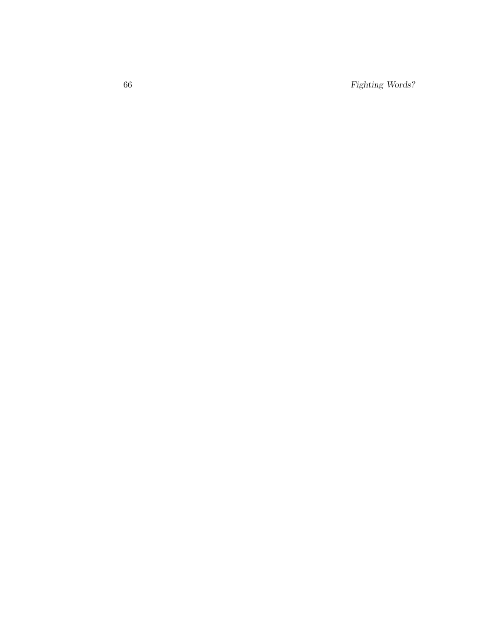Fighting Words?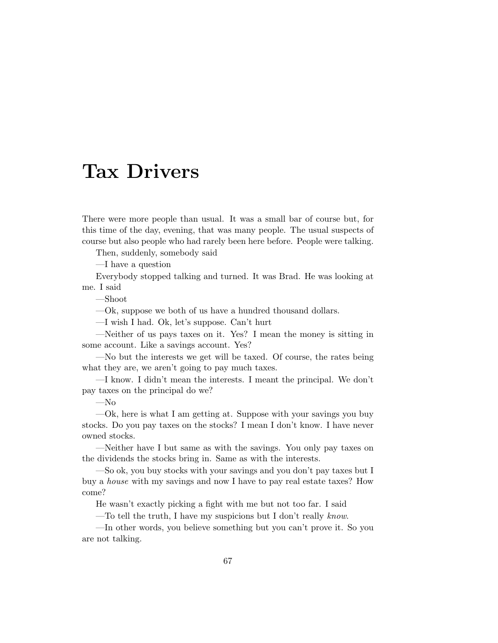### Tax Drivers

There were more people than usual. It was a small bar of course but, for this time of the day, evening, that was many people. The usual suspects of course but also people who had rarely been here before. People were talking.

Then, suddenly, somebody said

—I have a question

Everybody stopped talking and turned. It was Brad. He was looking at me. I said

—Shoot

—Ok, suppose we both of us have a hundred thousand dollars.

—I wish I had. Ok, let's suppose. Can't hurt

—Neither of us pays taxes on it. Yes? I mean the money is sitting in some account. Like a savings account. Yes?

—No but the interests we get will be taxed. Of course, the rates being what they are, we aren't going to pay much taxes.

—I know. I didn't mean the interests. I meant the principal. We don't pay taxes on the principal do we?

—No

—Ok, here is what I am getting at. Suppose with your savings you buy stocks. Do you pay taxes on the stocks? I mean I don't know. I have never owned stocks.

—Neither have I but same as with the savings. You only pay taxes on the dividends the stocks bring in. Same as with the interests.

—So ok, you buy stocks with your savings and you don't pay taxes but I buy a house with my savings and now I have to pay real estate taxes? How come?

He wasn't exactly picking a fight with me but not too far. I said

—To tell the truth, I have my suspicions but I don't really know.

—In other words, you believe something but you can't prove it. So you are not talking.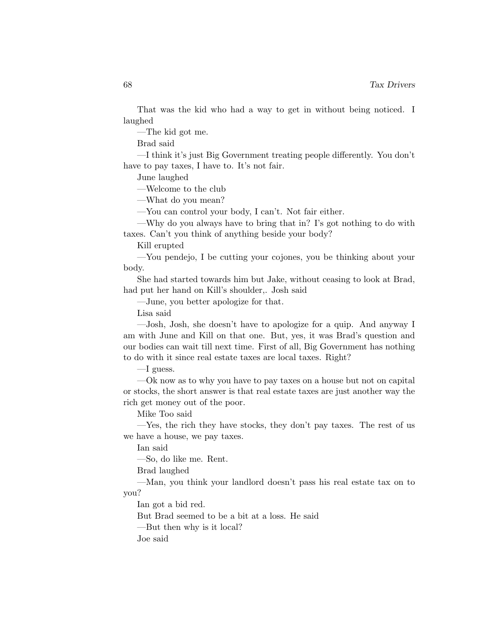That was the kid who had a way to get in without being noticed. I laughed

—The kid got me.

Brad said

—I think it's just Big Government treating people differently. You don't have to pay taxes, I have to. It's not fair.

June laughed

—Welcome to the club

—What do you mean?

—You can control your body, I can't. Not fair either.

—Why do you always have to bring that in? I's got nothing to do with taxes. Can't you think of anything beside your body?

Kill erupted

—You pendejo, I be cutting your cojones, you be thinking about your body.

She had started towards him but Jake, without ceasing to look at Brad, had put her hand on Kill's shoulder,. Josh said

—June, you better apologize for that.

Lisa said

—Josh, Josh, she doesn't have to apologize for a quip. And anyway I am with June and Kill on that one. But, yes, it was Brad's question and our bodies can wait till next time. First of all, Big Government has nothing to do with it since real estate taxes are local taxes. Right?

—I guess.

—Ok now as to why you have to pay taxes on a house but not on capital or stocks, the short answer is that real estate taxes are just another way the rich get money out of the poor.

Mike Too said

—Yes, the rich they have stocks, they don't pay taxes. The rest of us we have a house, we pay taxes.

Ian said

—So, do like me. Rent.

Brad laughed

—Man, you think your landlord doesn't pass his real estate tax on to you?

Ian got a bid red.

But Brad seemed to be a bit at a loss. He said

—But then why is it local?

Joe said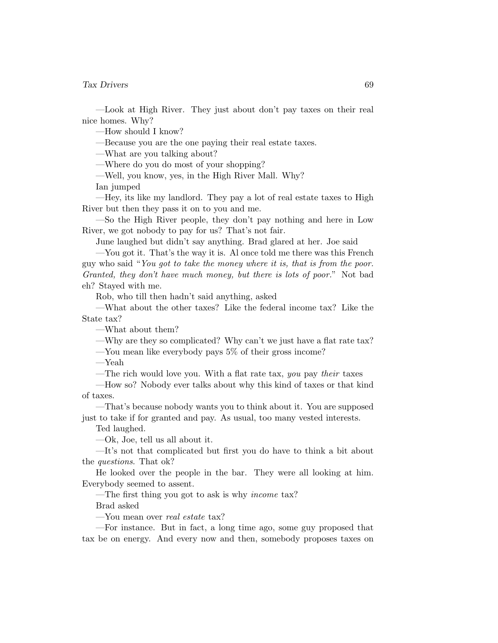—Look at High River. They just about don't pay taxes on their real nice homes. Why?

—How should I know?

—Because you are the one paying their real estate taxes.

—What are you talking about?

—Where do you do most of your shopping?

—Well, you know, yes, in the High River Mall. Why?

Ian jumped

—Hey, its like my landlord. They pay a lot of real estate taxes to High River but then they pass it on to you and me.

—So the High River people, they don't pay nothing and here in Low River, we got nobody to pay for us? That's not fair.

June laughed but didn't say anything. Brad glared at her. Joe said

—You got it. That's the way it is. Al once told me there was this French guy who said "You got to take the money where it is, that is from the poor. Granted, they don't have much money, but there is lots of poor." Not bad eh? Stayed with me.

Rob, who till then hadn't said anything, asked

—What about the other taxes? Like the federal income tax? Like the State tax?

—What about them?

—Why are they so complicated? Why can't we just have a flat rate tax?

—You mean like everybody pays 5% of their gross income?

—Yeah

—The rich would love you. With a flat rate tax, you pay their taxes

—How so? Nobody ever talks about why this kind of taxes or that kind of taxes.

—That's because nobody wants you to think about it. You are supposed just to take if for granted and pay. As usual, too many vested interests.

Ted laughed.

—Ok, Joe, tell us all about it.

—It's not that complicated but first you do have to think a bit about the questions. That ok?

He looked over the people in the bar. They were all looking at him. Everybody seemed to assent.

—The first thing you got to ask is why income tax?

Brad asked

—You mean over real estate tax?

—For instance. But in fact, a long time ago, some guy proposed that tax be on energy. And every now and then, somebody proposes taxes on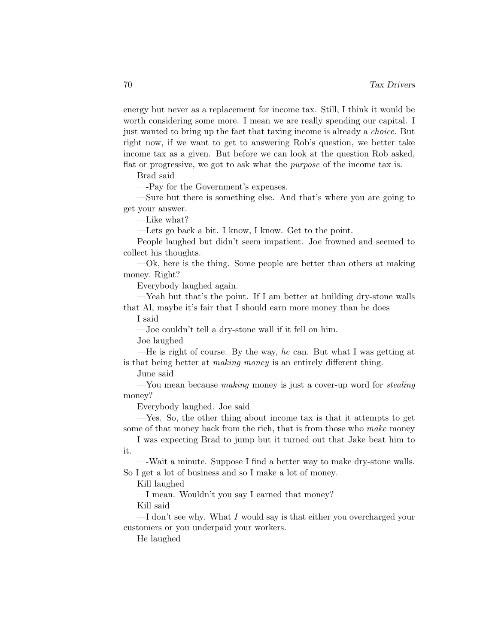energy but never as a replacement for income tax. Still, I think it would be worth considering some more. I mean we are really spending our capital. I just wanted to bring up the fact that taxing income is already a choice. But right now, if we want to get to answering Rob's question, we better take income tax as a given. But before we can look at the question Rob asked, flat or progressive, we got to ask what the purpose of the income tax is.

Brad said

—-Pay for the Government's expenses.

—Sure but there is something else. And that's where you are going to get your answer.

—Like what?

—Lets go back a bit. I know, I know. Get to the point.

People laughed but didn't seem impatient. Joe frowned and seemed to collect his thoughts.

—Ok, here is the thing. Some people are better than others at making money. Right?

Everybody laughed again.

—Yeah but that's the point. If I am better at building dry-stone walls that Al, maybe it's fair that I should earn more money than he does

I said

—Joe couldn't tell a dry-stone wall if it fell on him.

Joe laughed

—He is right of course. By the way, he can. But what I was getting at is that being better at making money is an entirely different thing.

June said

—You mean because *making* money is just a cover-up word for *stealing* money?

Everybody laughed. Joe said

—Yes. So, the other thing about income tax is that it attempts to get some of that money back from the rich, that is from those who make money

I was expecting Brad to jump but it turned out that Jake beat him to it.

—-Wait a minute. Suppose I find a better way to make dry-stone walls. So I get a lot of business and so I make a lot of money.

Kill laughed

—I mean. Wouldn't you say I earned that money?

Kill said

 $-$ I don't see why. What I would say is that either you overcharged your customers or you underpaid your workers.

He laughed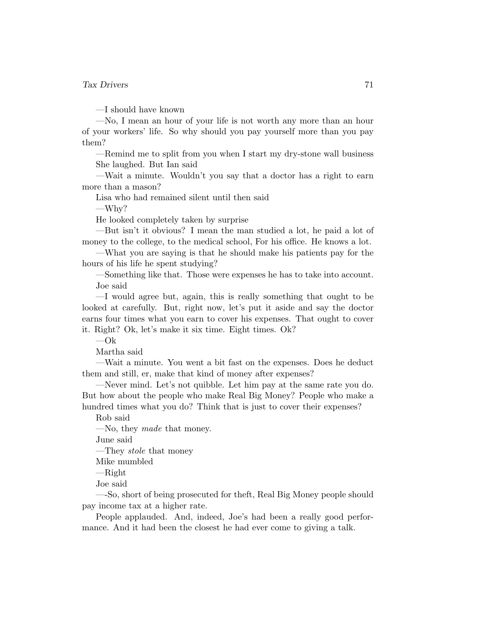—I should have known

—No, I mean an hour of your life is not worth any more than an hour of your workers' life. So why should you pay yourself more than you pay them?

—Remind me to split from you when I start my dry-stone wall business She laughed. But Ian said

—Wait a minute. Wouldn't you say that a doctor has a right to earn more than a mason?

Lisa who had remained silent until then said

—Why?

He looked completely taken by surprise

—But isn't it obvious? I mean the man studied a lot, he paid a lot of money to the college, to the medical school, For his office. He knows a lot.

—What you are saying is that he should make his patients pay for the hours of his life he spent studying?

—Something like that. Those were expenses he has to take into account. Joe said

—I would agree but, again, this is really something that ought to be looked at carefully. But, right now, let's put it aside and say the doctor earns four times what you earn to cover his expenses. That ought to cover it. Right? Ok, let's make it six time. Eight times. Ok?

—Ok

Martha said

—Wait a minute. You went a bit fast on the expenses. Does he deduct them and still, er, make that kind of money after expenses?

—Never mind. Let's not quibble. Let him pay at the same rate you do. But how about the people who make Real Big Money? People who make a hundred times what you do? Think that is just to cover their expenses?

Rob said

—No, they made that money.

June said

—They stole that money

Mike mumbled

—Right

Joe said

—-So, short of being prosecuted for theft, Real Big Money people should pay income tax at a higher rate.

People applauded. And, indeed, Joe's had been a really good performance. And it had been the closest he had ever come to giving a talk.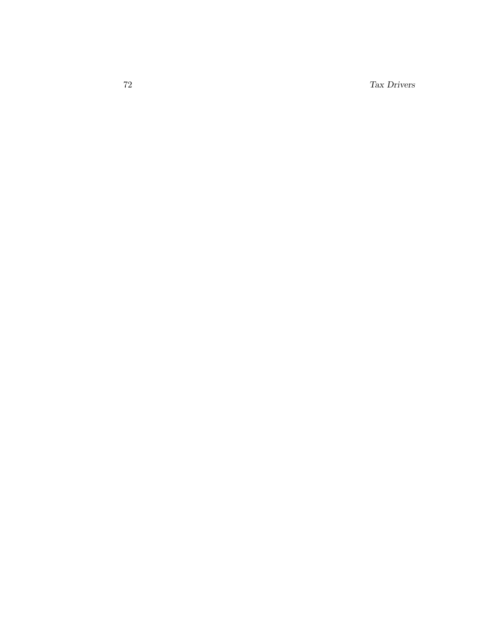Tax Drivers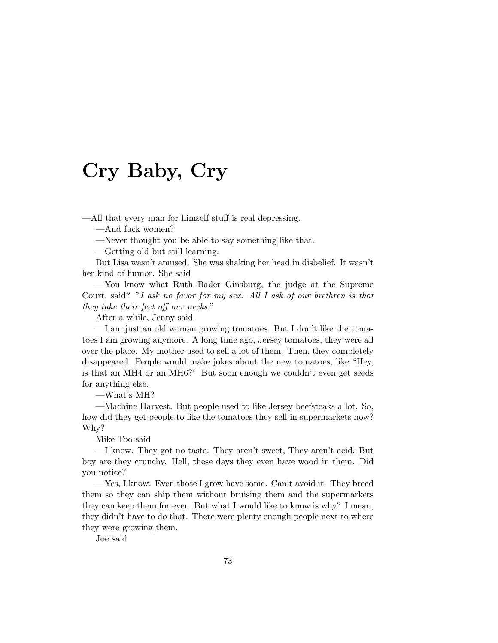# Cry Baby, Cry

—All that every man for himself stuff is real depressing.

—And fuck women?

—Never thought you be able to say something like that.

—Getting old but still learning.

But Lisa wasn't amused. She was shaking her head in disbelief. It wasn't her kind of humor. She said

—You know what Ruth Bader Ginsburg, the judge at the Supreme Court, said? "I ask no favor for my sex. All I ask of our brethren is that they take their feet off our necks."

After a while, Jenny said

—I am just an old woman growing tomatoes. But I don't like the tomatoes I am growing anymore. A long time ago, Jersey tomatoes, they were all over the place. My mother used to sell a lot of them. Then, they completely disappeared. People would make jokes about the new tomatoes, like "Hey, is that an MH4 or an MH6?" But soon enough we couldn't even get seeds for anything else.

—What's MH?

—Machine Harvest. But people used to like Jersey beefsteaks a lot. So, how did they get people to like the tomatoes they sell in supermarkets now? Why?

Mike Too said

—I know. They got no taste. They aren't sweet, They aren't acid. But boy are they crunchy. Hell, these days they even have wood in them. Did you notice?

—Yes, I know. Even those I grow have some. Can't avoid it. They breed them so they can ship them without bruising them and the supermarkets they can keep them for ever. But what I would like to know is why? I mean, they didn't have to do that. There were plenty enough people next to where they were growing them.

Joe said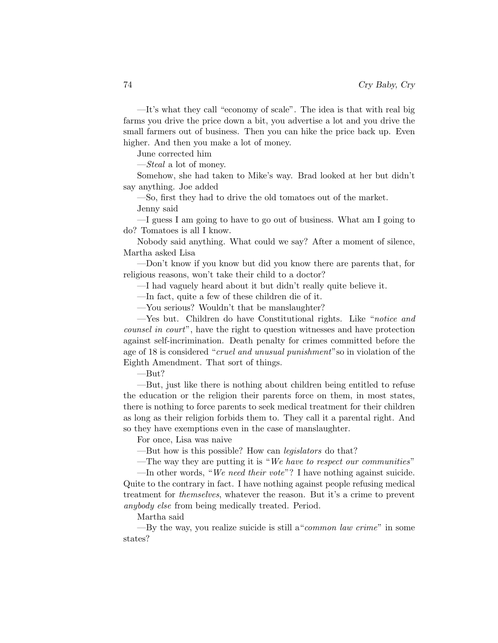—It's what they call "economy of scale". The idea is that with real big farms you drive the price down a bit, you advertise a lot and you drive the small farmers out of business. Then you can hike the price back up. Even higher. And then you make a lot of money.

June corrected him

—Steal a lot of money.

Somehow, she had taken to Mike's way. Brad looked at her but didn't say anything. Joe added

—So, first they had to drive the old tomatoes out of the market. Jenny said

—I guess I am going to have to go out of business. What am I going to do? Tomatoes is all I know.

Nobody said anything. What could we say? After a moment of silence, Martha asked Lisa

—Don't know if you know but did you know there are parents that, for religious reasons, won't take their child to a doctor?

—I had vaguely heard about it but didn't really quite believe it.

—In fact, quite a few of these children die of it.

—You serious? Wouldn't that be manslaughter?

—Yes but. Children do have Constitutional rights. Like "notice and counsel in court", have the right to question witnesses and have protection against self-incrimination. Death penalty for crimes committed before the age of 18 is considered "cruel and unusual punishment"so in violation of the Eighth Amendment. That sort of things.

—But?

—But, just like there is nothing about children being entitled to refuse the education or the religion their parents force on them, in most states, there is nothing to force parents to seek medical treatment for their children as long as their religion forbids them to. They call it a parental right. And so they have exemptions even in the case of manslaughter.

For once, Lisa was naive

—But how is this possible? How can legislators do that?

—The way they are putting it is "We have to respect our communities"

—In other words, "We need their vote"? I have nothing against suicide. Quite to the contrary in fact. I have nothing against people refusing medical treatment for themselves, whatever the reason. But it's a crime to prevent anybody else from being medically treated. Period.

Martha said

 $-$ By the way, you realize suicide is still a "*common law crime*" in some states?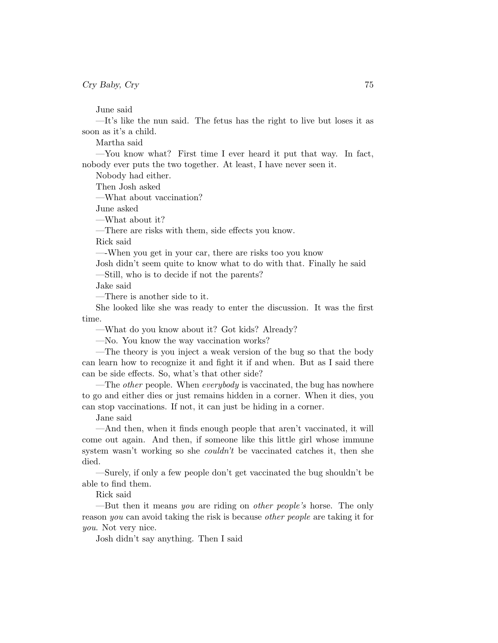June said

—It's like the nun said. The fetus has the right to live but loses it as soon as it's a child.

Martha said

—You know what? First time I ever heard it put that way. In fact, nobody ever puts the two together. At least, I have never seen it.

Nobody had either.

Then Josh asked

—What about vaccination?

June asked

—What about it?

—There are risks with them, side effects you know.

Rick said

—-When you get in your car, there are risks too you know

Josh didn't seem quite to know what to do with that. Finally he said

—Still, who is to decide if not the parents?

Jake said

—There is another side to it.

She looked like she was ready to enter the discussion. It was the first time.

—What do you know about it? Got kids? Already?

—No. You know the way vaccination works?

—The theory is you inject a weak version of the bug so that the body can learn how to recognize it and fight it if and when. But as I said there can be side effects. So, what's that other side?

—The *other* people. When *everybody* is vaccinated, the bug has nowhere to go and either dies or just remains hidden in a corner. When it dies, you can stop vaccinations. If not, it can just be hiding in a corner.

Jane said

—And then, when it finds enough people that aren't vaccinated, it will come out again. And then, if someone like this little girl whose immune system wasn't working so she couldn't be vaccinated catches it, then she died.

—Surely, if only a few people don't get vaccinated the bug shouldn't be able to find them.

Rick said

—But then it means you are riding on *other people's* horse. The only reason you can avoid taking the risk is because *other people* are taking it for you. Not very nice.

Josh didn't say anything. Then I said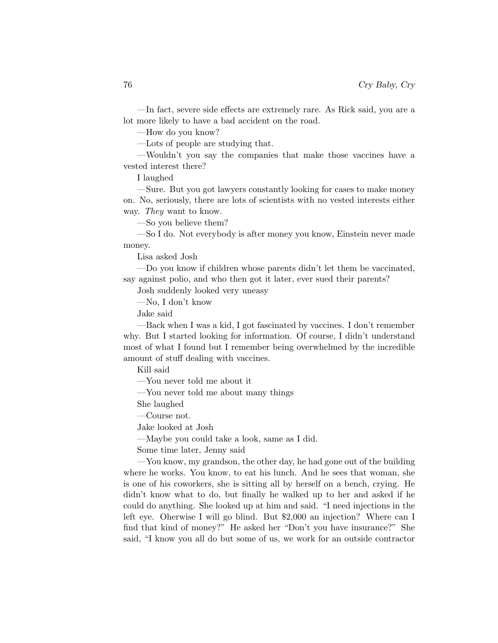—In fact, severe side effects are extremely rare. As Rick said, you are a lot more likely to have a bad accident on the road.

—How do you know?

—Lots of people are studying that.

—Wouldn't you say the companies that make those vaccines have a vested interest there?

I laughed

—Sure. But you got lawyers constantly looking for cases to make money on. No, seriously, there are lots of scientists with no vested interests either way. They want to know.

—So you believe them?

—So I do. Not everybody is after money you know, Einstein never made money.

Lisa asked Josh

—Do you know if children whose parents didn't let them be vaccinated, say against polio, and who then got it later, ever sued their parents?

Josh suddenly looked very uneasy

—No, I don't know

Jake said

—Back when I was a kid, I got fascinated by vaccines. I don't remember why. But I started looking for information. Of course, I didn't understand most of what I found but I remember being overwhelmed by the incredible amount of stuff dealing with vaccines.

Kill said

—You never told me about it

—You never told me about many things

She laughed

—Course not.

Jake looked at Josh

—Maybe you could take a look, same as I did.

Some time later, Jenny said

—You know, my grandson, the other day, he had gone out of the building where he works. You know, to eat his lunch. And he sees that woman, she is one of his coworkers, she is sitting all by herself on a bench, crying. He didn't know what to do, but finally he walked up to her and asked if he could do anything. She looked up at him and said. "I need injections in the left eye. Oherwise I will go blind. But \$2,000 an injection? Where can I find that kind of money?" He asked her "Don't you have insurance?" She said, "I know you all do but some of us, we work for an outside contractor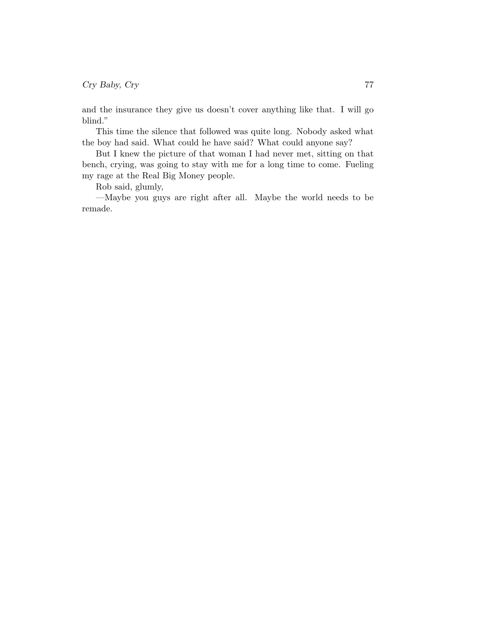and the insurance they give us doesn't cover anything like that. I will go blind."

This time the silence that followed was quite long. Nobody asked what the boy had said. What could he have said? What could anyone say?

But I knew the picture of that woman I had never met, sitting on that bench, crying, was going to stay with me for a long time to come. Fueling my rage at the Real Big Money people.

Rob said, glumly,

—Maybe you guys are right after all. Maybe the world needs to be remade.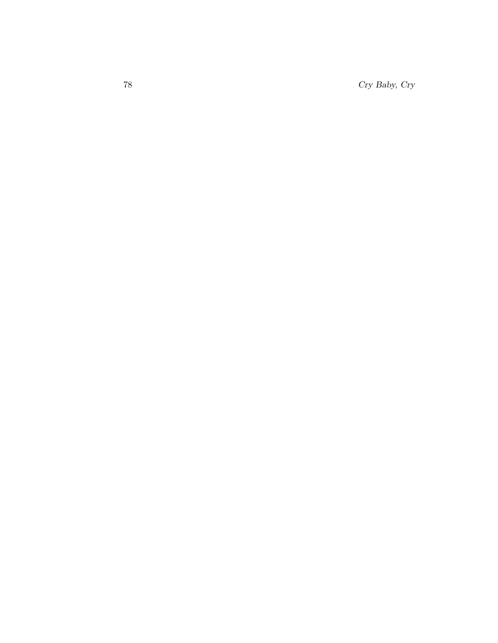Cry Baby, Cry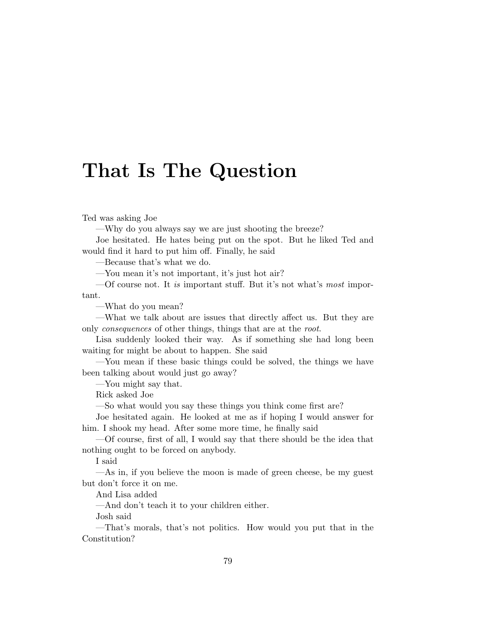#### That Is The Question

Ted was asking Joe

—Why do you always say we are just shooting the breeze?

Joe hesitated. He hates being put on the spot. But he liked Ted and would find it hard to put him off. Finally, he said

—Because that's what we do.

—You mean it's not important, it's just hot air?

—Of course not. It is important stuff. But it's not what's most important.

—What do you mean?

—What we talk about are issues that directly affect us. But they are only consequences of other things, things that are at the root.

Lisa suddenly looked their way. As if something she had long been waiting for might be about to happen. She said

—You mean if these basic things could be solved, the things we have been talking about would just go away?

—You might say that.

Rick asked Joe

—So what would you say these things you think come first are?

Joe hesitated again. He looked at me as if hoping I would answer for him. I shook my head. After some more time, he finally said

—Of course, first of all, I would say that there should be the idea that nothing ought to be forced on anybody.

I said

—As in, if you believe the moon is made of green cheese, be my guest but don't force it on me.

And Lisa added

—And don't teach it to your children either.

Josh said

—That's morals, that's not politics. How would you put that in the Constitution?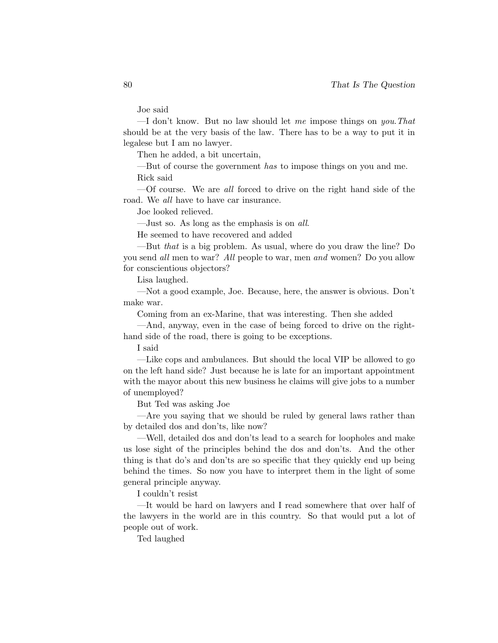Joe said

 $-1$  don't know. But no law should let me impose things on you. That should be at the very basis of the law. There has to be a way to put it in legalese but I am no lawyer.

Then he added, a bit uncertain,

—But of course the government has to impose things on you and me. Rick said

—Of course. We are all forced to drive on the right hand side of the road. We all have to have car insurance.

Joe looked relieved.

—Just so. As long as the emphasis is on all.

He seemed to have recovered and added

—But that is a big problem. As usual, where do you draw the line? Do you send all men to war? All people to war, men and women? Do you allow for conscientious objectors?

Lisa laughed.

—Not a good example, Joe. Because, here, the answer is obvious. Don't make war.

Coming from an ex-Marine, that was interesting. Then she added

—And, anyway, even in the case of being forced to drive on the righthand side of the road, there is going to be exceptions.

I said

—Like cops and ambulances. But should the local VIP be allowed to go on the left hand side? Just because he is late for an important appointment with the mayor about this new business he claims will give jobs to a number of unemployed?

But Ted was asking Joe

—Are you saying that we should be ruled by general laws rather than by detailed dos and don'ts, like now?

—Well, detailed dos and don'ts lead to a search for loopholes and make us lose sight of the principles behind the dos and don'ts. And the other thing is that do's and don'ts are so specific that they quickly end up being behind the times. So now you have to interpret them in the light of some general principle anyway.

I couldn't resist

—It would be hard on lawyers and I read somewhere that over half of the lawyers in the world are in this country. So that would put a lot of people out of work.

Ted laughed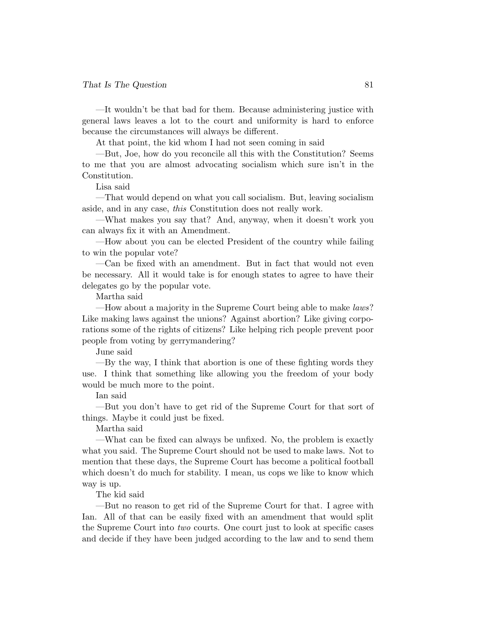—It wouldn't be that bad for them. Because administering justice with general laws leaves a lot to the court and uniformity is hard to enforce because the circumstances will always be different.

At that point, the kid whom I had not seen coming in said

—But, Joe, how do you reconcile all this with the Constitution? Seems to me that you are almost advocating socialism which sure isn't in the Constitution.

Lisa said

—That would depend on what you call socialism. But, leaving socialism aside, and in any case, this Constitution does not really work.

—What makes you say that? And, anyway, when it doesn't work you can always fix it with an Amendment.

—How about you can be elected President of the country while failing to win the popular vote?

—Can be fixed with an amendment. But in fact that would not even be necessary. All it would take is for enough states to agree to have their delegates go by the popular vote.

Martha said

—How about a majority in the Supreme Court being able to make laws? Like making laws against the unions? Against abortion? Like giving corporations some of the rights of citizens? Like helping rich people prevent poor people from voting by gerrymandering?

June said

—By the way, I think that abortion is one of these fighting words they use. I think that something like allowing you the freedom of your body would be much more to the point.

Ian said

—But you don't have to get rid of the Supreme Court for that sort of things. Maybe it could just be fixed.

Martha said

—What can be fixed can always be unfixed. No, the problem is exactly what you said. The Supreme Court should not be used to make laws. Not to mention that these days, the Supreme Court has become a political football which doesn't do much for stability. I mean, us cops we like to know which way is up.

The kid said

—But no reason to get rid of the Supreme Court for that. I agree with Ian. All of that can be easily fixed with an amendment that would split the Supreme Court into two courts. One court just to look at specific cases and decide if they have been judged according to the law and to send them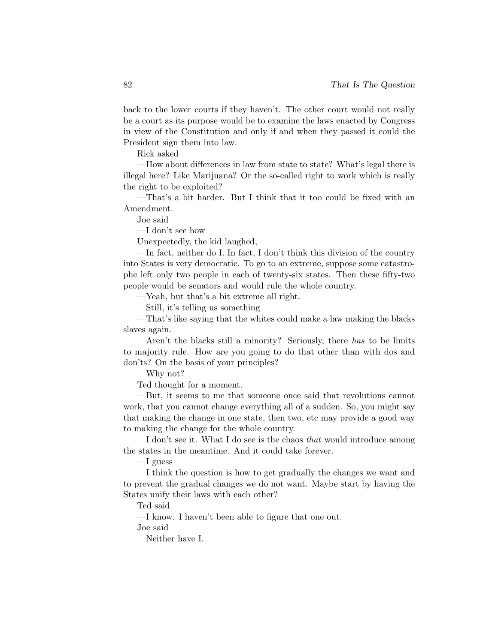back to the lower courts if they haven't. The other court would not really be a court as its purpose would be to examine the laws enacted by Congress in view of the Constitution and only if and when they passed it could the President sign them into law.

Rick asked

—How about differences in law from state to state? What's legal there is illegal here? Like Marijuana? Or the so-called right to work which is really the right to be exploited?

—That's a bit harder. But I think that it too could be fixed with an Amendment.

Joe said

—I don't see how

Unexpectedly, the kid laughed,

—In fact, neither do I. In fact, I don't think this division of the country into States is very democratic. To go to an extreme, suppose some catastrophe left only two people in each of twenty-six states. Then these fifty-two people would be senators and would rule the whole country.

—Yeah, but that's a bit extreme all right.

—Still, it's telling us something

—That's like saying that the whites could make a law making the blacks slaves again.

—Aren't the blacks still a minority? Seriously, there has to be limits to majority rule. How are you going to do that other than with dos and don'ts? On the basis of your principles?

—Why not?

Ted thought for a moment.

—But, it seems to me that someone once said that revolutions cannot work, that you cannot change everything all of a sudden. So, you might say that making the change in one state, then two, etc may provide a good way to making the change for the whole country.

 $-I$  don't see it. What I do see is the chaos *that* would introduce among the states in the meantime. And it could take forever.

—I guess

—I think the question is how to get gradually the changes we want and to prevent the gradual changes we do not want. Maybe start by having the States unify their laws with each other?

Ted said

—I know. I haven't been able to figure that one out.

Joe said

—Neither have I.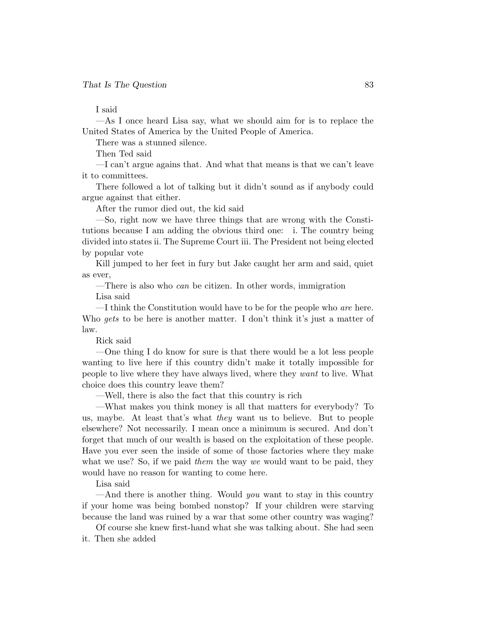I said

—As I once heard Lisa say, what we should aim for is to replace the United States of America by the United People of America.

There was a stunned silence.

Then Ted said

—I can't argue agains that. And what that means is that we can't leave it to committees.

There followed a lot of talking but it didn't sound as if anybody could argue against that either.

After the rumor died out, the kid said

—So, right now we have three things that are wrong with the Constitutions because I am adding the obvious third one: i. The country being divided into states ii. The Supreme Court iii. The President not being elected by popular vote

Kill jumped to her feet in fury but Jake caught her arm and said, quiet as ever,

—There is also who can be citizen. In other words, immigration Lisa said

—I think the Constitution would have to be for the people who are here. Who gets to be here is another matter. I don't think it's just a matter of law.

Rick said

—One thing I do know for sure is that there would be a lot less people wanting to live here if this country didn't make it totally impossible for people to live where they have always lived, where they want to live. What choice does this country leave them?

—Well, there is also the fact that this country is rich

—What makes you think money is all that matters for everybody? To us, maybe. At least that's what they want us to believe. But to people elsewhere? Not necessarily. I mean once a minimum is secured. And don't forget that much of our wealth is based on the exploitation of these people. Have you ever seen the inside of some of those factories where they make what we use? So, if we paid *them* the way we would want to be paid, they would have no reason for wanting to come here.

Lisa said

—And there is another thing. Would you want to stay in this country if your home was being bombed nonstop? If your children were starving because the land was ruined by a war that some other country was waging?

Of course she knew first-hand what she was talking about. She had seen it. Then she added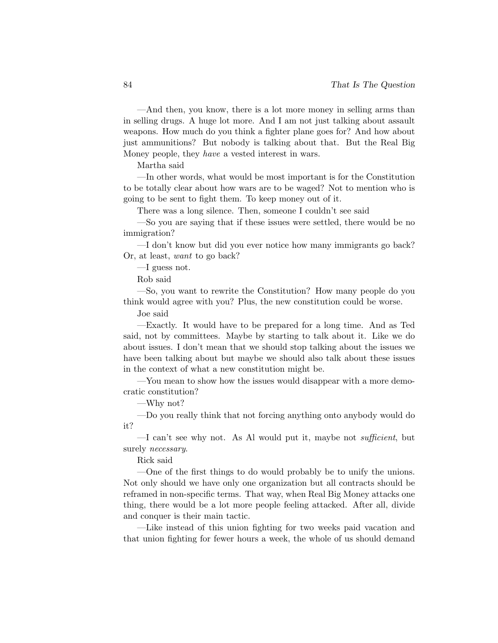—And then, you know, there is a lot more money in selling arms than in selling drugs. A huge lot more. And I am not just talking about assault weapons. How much do you think a fighter plane goes for? And how about just ammunitions? But nobody is talking about that. But the Real Big Money people, they have a vested interest in wars.

Martha said

—In other words, what would be most important is for the Constitution to be totally clear about how wars are to be waged? Not to mention who is going to be sent to fight them. To keep money out of it.

There was a long silence. Then, someone I couldn't see said

—So you are saying that if these issues were settled, there would be no immigration?

—I don't know but did you ever notice how many immigrants go back? Or, at least, want to go back?

—I guess not.

Rob said

—So, you want to rewrite the Constitution? How many people do you think would agree with you? Plus, the new constitution could be worse.

Joe said

—Exactly. It would have to be prepared for a long time. And as Ted said, not by committees. Maybe by starting to talk about it. Like we do about issues. I don't mean that we should stop talking about the issues we have been talking about but maybe we should also talk about these issues in the context of what a new constitution might be.

—You mean to show how the issues would disappear with a more democratic constitution?

—Why not?

—Do you really think that not forcing anything onto anybody would do it?

 $-$ I can't see why not. As Al would put it, maybe not *sufficient*, but surely *necessary*.

Rick said

—One of the first things to do would probably be to unify the unions. Not only should we have only one organization but all contracts should be reframed in non-specific terms. That way, when Real Big Money attacks one thing, there would be a lot more people feeling attacked. After all, divide and conquer is their main tactic.

—Like instead of this union fighting for two weeks paid vacation and that union fighting for fewer hours a week, the whole of us should demand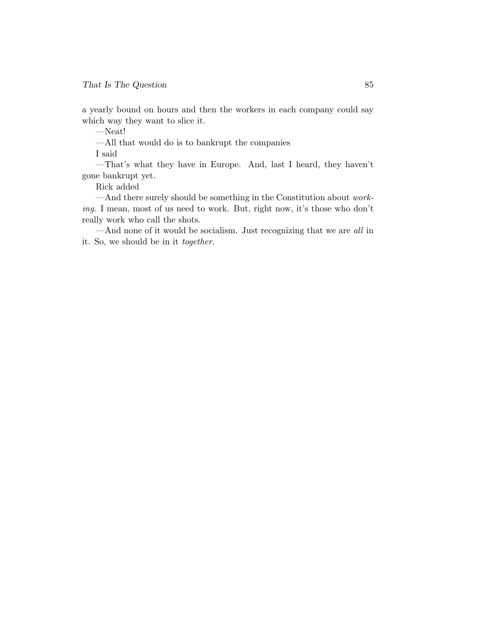a yearly bound on hours and then the workers in each company could say which way they want to slice it.

—Neat!

—All that would do is to bankrupt the companies

I said

—That's what they have in Europe. And, last I heard, they haven't gone bankrupt yet.

Rick added

—And there surely should be something in the Constitution about working. I mean, most of us need to work. But, right now, it's those who don't really work who call the shots.

—And none of it would be socialism. Just recognizing that we are all in it. So, we should be in it together.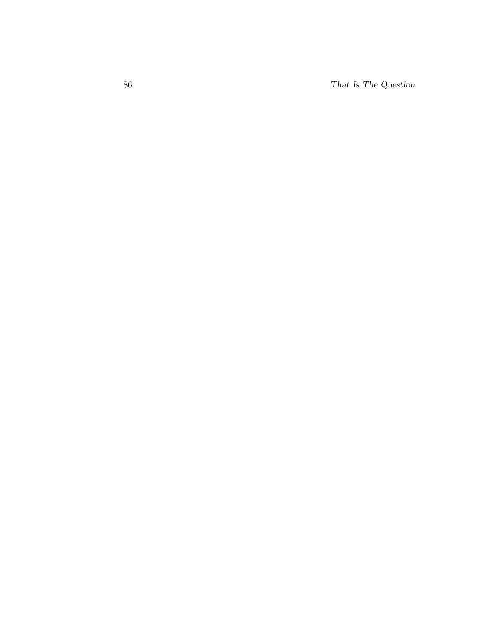That Is The Question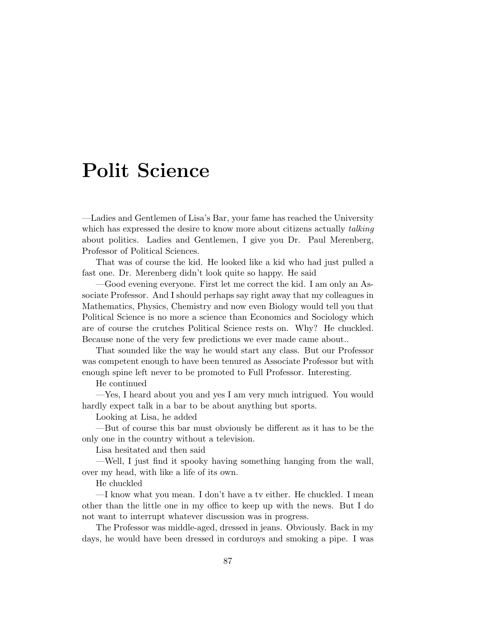### Polit Science

—Ladies and Gentlemen of Lisa's Bar, your fame has reached the University which has expressed the desire to know more about citizens actually talking about politics. Ladies and Gentlemen, I give you Dr. Paul Merenberg, Professor of Political Sciences.

That was of course the kid. He looked like a kid who had just pulled a fast one. Dr. Merenberg didn't look quite so happy. He said

—Good evening everyone. First let me correct the kid. I am only an Associate Professor. And I should perhaps say right away that my colleagues in Mathematics, Physics, Chemistry and now even Biology would tell you that Political Science is no more a science than Economics and Sociology which are of course the crutches Political Science rests on. Why? He chuckled. Because none of the very few predictions we ever made came about..

That sounded like the way he would start any class. But our Professor was competent enough to have been tenured as Associate Professor but with enough spine left never to be promoted to Full Professor. Interesting.

He continued

—Yes, I heard about you and yes I am very much intrigued. You would hardly expect talk in a bar to be about anything but sports.

Looking at Lisa, he added

—But of course this bar must obviously be different as it has to be the only one in the country without a television.

Lisa hesitated and then said

—Well, I just find it spooky having something hanging from the wall, over my head, with like a life of its own.

He chuckled

—I know what you mean. I don't have a tv either. He chuckled. I mean other than the little one in my office to keep up with the news. But I do not want to interrupt whatever discussion was in progress.

The Professor was middle-aged, dressed in jeans. Obviously. Back in my days, he would have been dressed in corduroys and smoking a pipe. I was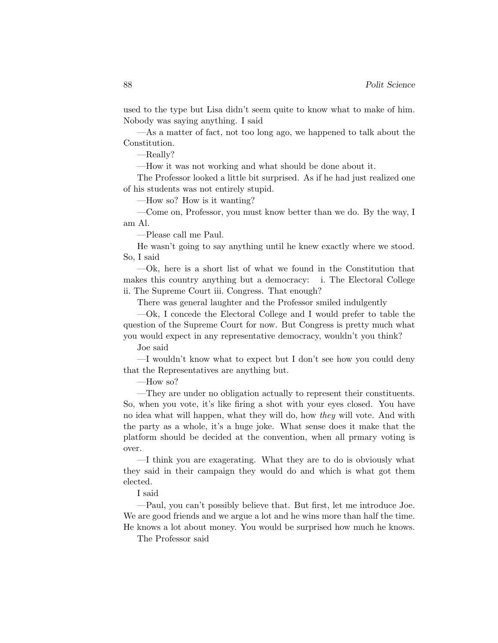used to the type but Lisa didn't seem quite to know what to make of him. Nobody was saying anything. I said

—As a matter of fact, not too long ago, we happened to talk about the Constitution.

—Really?

—How it was not working and what should be done about it.

The Professor looked a little bit surprised. As if he had just realized one of his students was not entirely stupid.

—How so? How is it wanting?

—Come on, Professor, you must know better than we do. By the way, I am Al.

—Please call me Paul.

He wasn't going to say anything until he knew exactly where we stood. So, I said

—Ok, here is a short list of what we found in the Constitution that makes this country anything but a democracy: i. The Electoral College ii. The Supreme Court iii. Congress. That enough?

There was general laughter and the Professor smiled indulgently

—Ok, I concede the Electoral College and I would prefer to table the question of the Supreme Court for now. But Congress is pretty much what you would expect in any representative democracy, wouldn't you think?

Joe said

—I wouldn't know what to expect but I don't see how you could deny that the Representatives are anything but.

—How so?

—They are under no obligation actually to represent their constituents. So, when you vote, it's like firing a shot with your eyes closed. You have no idea what will happen, what they will do, how they will vote. And with the party as a whole, it's a huge joke. What sense does it make that the platform should be decided at the convention, when all prmary voting is over.

—I think you are exagerating. What they are to do is obviously what they said in their campaign they would do and which is what got them elected.

I said

—Paul, you can't possibly believe that. But first, let me introduce Joe. We are good friends and we argue a lot and he wins more than half the time. He knows a lot about money. You would be surprised how much he knows.

The Professor said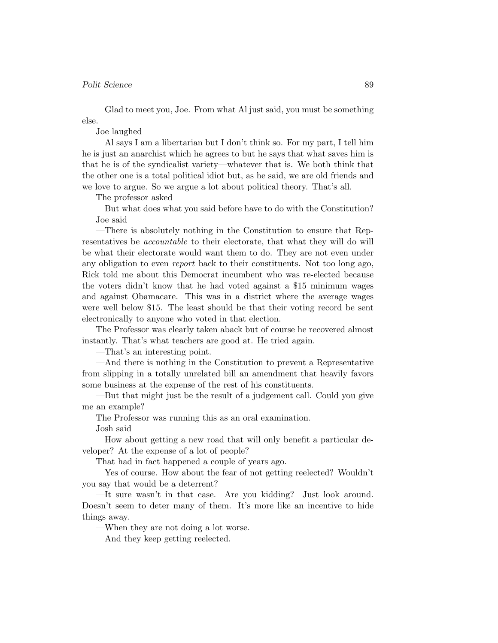#### Polit Science 89

—Glad to meet you, Joe. From what Al just said, you must be something else.

Joe laughed

—Al says I am a libertarian but I don't think so. For my part, I tell him he is just an anarchist which he agrees to but he says that what saves him is that he is of the syndicalist variety—whatever that is. We both think that the other one is a total political idiot but, as he said, we are old friends and we love to argue. So we argue a lot about political theory. That's all.

The professor asked

—But what does what you said before have to do with the Constitution? Joe said

—There is absolutely nothing in the Constitution to ensure that Representatives be accountable to their electorate, that what they will do will be what their electorate would want them to do. They are not even under any obligation to even report back to their constituents. Not too long ago, Rick told me about this Democrat incumbent who was re-elected because the voters didn't know that he had voted against a \$15 minimum wages and against Obamacare. This was in a district where the average wages were well below \$15. The least should be that their voting record be sent electronically to anyone who voted in that election.

The Professor was clearly taken aback but of course he recovered almost instantly. That's what teachers are good at. He tried again.

—That's an interesting point.

—And there is nothing in the Constitution to prevent a Representative from slipping in a totally unrelated bill an amendment that heavily favors some business at the expense of the rest of his constituents.

—But that might just be the result of a judgement call. Could you give me an example?

The Professor was running this as an oral examination.

Josh said

—How about getting a new road that will only benefit a particular developer? At the expense of a lot of people?

That had in fact happened a couple of years ago.

—Yes of course. How about the fear of not getting reelected? Wouldn't you say that would be a deterrent?

—It sure wasn't in that case. Are you kidding? Just look around. Doesn't seem to deter many of them. It's more like an incentive to hide things away.

—When they are not doing a lot worse.

—And they keep getting reelected.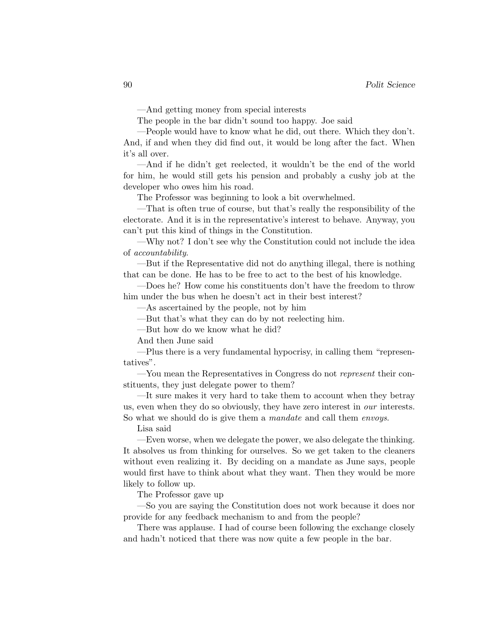—And getting money from special interests

The people in the bar didn't sound too happy. Joe said

—People would have to know what he did, out there. Which they don't. And, if and when they did find out, it would be long after the fact. When it's all over.

—And if he didn't get reelected, it wouldn't be the end of the world for him, he would still gets his pension and probably a cushy job at the developer who owes him his road.

The Professor was beginning to look a bit overwhelmed.

—That is often true of course, but that's really the responsibility of the electorate. And it is in the representative's interest to behave. Anyway, you can't put this kind of things in the Constitution.

—Why not? I don't see why the Constitution could not include the idea of accountability.

—But if the Representative did not do anything illegal, there is nothing that can be done. He has to be free to act to the best of his knowledge.

—Does he? How come his constituents don't have the freedom to throw him under the bus when he doesn't act in their best interest?

—As ascertained by the people, not by him

—But that's what they can do by not reelecting him.

—But how do we know what he did?

And then June said

—Plus there is a very fundamental hypocrisy, in calling them "representatives".

—You mean the Representatives in Congress do not represent their constituents, they just delegate power to them?

—It sure makes it very hard to take them to account when they betray us, even when they do so obviously, they have zero interest in *our* interests. So what we should do is give them a *mandate* and call them *envoys*.

Lisa said

—Even worse, when we delegate the power, we also delegate the thinking. It absolves us from thinking for ourselves. So we get taken to the cleaners without even realizing it. By deciding on a mandate as June says, people would first have to think about what they want. Then they would be more likely to follow up.

The Professor gave up

—So you are saying the Constitution does not work because it does nor provide for any feedback mechanism to and from the people?

There was applause. I had of course been following the exchange closely and hadn't noticed that there was now quite a few people in the bar.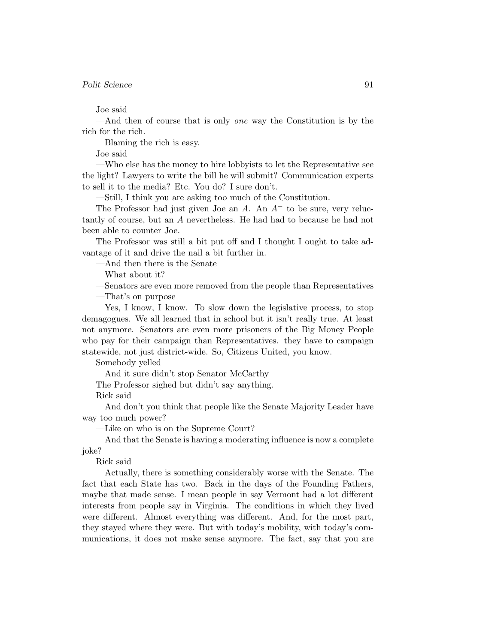Joe said

—And then of course that is only one way the Constitution is by the rich for the rich.

—Blaming the rich is easy.

Joe said

—Who else has the money to hire lobbyists to let the Representative see the light? Lawyers to write the bill he will submit? Communication experts to sell it to the media? Etc. You do? I sure don't.

—Still, I think you are asking too much of the Constitution.

The Professor had just given Joe an A. An  $A^-$  to be sure, very reluctantly of course, but an A nevertheless. He had had to because he had not been able to counter Joe.

The Professor was still a bit put off and I thought I ought to take advantage of it and drive the nail a bit further in.

—And then there is the Senate

—What about it?

—Senators are even more removed from the people than Representatives

—That's on purpose

—Yes, I know, I know. To slow down the legislative process, to stop demagogues. We all learned that in school but it isn't really true. At least not anymore. Senators are even more prisoners of the Big Money People who pay for their campaign than Representatives. they have to campaign statewide, not just district-wide. So, Citizens United, you know.

Somebody yelled

—And it sure didn't stop Senator McCarthy

The Professor sighed but didn't say anything.

Rick said

—And don't you think that people like the Senate Majority Leader have way too much power?

—Like on who is on the Supreme Court?

—And that the Senate is having a moderating influence is now a complete joke?

Rick said

—Actually, there is something considerably worse with the Senate. The fact that each State has two. Back in the days of the Founding Fathers, maybe that made sense. I mean people in say Vermont had a lot different interests from people say in Virginia. The conditions in which they lived were different. Almost everything was different. And, for the most part, they stayed where they were. But with today's mobility, with today's communications, it does not make sense anymore. The fact, say that you are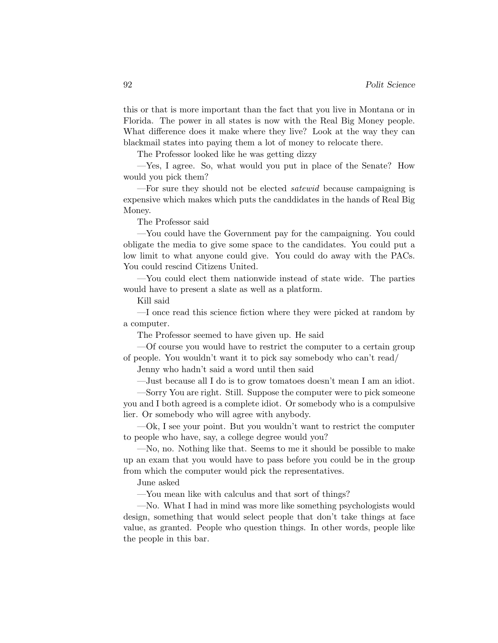this or that is more important than the fact that you live in Montana or in Florida. The power in all states is now with the Real Big Money people. What difference does it make where they live? Look at the way they can blackmail states into paying them a lot of money to relocate there.

The Professor looked like he was getting dizzy

—Yes, I agree. So, what would you put in place of the Senate? How would you pick them?

—For sure they should not be elected satewid because campaigning is expensive which makes which puts the canddidates in the hands of Real Big Money.

The Professor said

—You could have the Government pay for the campaigning. You could obligate the media to give some space to the candidates. You could put a low limit to what anyone could give. You could do away with the PACs. You could rescind Citizens United.

—You could elect them nationwide instead of state wide. The parties would have to present a slate as well as a platform.

Kill said

—I once read this science fiction where they were picked at random by a computer.

The Professor seemed to have given up. He said

—Of course you would have to restrict the computer to a certain group of people. You wouldn't want it to pick say somebody who can't read/

Jenny who hadn't said a word until then said

—Just because all I do is to grow tomatoes doesn't mean I am an idiot.

—Sorry You are right. Still. Suppose the computer were to pick someone you and I both agreed is a complete idiot. Or somebody who is a compulsive lier. Or somebody who will agree with anybody.

—Ok, I see your point. But you wouldn't want to restrict the computer to people who have, say, a college degree would you?

—No, no. Nothing like that. Seems to me it should be possible to make up an exam that you would have to pass before you could be in the group from which the computer would pick the representatives.

June asked

—You mean like with calculus and that sort of things?

—No. What I had in mind was more like something psychologists would design, something that would select people that don't take things at face value, as granted. People who question things. In other words, people like the people in this bar.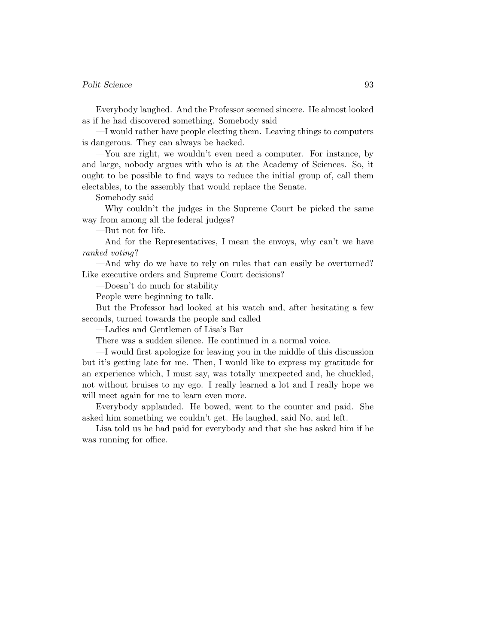Everybody laughed. And the Professor seemed sincere. He almost looked as if he had discovered something. Somebody said

—I would rather have people electing them. Leaving things to computers is dangerous. They can always be hacked.

—You are right, we wouldn't even need a computer. For instance, by and large, nobody argues with who is at the Academy of Sciences. So, it ought to be possible to find ways to reduce the initial group of, call them electables, to the assembly that would replace the Senate.

Somebody said

—Why couldn't the judges in the Supreme Court be picked the same way from among all the federal judges?

—But not for life.

—And for the Representatives, I mean the envoys, why can't we have ranked voting?

—And why do we have to rely on rules that can easily be overturned? Like executive orders and Supreme Court decisions?

—Doesn't do much for stability

People were beginning to talk.

But the Professor had looked at his watch and, after hesitating a few seconds, turned towards the people and called

—Ladies and Gentlemen of Lisa's Bar

There was a sudden silence. He continued in a normal voice.

—I would first apologize for leaving you in the middle of this discussion but it's getting late for me. Then, I would like to express my gratitude for an experience which, I must say, was totally unexpected and, he chuckled, not without bruises to my ego. I really learned a lot and I really hope we will meet again for me to learn even more.

Everybody applauded. He bowed, went to the counter and paid. She asked him something we couldn't get. He laughed, said No, and left.

Lisa told us he had paid for everybody and that she has asked him if he was running for office.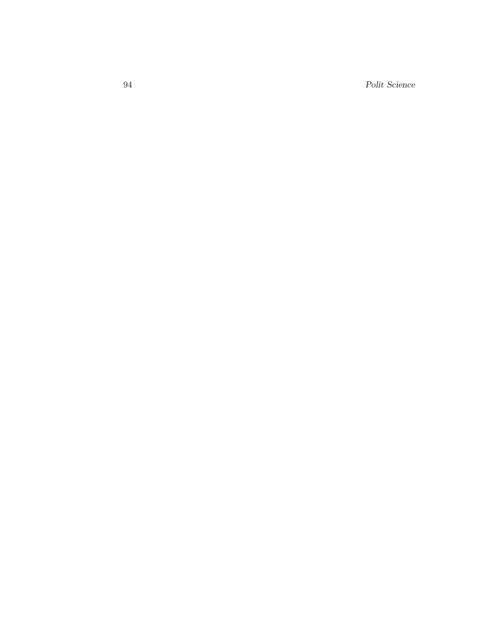Polit Science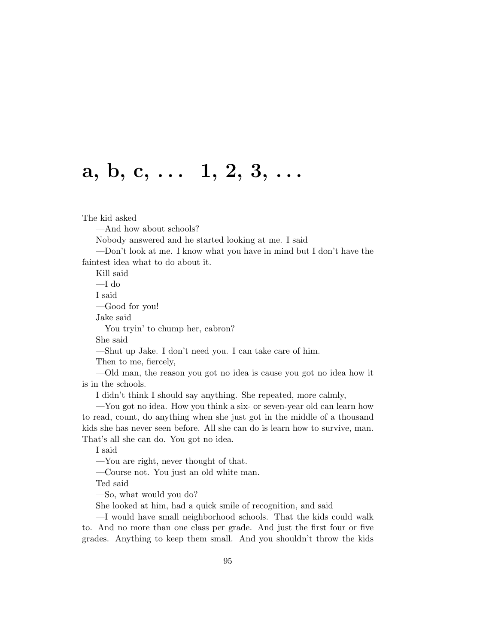## a, b, c,  $\dots$  1, 2, 3,  $\dots$

The kid asked

—And how about schools?

Nobody answered and he started looking at me. I said

—Don't look at me. I know what you have in mind but I don't have the faintest idea what to do about it.

Kill said

—I do

I said

—Good for you!

Jake said

—You tryin' to chump her, cabron?

She said

—Shut up Jake. I don't need you. I can take care of him.

Then to me, fiercely,

—Old man, the reason you got no idea is cause you got no idea how it is in the schools.

I didn't think I should say anything. She repeated, more calmly,

—You got no idea. How you think a six- or seven-year old can learn how to read, count, do anything when she just got in the middle of a thousand kids she has never seen before. All she can do is learn how to survive, man. That's all she can do. You got no idea.

I said

—You are right, never thought of that.

—Course not. You just an old white man.

Ted said

—So, what would you do?

She looked at him, had a quick smile of recognition, and said

—I would have small neighborhood schools. That the kids could walk to. And no more than one class per grade. And just the first four or five grades. Anything to keep them small. And you shouldn't throw the kids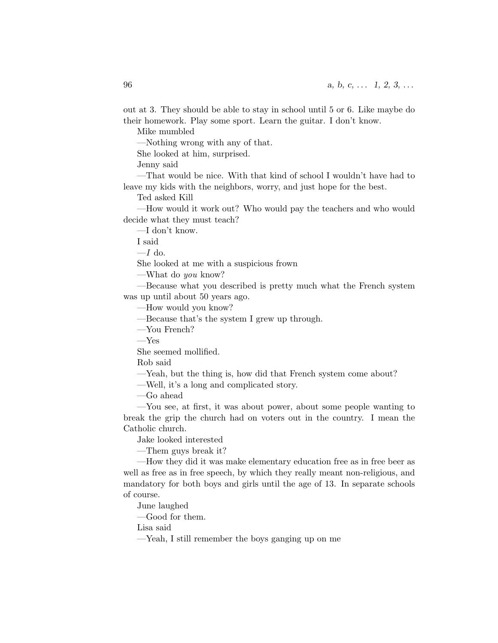out at 3. They should be able to stay in school until 5 or 6. Like maybe do their homework. Play some sport. Learn the guitar. I don't know.

Mike mumbled

—Nothing wrong with any of that.

She looked at him, surprised.

Jenny said

—That would be nice. With that kind of school I wouldn't have had to leave my kids with the neighbors, worry, and just hope for the best.

Ted asked Kill

—How would it work out? Who would pay the teachers and who would decide what they must teach?

—I don't know.

I said

 $-I$  do.

She looked at me with a suspicious frown

—What do you know?

—Because what you described is pretty much what the French system was up until about 50 years ago.

—How would you know?

—Because that's the system I grew up through.

—You French?

—Yes

She seemed mollified.

Rob said

—Yeah, but the thing is, how did that French system come about?

—Well, it's a long and complicated story.

—Go ahead

—You see, at first, it was about power, about some people wanting to break the grip the church had on voters out in the country. I mean the Catholic church.

Jake looked interested

—Them guys break it?

—How they did it was make elementary education free as in free beer as well as free as in free speech, by which they really meant non-religious, and mandatory for both boys and girls until the age of 13. In separate schools of course.

June laughed

—Good for them.

Lisa said

—Yeah, I still remember the boys ganging up on me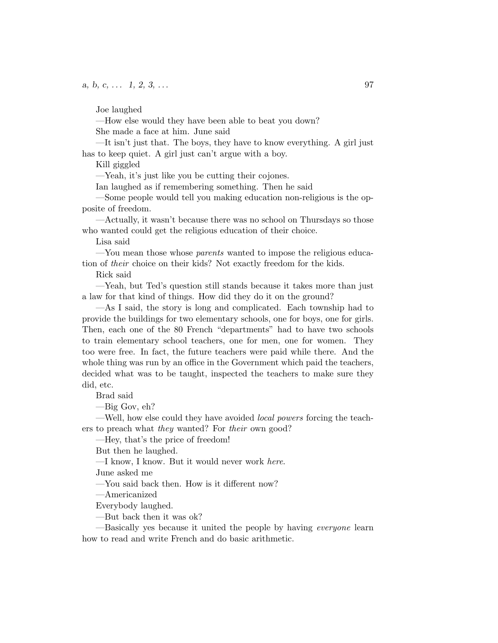#### a, b, c,  $\ldots$  1, 2, 3,  $\ldots$  97

Joe laughed

—How else would they have been able to beat you down?

She made a face at him. June said

—It isn't just that. The boys, they have to know everything. A girl just has to keep quiet. A girl just can't argue with a boy.

Kill giggled

—Yeah, it's just like you be cutting their cojones.

Ian laughed as if remembering something. Then he said

—Some people would tell you making education non-religious is the opposite of freedom.

—Actually, it wasn't because there was no school on Thursdays so those who wanted could get the religious education of their choice.

Lisa said

—You mean those whose *parents* wanted to impose the religious education of their choice on their kids? Not exactly freedom for the kids.

Rick said

—Yeah, but Ted's question still stands because it takes more than just a law for that kind of things. How did they do it on the ground?

—As I said, the story is long and complicated. Each township had to provide the buildings for two elementary schools, one for boys, one for girls. Then, each one of the 80 French "departments" had to have two schools to train elementary school teachers, one for men, one for women. They too were free. In fact, the future teachers were paid while there. And the whole thing was run by an office in the Government which paid the teachers, decided what was to be taught, inspected the teachers to make sure they did, etc.

Brad said

—Big Gov, eh?

—Well, how else could they have avoided *local powers* forcing the teachers to preach what they wanted? For their own good?

—Hey, that's the price of freedom!

But then he laughed.

—I know, I know. But it would never work here.

June asked me

—You said back then. How is it different now?

—Americanized

Everybody laughed.

—But back then it was ok?

—Basically yes because it united the people by having everyone learn how to read and write French and do basic arithmetic.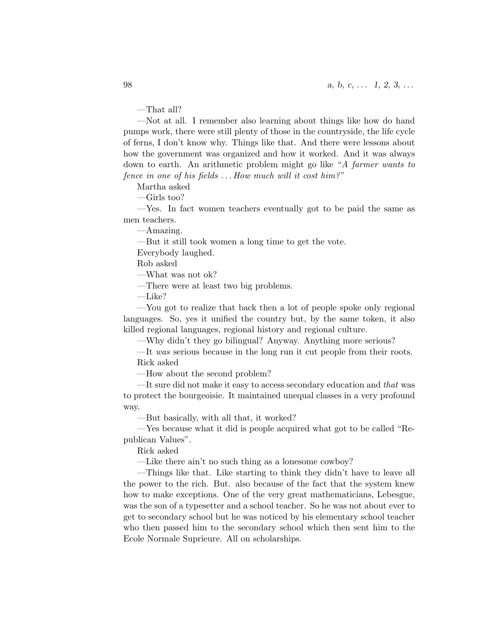—That all?

—Not at all. I remember also learning about things like how do hand pumps work, there were still plenty of those in the countryside, the life cycle of ferns, I don't know why. Things like that. And there were lessons about how the government was organized and how it worked. And it was always down to earth. An arithmetic problem might go like "A farmer wants to fence in one of his fields  $\dots$  How much will it cost him?"

Martha asked

—Girls too?

—Yes. In fact women teachers eventually got to be paid the same as men teachers.

—Amazing.

—But it still took women a long time to get the vote.

Everybody laughed.

Rob asked

—What was not ok?

—There were at least two big problems.

—Like?

—You got to realize that back then a lot of people spoke only regional languages. So, yes it unified the country but, by the same token, it also killed regional languages, regional history and regional culture.

—Why didn't they go bilingual? Anyway. Anything more serious?

—It was serious because in the long run it cut people from their roots. Rick asked

—How about the second problem?

—It sure did not make it easy to access secondary education and that was to protect the bourgeoisie. It maintained unequal classes in a very profound way.

—But basically, with all that, it worked?

—Yes because what it did is people acquired what got to be called "Republican Values".

Rick asked

—Like there ain't no such thing as a lonesome cowboy?

—Things like that. Like starting to think they didn't have to leave all the power to the rich. But. also because of the fact that the system knew how to make exceptions. One of the very great mathematicians, Lebesgue, was the son of a typesetter and a school teacher. So he was not about ever to get to secondary school but he was noticed by his elementary school teacher who then passed him to the secondary school which then sent him to the Ecole Normale Suprieure. All on scholarships.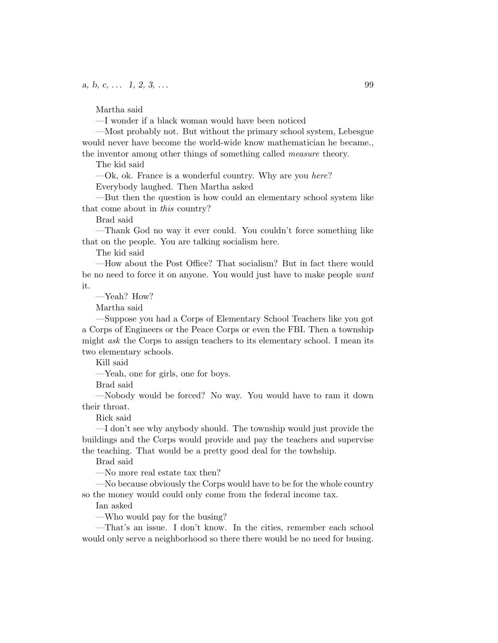Martha said

—I wonder if a black woman would have been noticed

—Most probably not. But without the primary school system, Lebesgue would never have become the world-wide know mathematician he became., the inventor among other things of something called measure theory.

The kid said

 $-\text{Ok}$ , ok. France is a wonderful country. Why are you here?

Everybody laughed. Then Martha asked

—But then the question is how could an elementary school system like that come about in this country?

Brad said

—Thank God no way it ever could. You couldn't force something like that on the people. You are talking socialism here.

The kid said

—How about the Post Office? That socialism? But in fact there would be no need to force it on anyone. You would just have to make people want it.

—Yeah? How?

Martha said

—Suppose you had a Corps of Elementary School Teachers like you got a Corps of Engineers or the Peace Corps or even the FBI. Then a township might *ask* the Corps to assign teachers to its elementary school. I mean its two elementary schools.

Kill said

—Yeah, one for girls, one for boys.

Brad said

—Nobody would be forced? No way. You would have to ram it down their throat.

Rick said

—I don't see why anybody should. The township would just provide the buildings and the Corps would provide and pay the teachers and supervise the teaching. That would be a pretty good deal for the towhship.

Brad said

—No more real estate tax then?

—No because obviously the Corps would have to be for the whole country so the money would could only come from the federal income tax.

Ian asked

—Who would pay for the busing?

—That's an issue. I don't know. In the cities, remember each school would only serve a neighborhood so there there would be no need for busing.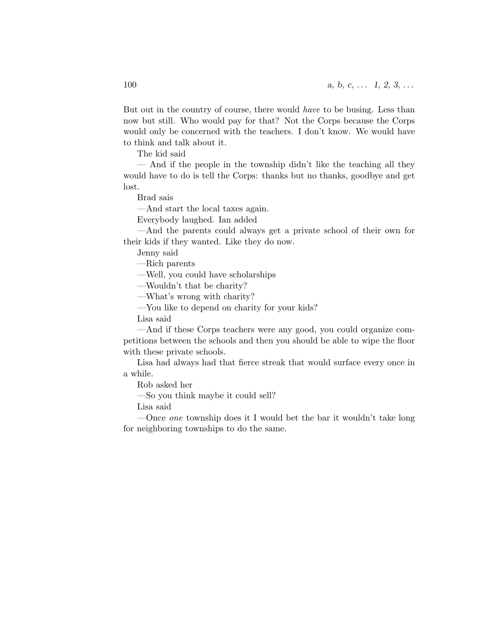But out in the country of course, there would have to be busing. Less than now but still. Who would pay for that? Not the Corps because the Corps would only be concerned with the teachers. I don't know. We would have to think and talk about it.

The kid said

— And if the people in the township didn't like the teaching all they would have to do is tell the Corps: thanks but no thanks, goodbye and get lost.

Brad sais

—And start the local taxes again.

Everybody laughed. Ian added

—And the parents could always get a private school of their own for their kids if they wanted. Like they do now.

Jenny said

—Rich parents

—Well, you could have scholarships

—Wouldn't that be charity?

—What's wrong with charity?

—You like to depend on charity for your kids?

Lisa said

—And if these Corps teachers were any good, you could organize competitions between the schools and then you should be able to wipe the floor with these private schools.

Lisa had always had that fierce streak that would surface every once in a while.

Rob asked her

—So you think maybe it could sell?

Lisa said

—Once one township does it I would bet the bar it wouldn't take long for neighboring townships to do the same.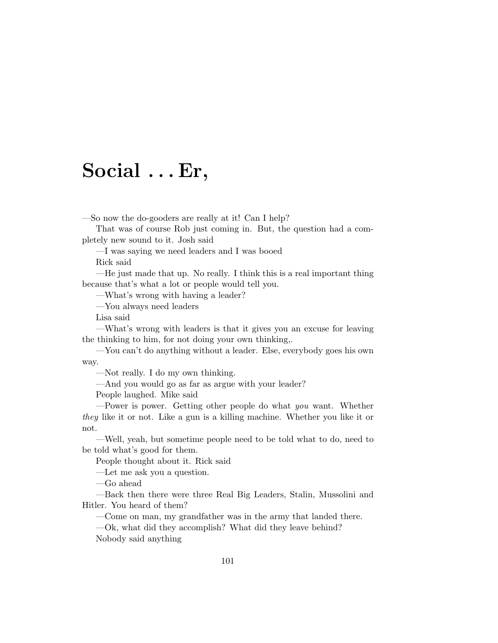## Social ... Er,

—So now the do-gooders are really at it! Can I help?

That was of course Rob just coming in. But, the question had a completely new sound to it. Josh said

—I was saying we need leaders and I was booed

Rick said

—He just made that up. No really. I think this is a real important thing because that's what a lot or people would tell you.

—What's wrong with having a leader?

—You always need leaders

Lisa said

—What's wrong with leaders is that it gives you an excuse for leaving the thinking to him, for not doing your own thinking,.

—You can't do anything without a leader. Else, everybody goes his own way.

—Not really. I do my own thinking.

—And you would go as far as argue with your leader?

People laughed. Mike said

—Power is power. Getting other people do what you want. Whether they like it or not. Like a gun is a killing machine. Whether you like it or not.

—Well, yeah, but sometime people need to be told what to do, need to be told what's good for them.

People thought about it. Rick said

—Let me ask you a question.

—Go ahead

—Back then there were three Real Big Leaders, Stalin, Mussolini and Hitler. You heard of them?

—Come on man, my grandfather was in the army that landed there.

—Ok, what did they accomplish? What did they leave behind?

Nobody said anything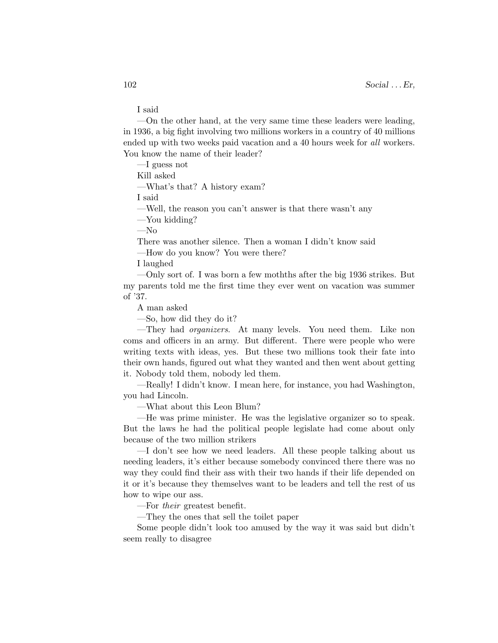I said

—On the other hand, at the very same time these leaders were leading, in 1936, a big fight involving two millions workers in a country of 40 millions ended up with two weeks paid vacation and a 40 hours week for all workers. You know the name of their leader?

—I guess not

Kill asked

—What's that? A history exam?

I said

—Well, the reason you can't answer is that there wasn't any

—You kidding?

—No

There was another silence. Then a woman I didn't know said —How do you know? You were there?

I laughed

—Only sort of. I was born a few mothths after the big 1936 strikes. But my parents told me the first time they ever went on vacation was summer of '37.

A man asked

—So, how did they do it?

—They had organizers. At many levels. You need them. Like non coms and officers in an army. But different. There were people who were writing texts with ideas, yes. But these two millions took their fate into their own hands, figured out what they wanted and then went about getting it. Nobody told them, nobody led them.

—Really! I didn't know. I mean here, for instance, you had Washington, you had Lincoln.

—What about this Leon Blum?

—He was prime minister. He was the legislative organizer so to speak. But the laws he had the political people legislate had come about only because of the two million strikers

—I don't see how we need leaders. All these people talking about us needing leaders, it's either because somebody convinced there there was no way they could find their ass with their two hands if their life depended on it or it's because they themselves want to be leaders and tell the rest of us how to wipe our ass.

—For their greatest benefit.

—They the ones that sell the toilet paper

Some people didn't look too amused by the way it was said but didn't seem really to disagree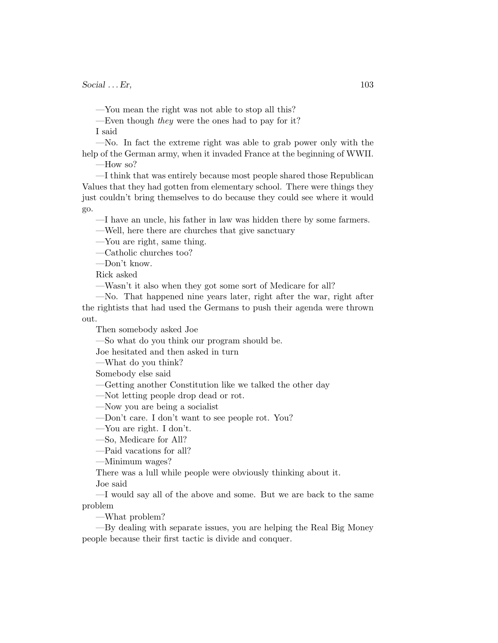$\text{Social} \dots \text{Er},$  103

—You mean the right was not able to stop all this?

—Even though they were the ones had to pay for it?

I said

—No. In fact the extreme right was able to grab power only with the help of the German army, when it invaded France at the beginning of WWII.

—How so?

—I think that was entirely because most people shared those Republican Values that they had gotten from elementary school. There were things they just couldn't bring themselves to do because they could see where it would go.

—I have an uncle, his father in law was hidden there by some farmers.

—Well, here there are churches that give sanctuary

—You are right, same thing.

—Catholic churches too?

—Don't know.

Rick asked

—Wasn't it also when they got some sort of Medicare for all?

—No. That happened nine years later, right after the war, right after the rightists that had used the Germans to push their agenda were thrown out.

Then somebody asked Joe

—So what do you think our program should be.

Joe hesitated and then asked in turn

—What do you think?

Somebody else said

—Getting another Constitution like we talked the other day

—Not letting people drop dead or rot.

—Now you are being a socialist

—Don't care. I don't want to see people rot. You?

—You are right. I don't.

—So, Medicare for All?

—Paid vacations for all?

—Minimum wages?

There was a lull while people were obviously thinking about it.

Joe said

—I would say all of the above and some. But we are back to the same problem

—What problem?

—By dealing with separate issues, you are helping the Real Big Money people because their first tactic is divide and conquer.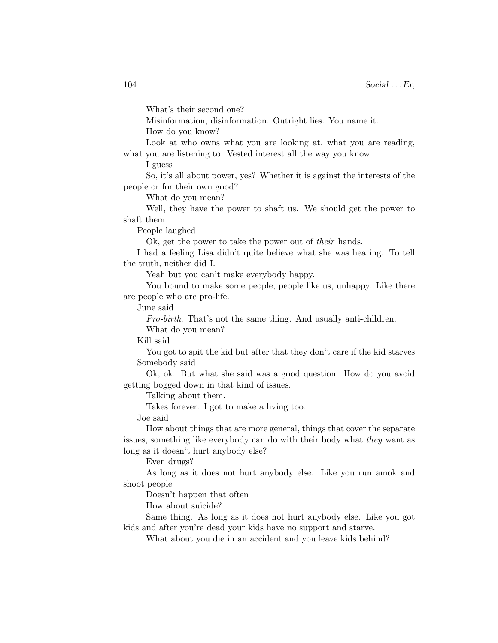—What's their second one?

—Misinformation, disinformation. Outright lies. You name it.

—How do you know?

—Look at who owns what you are looking at, what you are reading, what you are listening to. Vested interest all the way you know

—I guess

—So, it's all about power, yes? Whether it is against the interests of the people or for their own good?

—What do you mean?

—Well, they have the power to shaft us. We should get the power to shaft them

People laughed

 $-\text{Ok}$ , get the power to take the power out of *their* hands.

I had a feeling Lisa didn't quite believe what she was hearing. To tell the truth, neither did I.

—Yeah but you can't make everybody happy.

—You bound to make some people, people like us, unhappy. Like there are people who are pro-life.

June said

 $-$ *Pro-birth.* That's not the same thing. And usually anti-children.

—What do you mean?

Kill said

—You got to spit the kid but after that they don't care if the kid starves Somebody said

—Ok, ok. But what she said was a good question. How do you avoid getting bogged down in that kind of issues.

—Talking about them.

—Takes forever. I got to make a living too.

Joe said

—How about things that are more general, things that cover the separate issues, something like everybody can do with their body what they want as long as it doesn't hurt anybody else?

—Even drugs?

—As long as it does not hurt anybody else. Like you run amok and shoot people

—Doesn't happen that often

—How about suicide?

—Same thing. As long as it does not hurt anybody else. Like you got kids and after you're dead your kids have no support and starve.

—What about you die in an accident and you leave kids behind?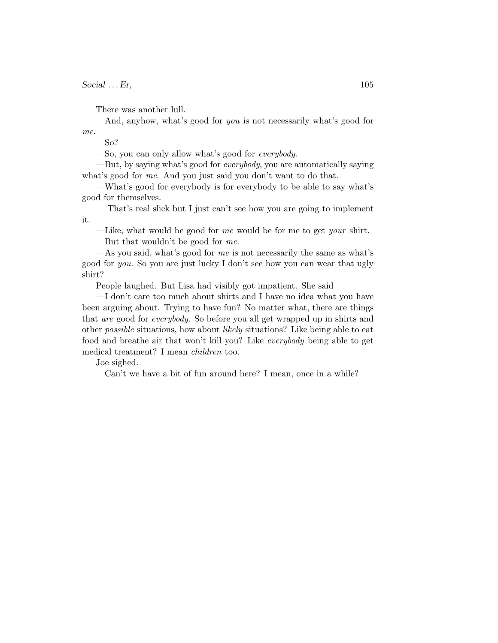$\text{Social} \dots \text{Er},$  105

There was another lull.

—And, anyhow, what's good for you is not necessarily what's good for me.

 $-So?$ 

—So, you can only allow what's good for everybody.

—But, by saying what's good for everybody, you are automatically saying what's good for me. And you just said you don't want to do that.

—What's good for everybody is for everybody to be able to say what's good for themselves.

— That's real slick but I just can't see how you are going to implement it.

—Like, what would be good for me would be for me to get *your* shirt.

—But that wouldn't be good for me.

 $-$ As you said, what's good for me is not necessarily the same as what's good for you. So you are just lucky I don't see how you can wear that ugly shirt?

People laughed. But Lisa had visibly got impatient. She said

—I don't care too much about shirts and I have no idea what you have been arguing about. Trying to have fun? No matter what, there are things that are good for everybody. So before you all get wrapped up in shirts and other possible situations, how about likely situations? Like being able to eat food and breathe air that won't kill you? Like everybody being able to get medical treatment? I mean children too.

Joe sighed.

—Can't we have a bit of fun around here? I mean, once in a while?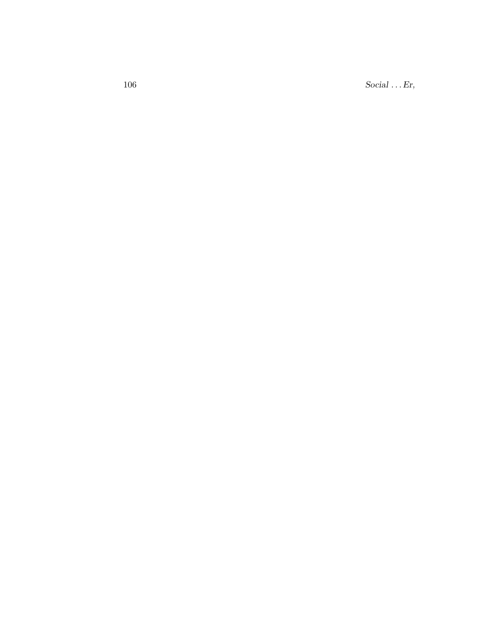Social  $\ldots$  Er,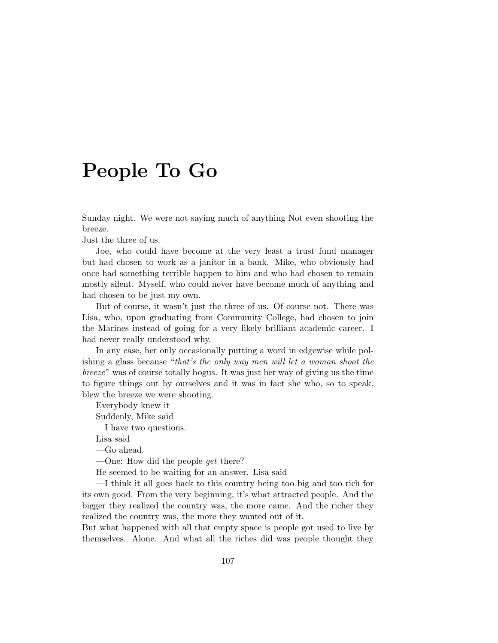## People To Go

Sunday night. We were not saying much of anything Not even shooting the breeze.

Just the three of us.

Joe, who could have become at the very least a trust fund manager but had chosen to work as a janitor in a bank. Mike, who obviously had once had something terrible happen to him and who had chosen to remain mostly silent. Myself, who could never have become much of anything and had chosen to be just my own.

But of course, it wasn't just the three of us. Of course not. There was Lisa, who, upon graduating from Community College, had chosen to join the Marines instead of going for a very likely brilliant academic career. I had never really understood why.

In any case, her only occasionally putting a word in edgewise while polishing a glass because "that's the only way men will let a woman shoot the breeze" was of course totally bogus. It was just her way of giving us the time to figure things out by ourselves and it was in fact she who, so to speak, blew the breeze we were shooting.

Everybody knew it Suddenly, Mike said —I have two questions. Lisa said

—Go ahead.

—One: How did the people *get* there?

He seemed to be waiting for an answer. Lisa said

—I think it all goes back to this country being too big and too rich for its own good. From the very beginning, it's what attracted people. And the bigger they realized the country was, the more came. And the richer they realized the country was, the more they wanted out of it.

But what happened with all that empty space is people got used to live by themselves. Alone. And what all the riches did was people thought they